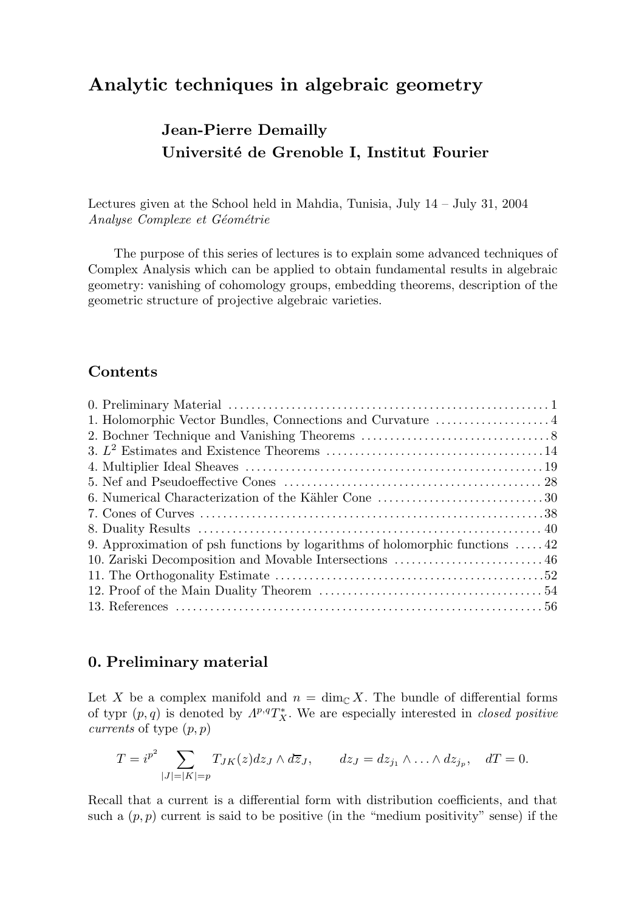# Analytic techniques in algebraic geometry

# Jean-Pierre Demailly Université de Grenoble I, Institut Fourier

Lectures given at the School held in Mahdia, Tunisia, July 14 – July 31, 2004 Analyse Complexe et Géométrie

The purpose of this series of lectures is to explain some advanced techniques of Complex Analysis which can be applied to obtain fundamental results in algebraic geometry: vanishing of cohomology groups, embedding theorems, description of the geometric structure of projective algebraic varieties.

# Contents

| 9. Approximation of psh functions by logarithms of holomorphic functions $\dots$ 42 |  |
|-------------------------------------------------------------------------------------|--|
| 10. Zariski Decomposition and Movable Intersections  46                             |  |
|                                                                                     |  |
|                                                                                     |  |
|                                                                                     |  |
|                                                                                     |  |

# 0. Preliminary material

Let X be a complex manifold and  $n = \dim_{\mathbb{C}} X$ . The bundle of differential forms of typr  $(p, q)$  is denoted by  $\Lambda^{p,q}T_X^*$ . We are especially interested in *closed positive currents* of type  $(p, p)$ 

$$
T = i^{p^2} \sum_{|J|=|K|=p} T_{JK}(z) dz_J \wedge d\overline{z}_J, \qquad dz_J = dz_{j_1} \wedge \ldots \wedge dz_{j_p}, \quad dT = 0.
$$

Recall that a current is a differential form with distribution coefficients, and that such a  $(p, p)$  current is said to be positive (in the "medium positivity" sense) if the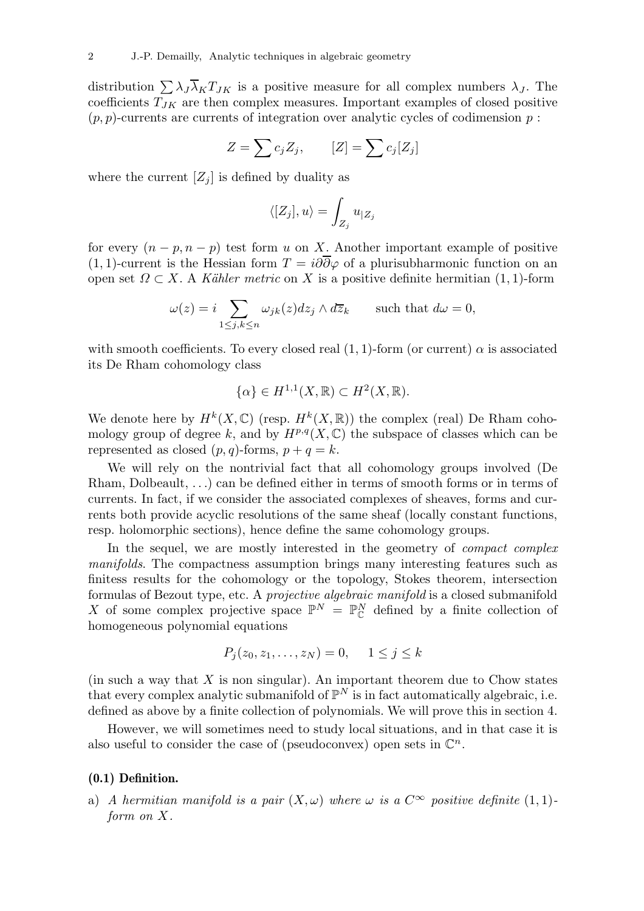distribution  $\sum \lambda_J \overline{\lambda}_K T_{JK}$  is a positive measure for all complex numbers  $\lambda_J$ . The coefficients  $T_{JK}$  are then complex measures. Important examples of closed positive  $(p, p)$ -currents are currents of integration over analytic cycles of codimension p:

$$
Z = \sum c_j Z_j, \qquad [Z] = \sum c_j [Z_j]
$$

where the current  $[Z_i]$  is defined by duality as

$$
\langle [Z_j],u\rangle=\int_{Z_j}u_{|Z_j}
$$

for every  $(n - p, n - p)$  test form u on X. Another important example of positive (1, 1)-current is the Hessian form  $T = i\partial\overline{\partial}\varphi$  of a plurisubharmonic function on an open set  $\Omega \subset X$ . A Kähler metric on X is a positive definite hermitian (1, 1)-form

$$
\omega(z) = i \sum_{1 \le j,k \le n} \omega_{jk}(z) dz_j \wedge d\overline{z}_k \quad \text{such that } d\omega = 0,
$$

with smooth coefficients. To every closed real  $(1, 1)$ -form (or current)  $\alpha$  is associated its De Rham cohomology class

$$
\{\alpha\} \in H^{1,1}(X,\mathbb{R}) \subset H^2(X,\mathbb{R}).
$$

We denote here by  $H^k(X,\mathbb{C})$  (resp.  $H^k(X,\mathbb{R})$ ) the complex (real) De Rham cohomology group of degree k, and by  $H^{p,q}(X,\mathbb{C})$  the subspace of classes which can be represented as closed  $(p, q)$ -forms,  $p + q = k$ .

We will rely on the nontrivial fact that all cohomology groups involved (De Rham, Dolbeault, . . .) can be defined either in terms of smooth forms or in terms of currents. In fact, if we consider the associated complexes of sheaves, forms and currents both provide acyclic resolutions of the same sheaf (locally constant functions, resp. holomorphic sections), hence define the same cohomology groups.

In the sequel, we are mostly interested in the geometry of *compact complex* manifolds. The compactness assumption brings many interesting features such as finitess results for the cohomology or the topology, Stokes theorem, intersection formulas of Bezout type, etc. A projective algebraic manifold is a closed submanifold X of some complex projective space  $\mathbb{P}^N = \mathbb{P}^N_{\mathbb{C}}$  defined by a finite collection of homogeneous polynomial equations

$$
P_j(z_0, z_1, \ldots, z_N) = 0, \quad 1 \le j \le k
$$

(in such a way that  $X$  is non singular). An important theorem due to Chow states that every complex analytic submanifold of  $\mathbb{P}^N$  is in fact automatically algebraic, i.e. defined as above by a finite collection of polynomials. We will prove this in section 4.

However, we will sometimes need to study local situations, and in that case it is also useful to consider the case of (pseudoconvex) open sets in  $\mathbb{C}^n$ .

#### (0.1) Definition.

a) A hermitian manifold is a pair  $(X, \omega)$  where  $\omega$  is a  $C^{\infty}$  positive definite  $(1, 1)$ form on X.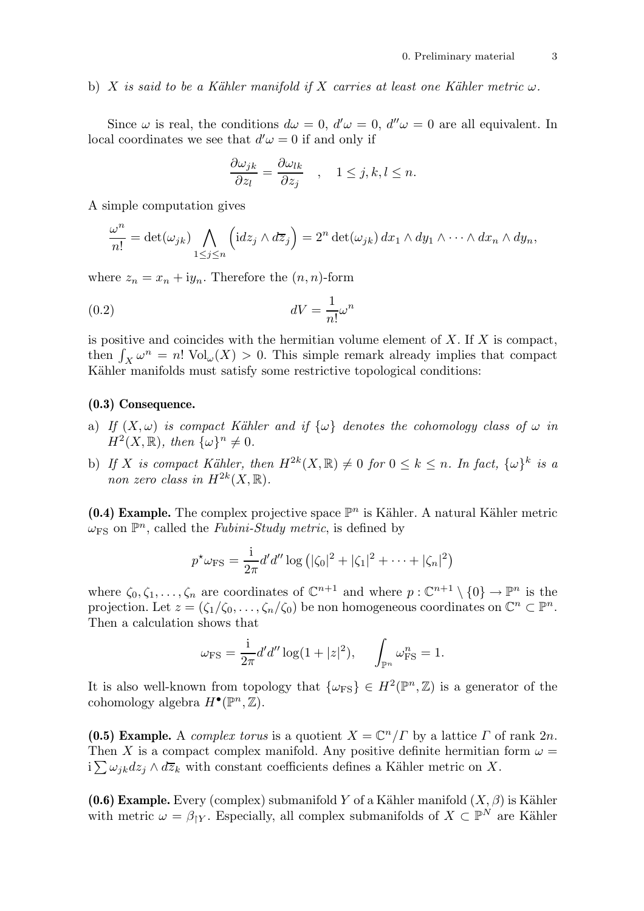#### b) X is said to be a Kähler manifold if X carries at least one Kähler metric  $\omega$ .

Since  $\omega$  is real, the conditions  $d\omega = 0$ ,  $d'\omega = 0$ ,  $d''\omega = 0$  are all equivalent. In local coordinates we see that  $d'\omega = 0$  if and only if

$$
\frac{\partial \omega_{jk}}{\partial z_l} = \frac{\partial \omega_{lk}}{\partial z_j} \quad , \quad 1 \le j, k, l \le n.
$$

A simple computation gives

$$
\frac{\omega^n}{n!} = \det(\omega_{jk}) \bigwedge_{1 \leq j \leq n} \left( idz_j \wedge d\overline{z}_j \right) = 2^n \det(\omega_{jk}) \, dx_1 \wedge dy_1 \wedge \cdots \wedge dx_n \wedge dy_n,
$$

where  $z_n = x_n + iy_n$ . Therefore the  $(n, n)$ -form

$$
dV = \frac{1}{n!} \omega^n
$$

is positive and coincides with the hermitian volume element of  $X$ . If  $X$  is compact, then  $\int_X \omega^n = n! \text{ Vol}_{\omega}(X) > 0$ . This simple remark already implies that compact Kähler manifolds must satisfy some restrictive topological conditions:

#### (0.3) Consequence.

- a) If  $(X, \omega)$  is compact Kähler and if  $\{\omega\}$  denotes the cohomology class of  $\omega$  in  $H^2(X,\mathbb{R}),$  then  $\{\omega\}^n \neq 0.$
- b) If X is compact Kähler, then  $H^{2k}(X,\mathbb{R}) \neq 0$  for  $0 \leq k \leq n$ . In fact,  $\{\omega\}^k$  is a non zero class in  $H^{2k}(X,\mathbb{R})$ .

(0.4) Example. The complex projective space  $\mathbb{P}^n$  is Kähler. A natural Kähler metric  $\omega_{\text{FS}}$  on  $\mathbb{P}^n$ , called the *Fubini-Study metric*, is defined by

$$
p^{\star}\omega_{\rm FS} = \frac{1}{2\pi}d'd''\log(|\zeta_0|^2 + |\zeta_1|^2 + \cdots + |\zeta_n|^2)
$$

where  $\zeta_0, \zeta_1, \ldots, \zeta_n$  are coordinates of  $\mathbb{C}^{n+1}$  and where  $p : \mathbb{C}^{n+1} \setminus \{0\} \to \mathbb{P}^n$  is the projection. Let  $z = (\zeta_1/\zeta_0, \ldots, \zeta_n/\zeta_0)$  be non homogeneous coordinates on  $\mathbb{C}^n \subset \mathbb{P}^n$ . Then a calculation shows that

$$
\omega_{\rm FS} = \frac{i}{2\pi} d'd'' \log(1+|z|^2), \quad \int_{\mathbb{P}^n} \omega_{\rm FS}^n = 1.
$$

It is also well-known from topology that  $\{\omega_{\text{FS}}\} \in H^2(\mathbb{P}^n, \mathbb{Z})$  is a generator of the cohomology algebra  $H^{\bullet}(\mathbb{P}^n,\mathbb{Z})$ .

(0.5) Example. A complex torus is a quotient  $X = \mathbb{C}^n / \Gamma$  by a lattice  $\Gamma$  of rank  $2n$ . Then X is a compact complex manifold. Any positive definite hermitian form  $\omega =$  $i\sum \omega_{jk}dz_j \wedge d\overline{z}_k$  with constant coefficients defines a Kähler metric on X.

(0.6) Example. Every (complex) submanifold Y of a Kähler manifold  $(X, \beta)$  is Kähler with metric  $\omega = \beta_{\upharpoonright Y}$ . Especially, all complex submanifolds of  $X \subset \mathbb{P}^N$  are Kähler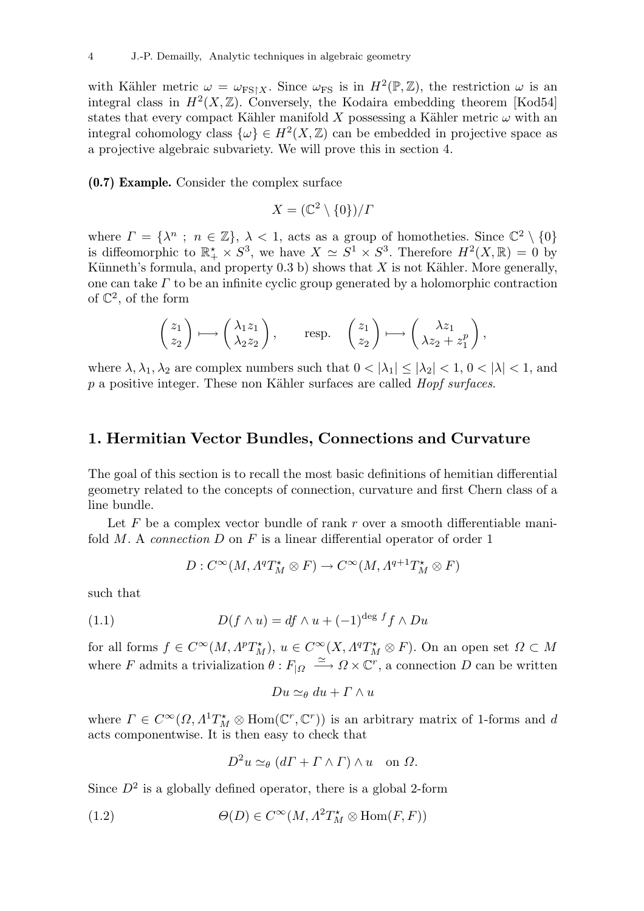with Kähler metric  $\omega = \omega_{\text{FS}|\text{X}}$ . Since  $\omega_{\text{FS}}$  is in  $H^2(\mathbb{P}, \mathbb{Z})$ , the restriction  $\omega$  is an integral class in  $H^2(X,\mathbb{Z})$ . Conversely, the Kodaira embedding theorem [Kod54] states that every compact Kähler manifold X possessing a Kähler metric  $\omega$  with an integral cohomology class  $\{\omega\} \in H^2(X,\mathbb{Z})$  can be embedded in projective space as a projective algebraic subvariety. We will prove this in section 4.

(0.7) Example. Consider the complex surface

$$
X = (\mathbb{C}^2 \setminus \{0\}) / \Gamma
$$

where  $\Gamma = {\lambda^n \text{ ; } n \in \mathbb{Z}}$ ,  $\lambda < 1$ , acts as a group of homotheties. Since  $\mathbb{C}^2 \setminus \{0\}$ is diffeomorphic to  $\mathbb{R}_+^* \times S^3$ , we have  $X \simeq S^1 \times S^3$ . Therefore  $H^2(X, \mathbb{R}) = 0$  by Künneth's formula, and property  $(0.3 b)$  shows that X is not Kähler. More generally, one can take  $\Gamma$  to be an infinite cyclic group generated by a holomorphic contraction of  $\mathbb{C}^2$ , of the form

$$
\begin{pmatrix} z_1 \\ z_2 \end{pmatrix} \longmapsto \begin{pmatrix} \lambda_1 z_1 \\ \lambda_2 z_2 \end{pmatrix}, \quad \text{resp.} \quad \begin{pmatrix} z_1 \\ z_2 \end{pmatrix} \longmapsto \begin{pmatrix} \lambda z_1 \\ \lambda z_2 + z_1^p \end{pmatrix},
$$

where  $\lambda, \lambda_1, \lambda_2$  are complex numbers such that  $0 < |\lambda_1| \leq |\lambda_2| < 1$ ,  $0 < |\lambda| < 1$ , and  $p$  a positive integer. These non Kähler surfaces are called *Hopf surfaces*.

## 1. Hermitian Vector Bundles, Connections and Curvature

The goal of this section is to recall the most basic definitions of hemitian differential geometry related to the concepts of connection, curvature and first Chern class of a line bundle.

Let  $F$  be a complex vector bundle of rank  $r$  over a smooth differentiable manifold  $M$ . A connection  $D$  on  $F$  is a linear differential operator of order 1

$$
D: C^{\infty}(M, \Lambda^q T_M^{\star} \otimes F) \to C^{\infty}(M, \Lambda^{q+1} T_M^{\star} \otimes F)
$$

such that

(1.1) 
$$
D(f \wedge u) = df \wedge u + (-1)^{\deg f} f \wedge Du
$$

for all forms  $f \in C^{\infty}(M, \Lambda^p T_M^*)$ ,  $u \in C^{\infty}(X, \Lambda^q T_M^* \otimes F)$ . On an open set  $\Omega \subset M$ where F admits a trivialization  $\theta: F_{|\Omega} \longrightarrow \Omega \times \mathbb{C}^r$ , a connection D can be written

$$
Du \simeq_{\theta} du + \varGamma \wedge u
$$

where  $\Gamma \in C^{\infty}(\Omega, \Lambda^1 T_M^* \otimes \text{Hom}(\mathbb{C}^r, \mathbb{C}^r))$  is an arbitrary matrix of 1-forms and d acts componentwise. It is then easy to check that

$$
D^2u \simeq_{\theta} (d\Gamma + \Gamma \wedge \Gamma) \wedge u \quad \text{on } \Omega.
$$

Since  $D^2$  is a globally defined operator, there is a global 2-form

(1.2) 
$$
\Theta(D) \in C^{\infty}(M, \Lambda^2 T_M^{\star} \otimes \text{Hom}(F, F))
$$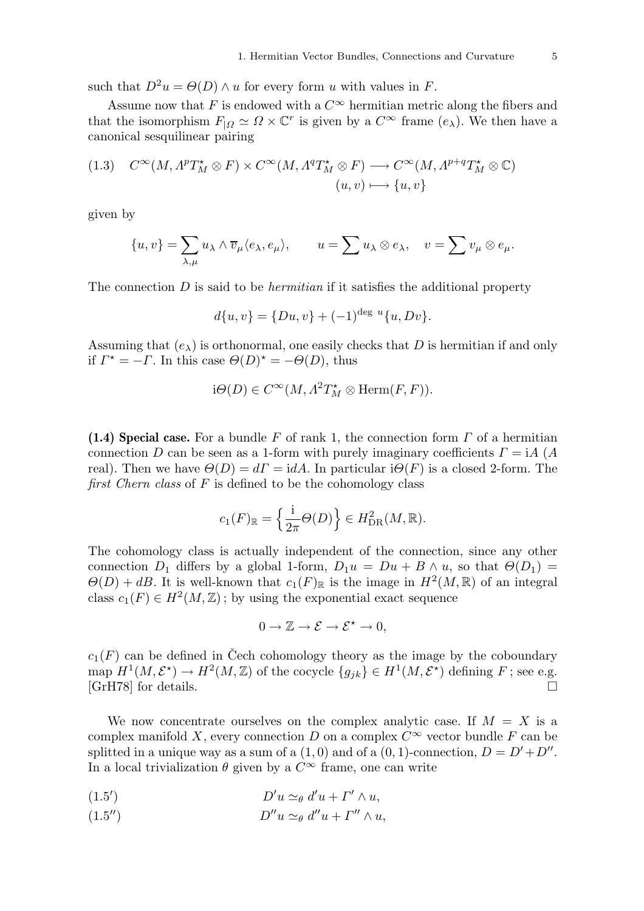such that  $D^2u = \Theta(D) \wedge u$  for every form u with values in F.

Assume now that F is endowed with a  $C^{\infty}$  hermitian metric along the fibers and that the isomorphism  $F_{|\Omega} \simeq \Omega \times \mathbb{C}^r$  is given by a  $C^{\infty}$  frame  $(e_{\lambda})$ . We then have a canonical sesquilinear pairing

(1.3) 
$$
C^{\infty}(M, \Lambda^p T_M^{\star} \otimes F) \times C^{\infty}(M, \Lambda^q T_M^{\star} \otimes F) \longrightarrow C^{\infty}(M, \Lambda^{p+q} T_M^{\star} \otimes \mathbb{C})
$$

$$
(u, v) \longmapsto \{u, v\}
$$

given by

$$
\{u,v\}=\sum_{\lambda,\mu}u_\lambda\wedge \overline{v}_\mu\langle e_\lambda,e_\mu\rangle,\qquad u=\sum u_\lambda\otimes e_\lambda,\quad v=\sum v_\mu\otimes e_\mu.
$$

The connection  $D$  is said to be *hermitian* if it satisfies the additional property

$$
d\{u, v\} = \{Du, v\} + (-1)^{\deg u} \{u, Dv\}.
$$

Assuming that  $(e_{\lambda})$  is orthonormal, one easily checks that D is hermitian if and only if  $\Gamma^* = -\Gamma$ . In this case  $\Theta(D)^* = -\Theta(D)$ , thus

$$
i\Theta(D) \in C^{\infty}(M, \Lambda^2 T_M^{\star} \otimes \text{Herm}(F, F)).
$$

(1.4) Special case. For a bundle F of rank 1, the connection form  $\Gamma$  of a hermitian connection D can be seen as a 1-form with purely imaginary coefficients  $\Gamma = iA(A)$ real). Then we have  $\Theta(D) = d\Gamma = idA$ . In particular  $i\Theta(F)$  is a closed 2-form. The first Chern class of  $F$  is defined to be the cohomology class

$$
c_1(F)_{\mathbb{R}} = \left\{ \frac{\mathrm{i}}{2\pi} \Theta(D) \right\} \in H_{\mathrm{DR}}^2(M, \mathbb{R}).
$$

The cohomology class is actually independent of the connection, since any other connection  $D_1$  differs by a global 1-form,  $D_1u = Du + B \wedge u$ , so that  $\Theta(D_1)$  =  $\Theta(D) + dB$ . It is well-known that  $c_1(F)_{\mathbb{R}}$  is the image in  $H^2(M, \mathbb{R})$  of an integral class  $c_1(F) \in H^2(M, \mathbb{Z})$ ; by using the exponential exact sequence

$$
0 \to \mathbb{Z} \to \mathcal{E} \to \mathcal{E}^{\star} \to 0,
$$

 $c_1(F)$  can be defined in Cech cohomology theory as the image by the coboundary map  $H^1(M, \mathcal{E}^*) \to H^2(M, \mathbb{Z})$  of the cocycle  $\{g_{jk}\}\in H^1(M, \mathcal{E}^*)$  defining F; see e.g. [GrH78] for details.  $\square$ 

We now concentrate ourselves on the complex analytic case. If  $M = X$  is a complex manifold X, every connection D on a complex  $C^{\infty}$  vector bundle F can be splitted in a unique way as a sum of a  $(1,0)$  and of a  $(0,1)$ -connection,  $D = D' + D''$ . In a local trivialization  $\theta$  given by a  $C^{\infty}$  frame, one can write

$$
(1.5') \t\t D'u \simeq_{\theta} d'u + \Gamma' \wedge u,
$$

$$
(1.5'') \t\t D''u \simeq_{\theta} d''u + \Gamma'' \wedge u,
$$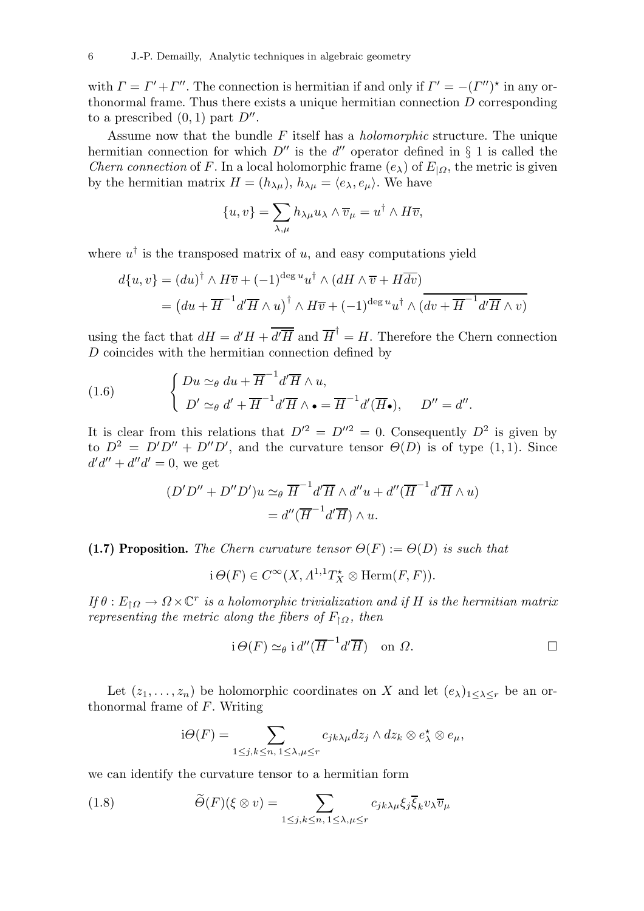with  $\Gamma = \Gamma' + \Gamma''$ . The connection is hermitian if and only if  $\Gamma' = -(\Gamma'')^*$  in any orthonormal frame. Thus there exists a unique hermitian connection D corresponding to a prescribed  $(0,1)$  part  $D''$ .

Assume now that the bundle  $F$  itself has a *holomorphic* structure. The unique hermitian connection for which  $D''$  is the d'' operator defined in § 1 is called the *Chern connection* of F. In a local holomorphic frame  $(e_{\lambda})$  of  $E_{|\Omega}$ , the metric is given by the hermitian matrix  $H = (h_{\lambda\mu}), h_{\lambda\mu} = \langle e_{\lambda}, e_{\mu} \rangle$ . We have

$$
\{u, v\} = \sum_{\lambda, \mu} h_{\lambda \mu} u_{\lambda} \wedge \overline{v}_{\mu} = u^{\dagger} \wedge H \overline{v},
$$

where  $u^{\dagger}$  is the transposed matrix of u, and easy computations yield

$$
d\{u, v\} = (du)^{\dagger} \wedge H\overline{v} + (-1)^{\deg u} u^{\dagger} \wedge (dH \wedge \overline{v} + H\overline{dv})
$$
  
= 
$$
(du + \overline{H}^{-1} d'\overline{H} \wedge u)^{\dagger} \wedge H\overline{v} + (-1)^{\deg u} u^{\dagger} \wedge (dv + \overline{H}^{-1} d'\overline{H} \wedge v)
$$

using the fact that  $dH = d'H + \overline{d'\overline{H}}$  and  $\overline{H}^{\dagger} = H$ . Therefore the Chern connection  $D$  coincides with the hermitian connection defined by

(1.6) 
$$
\begin{cases} Du \simeq_{\theta} du + \overline{H}^{-1} d' \overline{H} \wedge u, \\ D' \simeq_{\theta} d' + \overline{H}^{-1} d' \overline{H} \wedge \bullet = \overline{H}^{-1} d' (\overline{H}_{\bullet}), \quad D'' = d''. \end{cases}
$$

It is clear from this relations that  $D^2 = D^{\prime\prime 2} = 0$ . Consequently  $D^2$  is given by to  $D^2 = D'D'' + D''D'$ , and the curvature tensor  $\Theta(D)$  is of type  $(1, 1)$ . Since  $d'd'' + d''d' = 0$ , we get

$$
(D'D'' + D''D')u \simeq_{\theta} \overline{H}^{-1}d'\overline{H} \wedge d''u + d''(\overline{H}^{-1}d'\overline{H} \wedge u)
$$

$$
= d''(\overline{H}^{-1}d'\overline{H}) \wedge u.
$$

(1.7) Proposition. The Chern curvature tensor  $\Theta(F) := \Theta(D)$  is such that

$$
i \Theta(F) \in C^{\infty}(X, \Lambda^{1,1}T_X^{\star} \otimes \text{Herm}(F, F)).
$$

If  $\theta: E_{\dagger\Omega} \to \Omega \times \mathbb{C}^r$  is a holomorphic trivialization and if H is the hermitian matrix representing the metric along the fibers of  $F_{\restriction \Omega}$ , then

$$
i \Theta(F) \simeq_{\theta} i d''(\overline{H}^{-1}d'\overline{H}) \quad \text{on } \Omega.
$$

Let  $(z_1, \ldots, z_n)$  be holomorphic coordinates on X and let  $(e_{\lambda})_{1 \leq \lambda \leq r}$  be an orthonormal frame of F. Writing

$$
i\Theta(F) = \sum_{1 \le j,k \le n, 1 \le \lambda,\mu \le r} c_{jk\lambda\mu} dz_j \wedge dz_k \otimes e_{\lambda}^{\star} \otimes e_{\mu},
$$

we can identify the curvature tensor to a hermitian form

(1.8) 
$$
\widetilde{\Theta}(F)(\xi \otimes v) = \sum_{1 \le j,k \le n, 1 \le \lambda,\mu \le r} c_{jk\lambda\mu} \xi_j \overline{\xi}_k v_\lambda \overline{v}_\mu
$$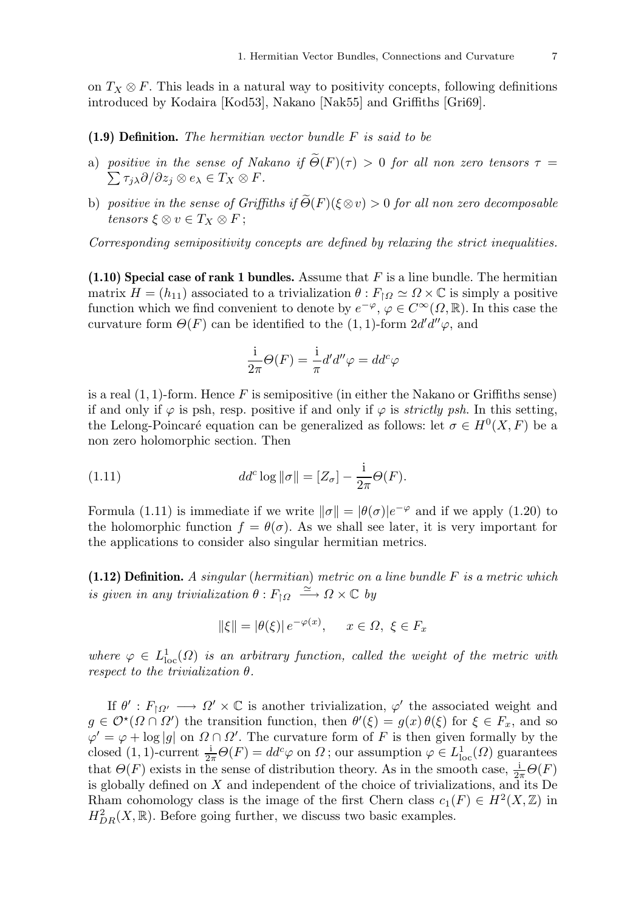on  $T_X \otimes F$ . This leads in a natural way to positivity concepts, following definitions introduced by Kodaira [Kod53], Nakano [Nak55] and Griffiths [Gri69].

(1.9) Definition. The hermitian vector bundle F is said to be

- a) positive in the sense of Nakano if  $\Theta(F)(\tau) > 0$  for all non zero tensors  $\tau =$  $\sum \tau_j \lambda \partial/\partial z_j \otimes e_\lambda \in T_X \otimes F.$
- b) positive in the sense of Griffiths if  $\Theta(F)(\xi \otimes v) > 0$  for all non zero decomposable tensors  $\xi \otimes v \in T_X \otimes F$ ;

Corresponding semipositivity concepts are defined by relaxing the strict inequalities.

 $(1.10)$  Special case of rank 1 bundles. Assume that F is a line bundle. The hermitian matrix  $H = (h_{11})$  associated to a trivialization  $\theta : F \upharpoonright \Omega \simeq \Omega \times \mathbb{C}$  is simply a positive function which we find convenient to denote by  $e^{-\varphi}, \varphi \in C^{\infty}(\Omega, \mathbb{R})$ . In this case the curvature form  $\Theta(F)$  can be identified to the  $(1, 1)$ -form  $2d'd''\varphi$ , and

$$
\frac{\mathrm{i}}{2\pi}\Theta(F)=\frac{\mathrm{i}}{\pi}d'd''\varphi=dd^c\varphi
$$

is a real  $(1, 1)$ -form. Hence F is semipositive (in either the Nakano or Griffiths sense) if and only if  $\varphi$  is psh, resp. positive if and only if  $\varphi$  is *strictly psh*. In this setting, the Lelong-Poincaré equation can be generalized as follows: let  $\sigma \in H^0(X, F)$  be a non zero holomorphic section. Then

(1.11) 
$$
dd^c \log \|\sigma\| = [Z_{\sigma}] - \frac{i}{2\pi} \Theta(F).
$$

Formula (1.11) is immediate if we write  $\|\sigma\| = |\theta(\sigma)|e^{-\varphi}$  and if we apply (1.20) to the holomorphic function  $f = \theta(\sigma)$ . As we shall see later, it is very important for the applications to consider also singular hermitian metrics.

 $(1.12)$  **Definition.** A singular (hermitian) metric on a line bundle F is a metric which is given in any trivialization  $\theta: F_{\upharpoonright \Omega} \stackrel{\simeq}{\longrightarrow} \Omega \times \mathbb{C}$  by

$$
\|\xi\| = |\theta(\xi)| \, e^{-\varphi(x)}, \quad x \in \Omega, \xi \in F_x
$$

where  $\varphi \in L^1_{loc}(\Omega)$  is an arbitrary function, called the weight of the metric with respect to the trivialization  $\theta$ .

If  $\theta' : F_{\upharpoonright \Omega'} \longrightarrow \Omega' \times \mathbb{C}$  is another trivialization,  $\varphi'$  the associated weight and  $g \in \mathcal{O}^{\star}(\Omega \cap \Omega')$  the transition function, then  $\theta'(\xi) = g(x) \theta(\xi)$  for  $\xi \in F_x$ , and so  $\varphi' = \varphi + \log|g|$  on  $\Omega \cap \Omega'$ . The curvature form of F is then given formally by the closed (1, 1)-current  $\frac{1}{2\pi}\Theta(F) = dd^c\varphi$  on  $\Omega$ ; our assumption  $\varphi \in L^1_{loc}(\Omega)$  guarantees that  $\Theta(F)$  exists in the sense of distribution theory. As in the smooth case,  $\frac{1}{2\pi}\Theta(F)$ is globally defined on  $X$  and independent of the choice of trivializations, and its De Rham cohomology class is the image of the first Chern class  $c_1(F) \in H^2(X,\mathbb{Z})$  in  $H_{DR}^2(X,\mathbb{R})$ . Before going further, we discuss two basic examples.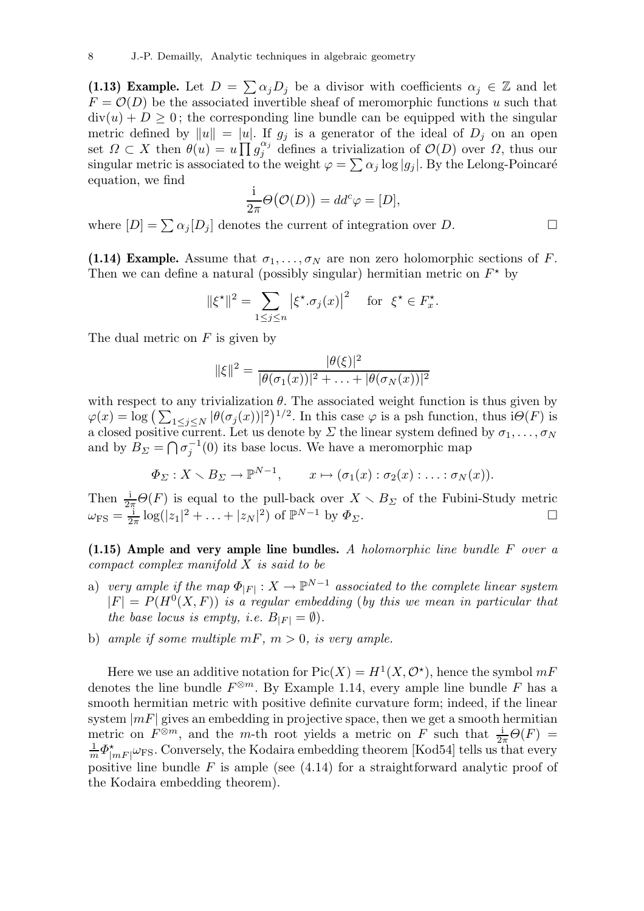(1.13) Example. Let  $D = \sum \alpha_j D_j$  be a divisor with coefficients  $\alpha_j \in \mathbb{Z}$  and let  $F = \mathcal{O}(D)$  be the associated invertible sheaf of meromorphic functions u such that  $div(u) + D \geq 0$ ; the corresponding line bundle can be equipped with the singular metric defined by  $||u|| = |u|$ . If  $g_j$  is a generator of the ideal of  $D_j$  on an open set  $\Omega \subset X$  then  $\theta(u) = u \prod g_i^{\alpha_i}$  $j_j^{\alpha_j}$  defines a trivialization of  $\mathcal{O}(D)$  over  $\Omega$ , thus our singular metric is associated to the weight  $\varphi = \sum \alpha_j \log |g_j|$ . By the Lelong-Poincaré equation, we find

$$
\frac{1}{2\pi}\Theta\big(\mathcal{O}(D)\big) = dd^c\varphi = [D],
$$

where  $[D] = \sum \alpha_j [D_j]$  denotes the current of integration over D.

(1.14) Example. Assume that  $\sigma_1, \ldots, \sigma_N$  are non zero holomorphic sections of F. Then we can define a natural (possibly singular) hermitian metric on  $F^*$  by

$$
\|\xi^{\star}\|^2 = \sum_{1 \le j \le n} |\xi^{\star} \cdot \sigma_j(x)|^2 \quad \text{for } \xi^{\star} \in F_x^{\star}.
$$

The dual metric on  $F$  is given by

$$
\|\xi\|^2 = \frac{|\theta(\xi)|^2}{|\theta(\sigma_1(x))|^2 + \ldots + |\theta(\sigma_N(x))|^2}
$$

with respect to any trivialization  $\theta$ . The associated weight function is thus given by  $\varphi(x) = \log \left( \sum_{1 \leq j \leq N} |\theta(\sigma_j(x))|^2 \right)^{1/2}$ . In this case  $\varphi$  is a psh function, thus  $i\Theta(F)$  is a closed positive current. Let us denote by  $\varSigma$  the linear system defined by  $\sigma_1, \ldots, \sigma_N$ and by  $B_{\Sigma} = \bigcap \sigma_i^{-1}$  $j^{-1}(0)$  its base locus. We have a meromorphic map

$$
\Phi_{\Sigma}: X \setminus B_{\Sigma} \to \mathbb{P}^{N-1}, \qquad x \mapsto (\sigma_1(x) : \sigma_2(x) : \ldots : \sigma_N(x)).
$$

Then  $\frac{1}{2\pi}\Theta(F)$  is equal to the pull-back over  $X \setminus B_{\Sigma}$  of the Fubini-Study metric  $\omega_{\text{FS}}=\frac{\text{i}}{2\pi}$  $\frac{1}{2\pi} \log(|z_1|^2 + ... + |z_N|^2)$  of  $\mathbb{P}^{N-1}$  by  $\Phi_{\Sigma}$ .

(1.15) Ample and very ample line bundles. A holomorphic line bundle F over a compact complex manifold X is said to be

- a) very ample if the map  $\Phi_{|F|}:X\to\mathbb P^{N-1}$  associated to the complete linear system  $|F| = P(H^0(X, F))$  is a regular embedding (by this we mean in particular that the base locus is empty, i.e.  $B_{|F|} = \emptyset$ .
- b) ample if some multiple  $mF$ ,  $m > 0$ , is very ample.

Here we use an additive notation for  $Pic(X) = H^1(X, \mathcal{O}^*)$ , hence the symbol  $mF$ denotes the line bundle  $F^{\otimes m}$ . By Example 1.14, every ample line bundle F has a smooth hermitian metric with positive definite curvature form; indeed, if the linear system  $|mF|$  gives an embedding in projective space, then we get a smooth hermitian metric on  $F^{\otimes m}$ , and the m-th root yields a metric on F such that  $\frac{1}{2\pi}\Theta(F)$  =  $\frac{1}{m}\varPhi_{|n}^{\star}$  $\sum_{|mF|}^{\star}\omega_{\text{FS}}.$  Conversely, the Kodaira embedding theorem [Kod54] tells us that every positive line bundle  $F$  is ample (see  $(4.14)$ ) for a straightforward analytic proof of the Kodaira embedding theorem).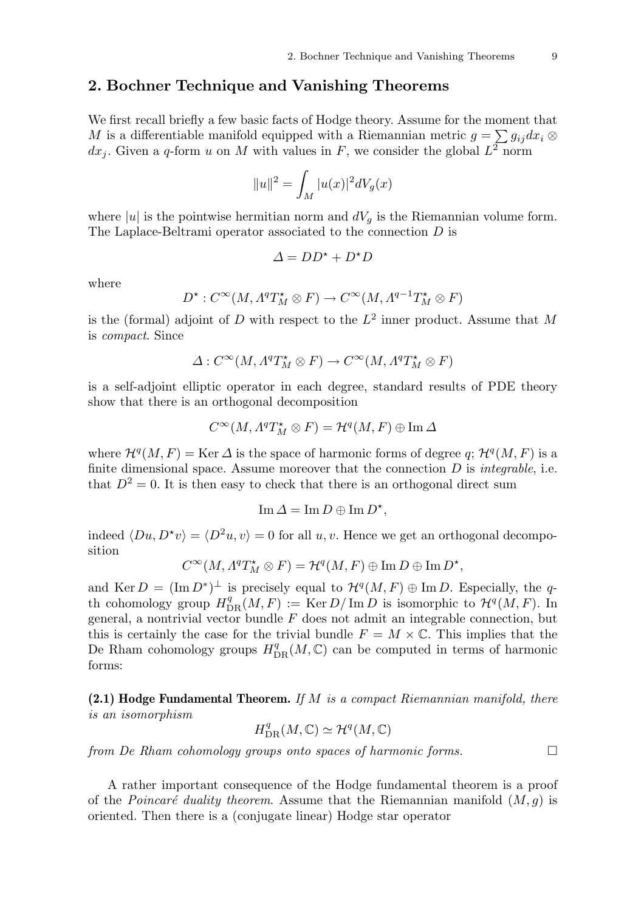# 2. Bochner Technique and Vanishing Theorems

We first recall briefly a few basic facts of Hodge theory. Assume for the moment that M is a differentiable manifold equipped with a Riemannian metric  $g = \sum g_{ij} dx_i$  ⊗  $dx_j$ . Given a q-form u on M with values in F, we consider the global  $L^2$  norm

$$
||u||^2 = \int_M |u(x)|^2 dV_g(x)
$$

where |u| is the pointwise hermitian norm and  $dV<sub>q</sub>$  is the Riemannian volume form. The Laplace-Beltrami operator associated to the connection  $D$  is

$$
\varDelta = DD^\star + D^\star D
$$

where

$$
D^{\star}: C^{\infty}(M, \Lambda^q T^{\star}_M \otimes F) \to C^{\infty}(M, \Lambda^{q-1} T^{\star}_M \otimes F)
$$

is the (formal) adjoint of D with respect to the  $L^2$  inner product. Assume that M is compact. Since

$$
\varDelta: C^\infty(M, \varLambda^q T_M^\star \otimes F) \to C^\infty(M, \varLambda^q T_M^\star \otimes F)
$$

is a self-adjoint elliptic operator in each degree, standard results of PDE theory show that there is an orthogonal decomposition

$$
C^\infty(M, \varLambda^qT^{\star}_{M}\otimes F)=\mathcal{H}^q(M,F)\oplus \text{\rm Im}\,\varDelta
$$

where  $\mathcal{H}^q(M,F) = \text{Ker }\Delta$  is the space of harmonic forms of degree q;  $\mathcal{H}^q(M,F)$  is a finite dimensional space. Assume moreover that the connection  $D$  is *integrable*, i.e. that  $D^2 = 0$ . It is then easy to check that there is an orthogonal direct sum

$$
\operatorname{Im} \Delta = \operatorname{Im} D \oplus \operatorname{Im} D^*,
$$

indeed  $\langle Du, D^{\star}v \rangle = \langle D^2u, v \rangle = 0$  for all u, v. Hence we get an orthogonal decomposition

$$
C^\infty(M, \varLambda^q T_M^\star \otimes F) = \mathcal{H}^q(M,F) \oplus \operatorname{Im} D \oplus \operatorname{Im} D^\star,
$$

and Ker  $D = (\text{Im } D^*)^{\perp}$  is precisely equal to  $\mathcal{H}^q(M, F) \oplus \text{Im } D$ . Especially, the qth cohomology group  $H^q_{DR}(M, F) := \text{Ker } D/\text{Im } D$  is isomorphic to  $\mathcal{H}^q(M, F)$ . In general, a nontrivial vector bundle  $F$  does not admit an integrable connection, but this is certainly the case for the trivial bundle  $F = M \times \mathbb{C}$ . This implies that the De Rham cohomology groups  $H^q_{DR}(M, \mathbb{C})$  can be computed in terms of harmonic forms:

 $(2.1)$  Hodge Fundamental Theorem. If M is a compact Riemannian manifold, there is an isomorphism

$$
H^q_{\mathrm{DR}}(M,\mathbb{C})\simeq \mathcal{H}^q(M,\mathbb{C})
$$

from De Rham cohomology groups onto spaces of harmonic forms.

A rather important consequence of the Hodge fundamental theorem is a proof of the *Poincaré duality theorem*. Assume that the Riemannian manifold  $(M, q)$  is oriented. Then there is a (conjugate linear) Hodge star operator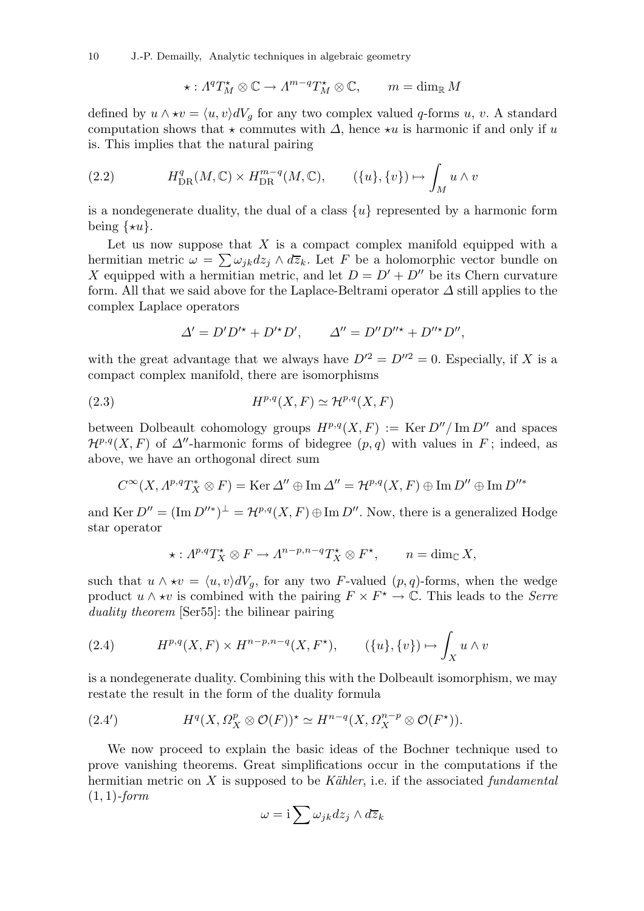10 J.-P. Demailly, Analytic techniques in algebraic geometry

$$
\star: \varLambda^q T^{\star}_M \otimes \mathbb{C} \to \varLambda^{m-q} T^{\star}_M \otimes \mathbb{C}, \qquad m = \dim_{\mathbb{R}} M
$$

defined by  $u \wedge \star v = \langle u, v \rangle dV_g$  for any two complex valued q-forms u, v. A standard computation shows that  $\star$  commutes with  $\Delta$ , hence  $\star u$  is harmonic if and only if u is. This implies that the natural pairing

(2.2) 
$$
H_{\text{DR}}^q(M,\mathbb{C}) \times H_{\text{DR}}^{m-q}(M,\mathbb{C}), \qquad (\{u\},\{v\}) \mapsto \int_M u \wedge v
$$

is a nondegenerate duality, the dual of a class  $\{u\}$  represented by a harmonic form being  $\{*u\}.$ 

Let us now suppose that  $X$  is a compact complex manifold equipped with a hermitian metric  $\omega = \sum \omega_{jk} dz_j \wedge d\overline{z}_k$ . Let F be a holomorphic vector bundle on X equipped with a hermitian metric, and let  $D = D' + D''$  be its Chern curvature form. All that we said above for the Laplace-Beltrami operator  $\Delta$  still applies to the complex Laplace operators

$$
\Delta' = D'D'^\star + D'^\star D', \qquad \Delta'' = D''D''^{\star} + D''^{\star}D'',
$$

with the great advantage that we always have  $D^2 = D^{\prime\prime 2} = 0$ . Especially, if X is a compact complex manifold, there are isomorphisms

(2.3) 
$$
H^{p,q}(X,F) \simeq \mathcal{H}^{p,q}(X,F)
$$

between Dolbeault cohomology groups  $H^{p,q}(X, F) := \text{Ker } D'' / \text{Im } D''$  and spaces  $\mathcal{H}^{p,q}(X, F)$  of  $\Delta''$ -harmonic forms of bidegree  $(p, q)$  with values in F; indeed, as above, we have an orthogonal direct sum

$$
C^{\infty}(X, A^{p,q}T_X^* \otimes F) = \text{Ker }\Delta'' \oplus \text{Im }\Delta'' = \mathcal{H}^{p,q}(X, F) \oplus \text{Im } D'' \oplus \text{Im } D''^*
$$

and Ker  $D'' = (\text{Im } D''^*)^{\perp} = \mathcal{H}^{p,q}(X, F) \oplus \text{Im } D''$ . Now, there is a generalized Hodge star operator

$$
\star: \Lambda^{p,q}T_X^{\star} \otimes F \to \Lambda^{n-p,n-q}T_X^{\star} \otimes F^{\star}, \qquad n = \dim_{\mathbb{C}} X,
$$

such that  $u \wedge \star v = \langle u, v \rangle dV_q$ , for any two F-valued  $(p, q)$ -forms, when the wedge product  $u \wedge \star v$  is combined with the pairing  $F \times F^* \to \mathbb{C}$ . This leads to the *Serre* duality theorem [Ser55]: the bilinear pairing

(2.4) 
$$
H^{p,q}(X,F) \times H^{n-p,n-q}(X,F^{\star}), \qquad (\{u\},\{v\}) \mapsto \int_X u \wedge v
$$

is a nondegenerate duality. Combining this with the Dolbeault isomorphism, we may restate the result in the form of the duality formula

(2.4') 
$$
H^q(X, \Omega_X^p \otimes \mathcal{O}(F))^* \simeq H^{n-q}(X, \Omega_X^{n-p} \otimes \mathcal{O}(F^*)).
$$

We now proceed to explain the basic ideas of the Bochner technique used to prove vanishing theorems. Great simplifications occur in the computations if the hermitian metric on X is supposed to be Kähler, i.e. if the associated fundamental  $(1, 1)$ -form

$$
\omega = \mathrm{i} \sum \omega_{jk} dz_j \wedge d\overline{z}_k
$$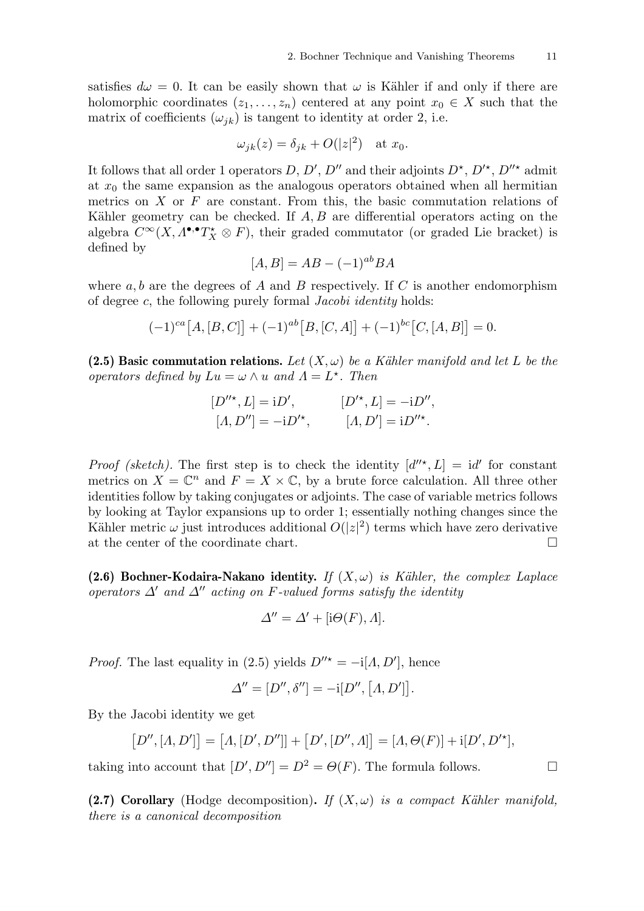satisfies  $d\omega = 0$ . It can be easily shown that  $\omega$  is Kähler if and only if there are holomorphic coordinates  $(z_1, \ldots, z_n)$  centered at any point  $x_0 \in X$  such that the matrix of coefficients  $(\omega_{jk})$  is tangent to identity at order 2, i.e.

$$
\omega_{jk}(z) = \delta_{jk} + O(|z|^2) \quad \text{at } x_0.
$$

It follows that all order 1 operators D, D', D'' and their adjoints  $D^*$ ,  $D'^*$ ,  $D''^*$  admit at  $x_0$  the same expansion as the analogous operators obtained when all hermitian metrics on  $X$  or  $F$  are constant. From this, the basic commutation relations of Kähler geometry can be checked. If  $A, B$  are differential operators acting on the algebra  $C^{\infty}(X, \Lambda^{\bullet,\bullet}T_X^{\star}\otimes F)$ , their graded commutator (or graded Lie bracket) is defined by

$$
[A, B] = AB - (-1)^{ab}BA
$$

where  $a, b$  are the degrees of A and B respectively. If C is another endomorphism of degree c, the following purely formal Jacobi identity holds:

$$
(-1)^{ca}[A,[B,C]] + (-1)^{ab}[B,[C,A]] + (-1)^{bc}[C,[A,B]] = 0.
$$

(2.5) Basic commutation relations. Let  $(X, \omega)$  be a Kähler manifold and let L be the operators defined by  $Lu = \omega \wedge u$  and  $\Lambda = L^*$ . Then

$$
[D''^*, L] = iD', \t [D'^*, L] = -iD'',
$$
  

$$
[A, D''] = -iD'^*, \t [A, D'] = iD''^*.
$$

*Proof (sketch)*. The first step is to check the identity  $[d''^{\star}, L] = id'$  for constant metrics on  $X = \mathbb{C}^n$  and  $F = X \times \mathbb{C}$ , by a brute force calculation. All three other identities follow by taking conjugates or adjoints. The case of variable metrics follows by looking at Taylor expansions up to order 1; essentially nothing changes since the Kähler metric  $\omega$  just introduces additional  $O(|z|^2)$  terms which have zero derivative at the center of the coordinate chart.

(2.6) Bochner-Kodaira-Nakano identity. If  $(X, \omega)$  is Kähler, the complex Laplace operators  $\Delta'$  and  $\Delta''$  acting on F-valued forms satisfy the identity

$$
\Delta'' = \Delta' + [i\Theta(F), \Lambda].
$$

*Proof.* The last equality in (2.5) yields  $D''^* = -i[A, D']$ , hence

$$
\Delta'' = [D'', \delta''] = -i[D'', [A, D']].
$$

By the Jacobi identity we get

$$
[D'', [A, D']] = [A, [D', D'']] + [D', [D'', A]] = [A, \Theta(F)] + i[D', D'^*],
$$

taking into account that  $[D', D''] = D^2 = \Theta(F)$ . The formula follows.

(2.7) Corollary (Hodge decomposition). If  $(X, \omega)$  is a compact Kähler manifold, there is a canonical decomposition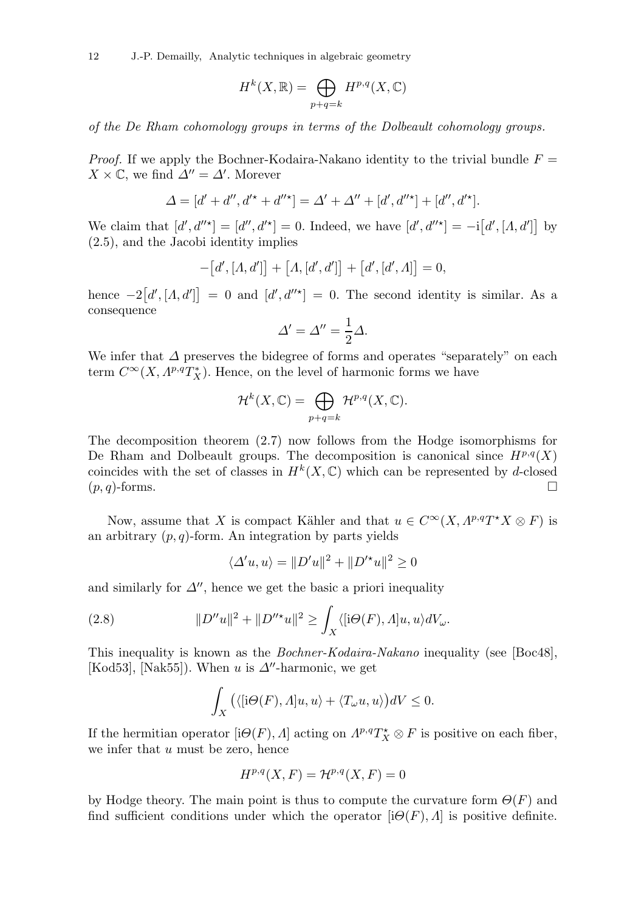12 J.-P. Demailly, Analytic techniques in algebraic geometry

$$
H^k(X, \mathbb{R}) = \bigoplus_{p+q=k} H^{p,q}(X, \mathbb{C})
$$

of the De Rham cohomology groups in terms of the Dolbeault cohomology groups.

*Proof.* If we apply the Bochner-Kodaira-Nakano identity to the trivial bundle  $F =$  $X \times \mathbb{C}$ , we find  $\Delta'' = \Delta'$ . Morever

$$
\Delta = [d' + d'', d'^* + d''^*] = \Delta' + \Delta'' + [d', d''^*] + [d'', d'^*].
$$

We claim that  $[d', d''^*] = [d'', d'^*] = 0$ . Indeed, we have  $[d', d''^*] = -i[d', [A, d']]$  by (2.5), and the Jacobi identity implies

$$
-[d', [A, d']] + [A, [d', d']] + [d', [d', A]] = 0,
$$

hence  $-2[d', [A, d']] = 0$  and  $[d', d''^{\star}] = 0$ . The second identity is similar. As a consequence

$$
\Delta' = \Delta'' = \frac{1}{2}\Delta.
$$

We infer that  $\Delta$  preserves the bidegree of forms and operates "separately" on each term  $C^{\infty}(X, A^{p,q}T_X^*)$ . Hence, on the level of harmonic forms we have

$$
\mathcal{H}^k(X,\mathbb{C}) = \bigoplus_{p+q=k} \mathcal{H}^{p,q}(X,\mathbb{C}).
$$

The decomposition theorem (2.7) now follows from the Hodge isomorphisms for De Rham and Dolbeault groups. The decomposition is canonical since  $H^{p,q}(X)$ coincides with the set of classes in  $H^k(X, \mathbb{C})$  which can be represented by d-closed  $(p, q)$ -forms.

Now, assume that X is compact Kähler and that  $u \in C^{\infty}(X, A^{p,q}T^*X \otimes F)$  is an arbitrary  $(p, q)$ -form. An integration by parts yields

$$
\langle \Delta' u, u \rangle = ||D'u||^2 + ||D'^*u||^2 \ge 0
$$

and similarly for  $\Delta''$ , hence we get the basic a priori inequality

(2.8) 
$$
||D''u||^2 + ||D''^*u||^2 \ge \int_X \langle [i\Theta(F), \Lambda]u, u \rangle dV_\omega.
$$

This inequality is known as the Bochner-Kodaira-Nakano inequality (see [Boc48], [Kod53], [Nak55]). When u is  $\Delta''$ -harmonic, we get

$$
\int_X (\langle [i\Theta(F), A]u, u \rangle + \langle T_\omega u, u \rangle) dV \le 0.
$$

If the hermitian operator  $[\mathrm{i}\Theta(F), \Lambda]$  acting on  $\Lambda^{p,q}T_X^{\star}\otimes F$  is positive on each fiber, we infer that  $u$  must be zero, hence

$$
H^{p,q}(X,F) = \mathcal{H}^{p,q}(X,F) = 0
$$

by Hodge theory. The main point is thus to compute the curvature form  $\Theta(F)$  and find sufficient conditions under which the operator  $[i\Theta(F), \Lambda]$  is positive definite.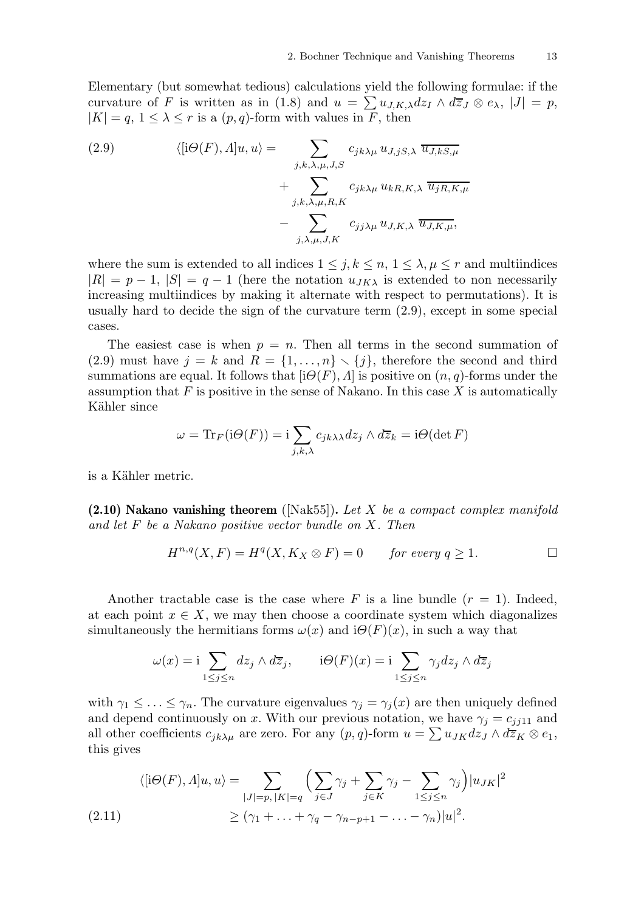Elementary (but somewhat tedious) calculations yield the following formulae: if the curvature of F is written as in (1.8) and  $u = \sum u_{J,K,\lambda} dz_I \wedge d\overline{z}_J \otimes e_{\lambda}, |J| = p$ ,  $|K| = q, 1 \leq \lambda \leq r$  is a  $(p, q)$ -form with values in F, then

(2.9) 
$$
\langle [i\Theta(F), A]u, u \rangle = \sum_{j,k,\lambda,\mu,J,S} c_{jk\lambda\mu} u_{J,jS,\lambda} \overline{u_{J,kS,\mu}} + \sum_{j,k,\lambda,\mu,R,K} c_{jk\lambda\mu} u_{kR,K,\lambda} \overline{u_{jR,K,\mu}} - \sum_{j,\lambda,\mu,J,K} c_{jj\lambda\mu} u_{J,K,\lambda} \overline{u_{J,K,\mu}},
$$

where the sum is extended to all indices  $1 \leq j, k \leq n, 1 \leq \lambda, \mu \leq r$  and multiindices  $|R| = p - 1$ ,  $|S| = q - 1$  (here the notation  $u_{JK\lambda}$  is extended to non necessarily increasing multiindices by making it alternate with respect to permutations). It is usually hard to decide the sign of the curvature term (2.9), except in some special cases.

The easiest case is when  $p = n$ . Then all terms in the second summation of (2.9) must have  $j = k$  and  $R = \{1, ..., n\} \setminus \{j\}$ , therefore the second and third summations are equal. It follows that  $[i\Theta(F), \Lambda]$  is positive on  $(n, q)$ -forms under the assumption that  $F$  is positive in the sense of Nakano. In this case  $X$  is automatically Kähler since

$$
\omega = \operatorname{Tr}_F(\mathrm{i}\Theta(F)) = \mathrm{i} \sum_{j,k,\lambda} c_{jk\lambda\lambda} dz_j \wedge d\overline{z}_k = \mathrm{i}\Theta(\det F)
$$

is a Kähler metric.

 $(2.10)$  Nakano vanishing theorem ([Nak55]). Let X be a compact complex manifold and let  $F$  be a Nakano positive vector bundle on  $X$ . Then

$$
H^{n,q}(X,F) = H^q(X, K_X \otimes F) = 0 \quad \text{for every } q \ge 1.
$$

Another tractable case is the case where F is a line bundle  $(r = 1)$ . Indeed, at each point  $x \in X$ , we may then choose a coordinate system which diagonalizes simultaneously the hermitians forms  $\omega(x)$  and  $i\Theta(F)(x)$ , in such a way that

$$
\omega(x) = \mathbf{i} \sum_{1 \le j \le n} dz_j \wedge d\overline{z}_j, \qquad \mathbf{i}\Theta(F)(x) = \mathbf{i} \sum_{1 \le j \le n} \gamma_j dz_j \wedge d\overline{z}_j
$$

with  $\gamma_1 \leq \ldots \leq \gamma_n$ . The curvature eigenvalues  $\gamma_j = \gamma_j(x)$  are then uniquely defined and depend continuously on x. With our previous notation, we have  $\gamma_i = c_{ij11}$  and all other coefficients  $c_{jk\lambda\mu}$  are zero. For any  $(p,q)$ -form  $u = \sum u_{JK}dz_J \wedge d\overline{z}_K \otimes e_1$ , this gives

$$
\langle [i\Theta(F), A]u, u \rangle = \sum_{|J|=p, |K|=q} \Big( \sum_{j \in J} \gamma_j + \sum_{j \in K} \gamma_j - \sum_{1 \le j \le n} \gamma_j \Big) |u_{JK}|^2
$$
  
(2.11)  

$$
\ge (\gamma_1 + \ldots + \gamma_q - \gamma_{n-p+1} - \ldots - \gamma_n) |u|^2.
$$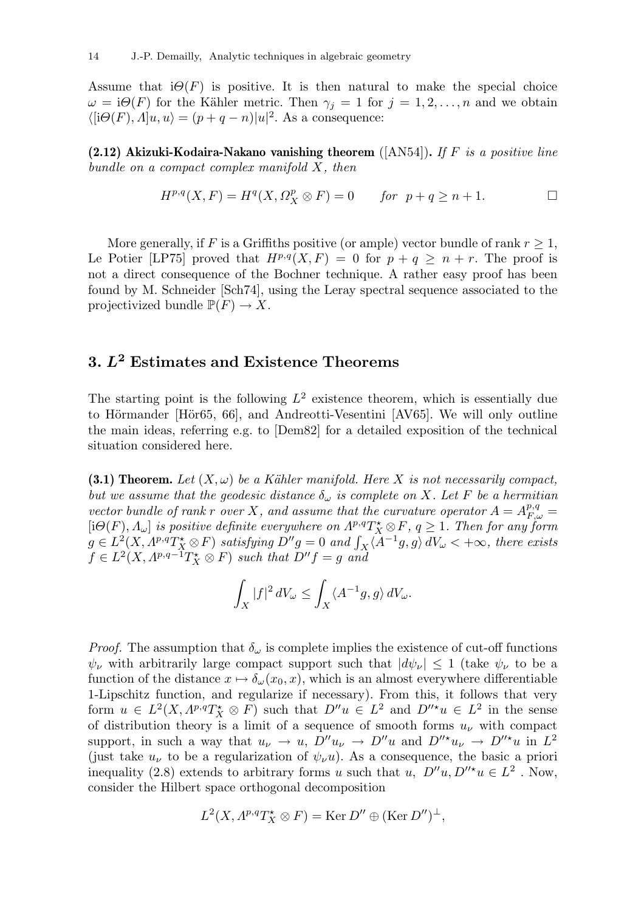Assume that  $i\Theta(F)$  is positive. It is then natural to make the special choice  $\omega = i\Theta(F)$  for the Kähler metric. Then  $\gamma_i = 1$  for  $j = 1, 2, ..., n$  and we obtain  $\langle [i\Theta(F), \Lambda]u, u \rangle = (p+q-n)|u|^2$ . As a consequence:

(2.12) Akizuki-Kodaira-Nakano vanishing theorem ([AN54]). If F is a positive line bundle on a compact complex manifold  $X$ , then

$$
H^{p,q}(X,F) = H^q(X, \Omega_X^p \otimes F) = 0 \quad \text{for } p+q \ge n+1.
$$

More generally, if F is a Griffiths positive (or ample) vector bundle of rank  $r \geq 1$ , Le Potier [LP75] proved that  $H^{p,q}(X, F) = 0$  for  $p + q \geq n + r$ . The proof is not a direct consequence of the Bochner technique. A rather easy proof has been found by M. Schneider [Sch74], using the Leray spectral sequence associated to the projectivized bundle  $\mathbb{P}(F) \to X$ .

# 3.  $L^2$  Estimates and Existence Theorems

The starting point is the following  $L^2$  existence theorem, which is essentially due to Hörmander [Hör65, 66], and Andreotti-Vesentini [AV65]. We will only outline the main ideas, referring e.g. to [Dem82] for a detailed exposition of the technical situation considered here.

(3.1) Theorem. Let  $(X, \omega)$  be a Kähler manifold. Here X is not necessarily compact, but we assume that the geodesic distance  $\delta_{\omega}$  is complete on X. Let F be a hermitian vector bundle of rank r over X, and assume that the curvature operator  $A = A_{F,\omega}^{p,q} =$  $[\mathrm{i}\Theta(F),\Lambda_\omega]$  is positive definite everywhere on  $\Lambda^{p,q}T^{\star}_X\otimes F$ ,  $q\geq 1$ . Then for any form  $g\in L^2(X, \Lambda^{p,q}T_X^{\star}\otimes F)$  satisfying  $D''g=0$  and  $\int_X \langle A^{-1}g, g\rangle dV_{\omega} < +\infty$ , there exists  $f \in L^2(X, A^{p,q-1}T_X^* \otimes F)$  such that  $D''f = g$  and

$$
\int_X |f|^2\,dV_\omega \leq \int_X \langle A^{-1}g,g\rangle\,dV_\omega.
$$

*Proof.* The assumption that  $\delta_{\omega}$  is complete implies the existence of cut-off functions  $\psi_{\nu}$  with arbitrarily large compact support such that  $|d\psi_{\nu}| \leq 1$  (take  $\psi_{\nu}$  to be a function of the distance  $x \mapsto \delta_{\omega}(x_0, x)$ , which is an almost everywhere differentiable 1-Lipschitz function, and regularize if necessary). From this, it follows that very form  $u \in L^2(X, A^{p,q}T^*_X \otimes F)$  such that  $D''u \in L^2$  and  $D''^*u \in L^2$  in the sense of distribution theory is a limit of a sequence of smooth forms  $u_{\nu}$  with compact support, in such a way that  $u_{\nu} \to u$ ,  $D''u_{\nu} \to D''u$  and  $D''^*u_{\nu} \to D''^*u$  in  $L^2$ (just take  $u_{\nu}$  to be a regularization of  $\psi_{\nu}u$ ). As a consequence, the basic a priori inequality (2.8) extends to arbitrary forms u such that u,  $D''u, D''^*u \in L^2$ . Now, consider the Hilbert space orthogonal decomposition

$$
L^{2}(X, \Lambda^{p,q}T_X^{\star} \otimes F) = \text{Ker } D'' \oplus (\text{Ker } D'')^{\perp},
$$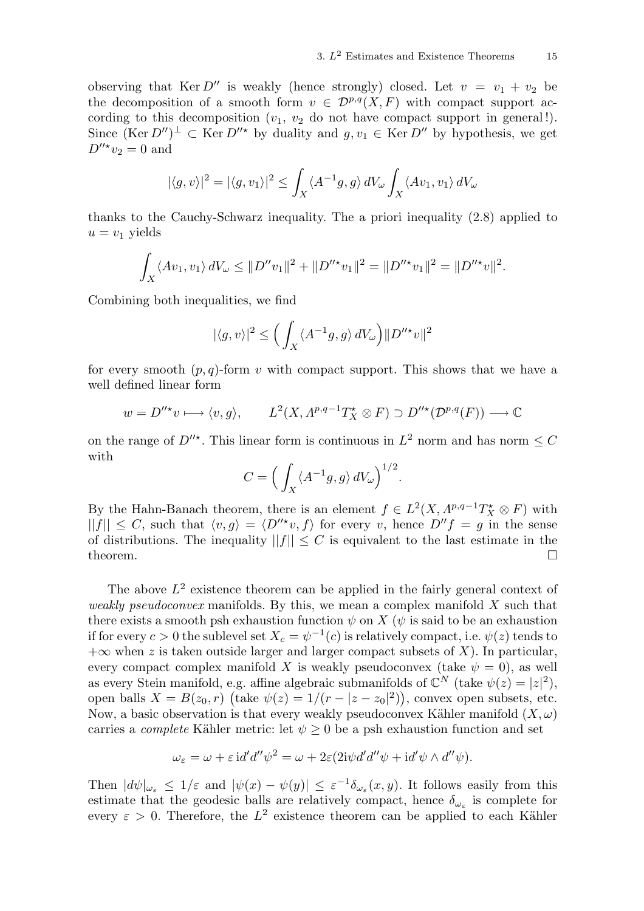observing that Ker  $D''$  is weakly (hence strongly) closed. Let  $v = v_1 + v_2$  be the decomposition of a smooth form  $v \in \mathcal{D}^{p,q}(X,F)$  with compact support according to this decomposition  $(v_1, v_2)$  do not have compact support in general!). Since  $(\text{Ker } D'')^{\perp} \subset \text{Ker } D''^*$  by duality and  $g, v_1 \in \text{Ker } D''$  by hypothesis, we get  $D''^{\star}v_2=0$  and

$$
|\langle g,v\rangle|^2=|\langle g,v_1\rangle|^2\leq \int_X \langle A^{-1}g,g\rangle\,dV_\omega\int_X \langle Av_1,v_1\rangle\,dV_\omega
$$

thanks to the Cauchy-Schwarz inequality. The a priori inequality (2.8) applied to  $u = v_1$  yields

$$
\int_X \langle Av_1, v_1 \rangle dV_\omega \le ||D''v_1||^2 + ||D''^*v_1||^2 = ||D''^*v_1||^2 = ||D''^*v||^2.
$$

Combining both inequalities, we find

$$
|\langle g,v\rangle|^2\leq \Big(\int_X \langle A^{-1}g,g\rangle\,dV_\omega\Big)\|D^{\prime\prime\star}v\|^2
$$

for every smooth  $(p, q)$ -form v with compact support. This shows that we have a well defined linear form

$$
w = D''^* v \longrightarrow \langle v, g \rangle
$$
,  $L^2(X, \Lambda^{p,q-1} T_X^* \otimes F) \supset D''^*(\mathcal{D}^{p,q}(F)) \longrightarrow \mathbb{C}$ 

on the range of  $D''^*$ . This linear form is continuous in  $L^2$  norm and has norm  $\leq C$ with

$$
C = \left(\int_X \langle A^{-1}g, g \rangle dV_\omega\right)^{1/2}.
$$

By the Hahn-Banach theorem, there is an element  $f \in L^2(X, \Lambda^{p,q-1}T^*_X \otimes F)$  with  $||f|| \leq C$ , such that  $\langle v, g \rangle = \langle D''^*v, f \rangle$  for every v, hence  $D''f = g$  in the sense of distributions. The inequality  $||f|| < C$  is equivalent to the last estimate in the theorem.  $\Box$ 

The above  $L^2$  existence theorem can be applied in the fairly general context of weakly pseudoconvex manifolds. By this, we mean a complex manifold  $X$  such that there exists a smooth psh exhaustion function  $\psi$  on X ( $\psi$  is said to be an exhaustion if for every  $c>0$  the sublevel set  $X_c=\psi^{-1}(c)$  is relatively compact, i.e.  $\psi(z)$  tends to  $+\infty$  when z is taken outside larger and larger compact subsets of X). In particular, every compact complex manifold X is weakly pseudoconvex (take  $\psi = 0$ ), as well as every Stein manifold, e.g. affine algebraic submanifolds of  $\mathbb{C}^N$  (take  $\psi(z) = |z|^2$ ), open balls  $X = B(z_0, r)$  (take  $\psi(z) = 1/(r - |z - z_0|^2)$ ), convex open subsets, etc. Now, a basic observation is that every weakly pseudoconvex Kähler manifold  $(X, \omega)$ carries a *complete* Kähler metric: let  $\psi \geq 0$  be a psh exhaustion function and set

$$
\omega_{\varepsilon} = \omega + \varepsilon \operatorname{id}' d'' \psi^{2} = \omega + 2\varepsilon (2i\psi d' d'' \psi + \operatorname{id}' \psi \wedge d'' \psi).
$$

Then  $|d\psi|_{\omega_{\varepsilon}} \leq 1/\varepsilon$  and  $|\psi(x) - \psi(y)| \leq \varepsilon^{-1}\delta_{\omega_{\varepsilon}}(x, y)$ . It follows easily from this estimate that the geodesic balls are relatively compact, hence  $\delta_{\omega_{\varepsilon}}$  is complete for every  $\varepsilon > 0$ . Therefore, the  $L^2$  existence theorem can be applied to each Kähler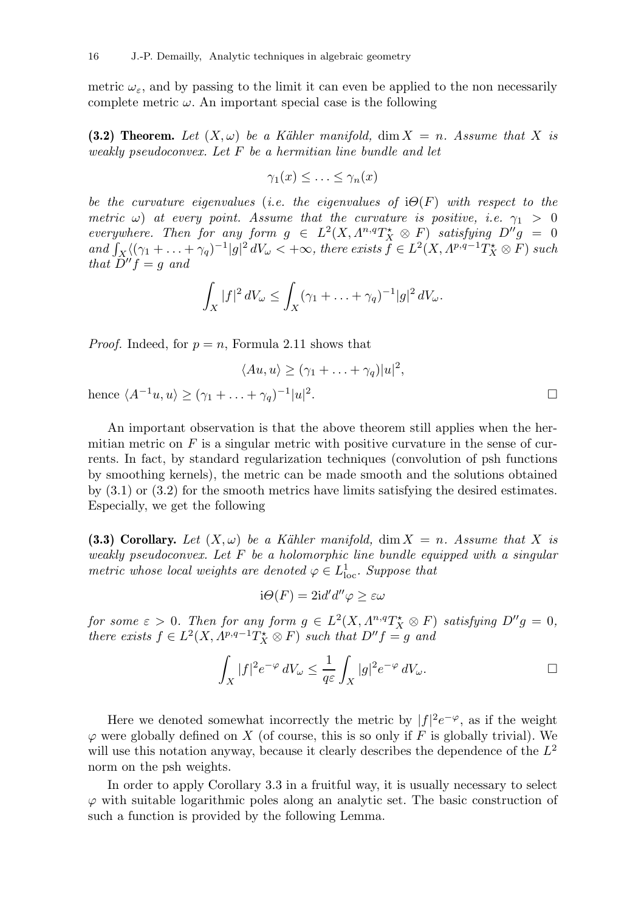metric  $\omega_{\varepsilon}$ , and by passing to the limit it can even be applied to the non necessarily complete metric  $\omega$ . An important special case is the following

(3.2) Theorem. Let  $(X, \omega)$  be a Kähler manifold, dim  $X = n$ . Assume that X is weakly pseudoconvex. Let F be a hermitian line bundle and let

$$
\gamma_1(x) \leq \ldots \leq \gamma_n(x)
$$

be the curvature eigenvalues (i.e. the eigenvalues of  $i\Theta(F)$  with respect to the metric  $\omega$ ) at every point. Assume that the curvature is positive, i.e.  $\gamma_1 > 0$ everywhere. Then for any form  $g \in L^2(X, \Lambda^{n,q}T_X^* \otimes F)$  satisfying  $D''g = 0$ and  $\int_X \langle (\gamma_1 + \ldots + \gamma_q)^{-1} | g |^2 dV_\omega \langle +\infty, \text{ there exists } \hat{f} \in L^2(X, \Lambda^{p,q-1}T_X^* \otimes F) \text{ such that } f \in L^2(X, \Lambda^{p,q-1}T_X^* \otimes F)$ that  $D''f = g$  and

$$
\int_X |f|^2 dV_\omega \le \int_X (\gamma_1 + \ldots + \gamma_q)^{-1} |g|^2 dV_\omega.
$$

 $\langle Au, u \rangle \geq (\gamma_1 + \ldots + \gamma_q)|u|^2,$ 

*Proof.* Indeed, for  $p = n$ , Formula 2.11 shows that

hence 
$$
\langle A^{-1}u, u \rangle \geq (\gamma_1 + \ldots + \gamma_q)^{-1} |u|^2
$$
.

An important observation is that the above theorem still applies when the hermitian metric on  $F$  is a singular metric with positive curvature in the sense of currents. In fact, by standard regularization techniques (convolution of psh functions by smoothing kernels), the metric can be made smooth and the solutions obtained by (3.1) or (3.2) for the smooth metrics have limits satisfying the desired estimates. Especially, we get the following

(3.3) Corollary. Let  $(X, \omega)$  be a Kähler manifold,  $\dim X = n$ . Assume that X is weakly pseudoconvex. Let  $F$  be a holomorphic line bundle equipped with a singular metric whose local weights are denoted  $\varphi \in L^1_{\text{loc}}$ . Suppose that

$$
i\Theta(F) = 2id'd''\varphi \geq \varepsilon\omega
$$

for some  $\varepsilon > 0$ . Then for any form  $g \in L^2(X, \Lambda^{n,q}T_X^{\star} \otimes F)$  satisfying  $D''g = 0$ , there exists  $f \in L^2(X, \Lambda^{p,q-1}T_X^* \otimes F)$  such that  $D''f = g$  and

$$
\int_X |f|^2 e^{-\varphi} \, dV_\omega \leq \frac{1}{q \varepsilon} \int_X |g|^2 e^{-\varphi} \, dV_\omega.
$$

Here we denoted somewhat incorrectly the metric by  $|f|^2 e^{-\varphi}$ , as if the weight  $\varphi$  were globally defined on X (of course, this is so only if F is globally trivial). We will use this notation anyway, because it clearly describes the dependence of the  $L^2$ norm on the psh weights.

In order to apply Corollary 3.3 in a fruitful way, it is usually necessary to select  $\varphi$  with suitable logarithmic poles along an analytic set. The basic construction of such a function is provided by the following Lemma.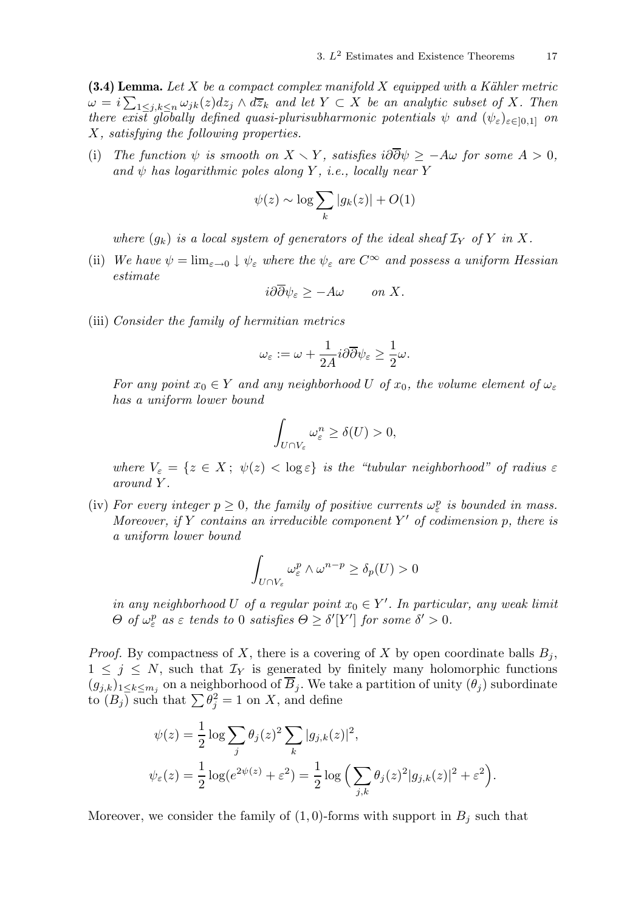(3.4) Lemma. Let X be a compact complex manifold X equipped with a Kähler metric  $\omega = i \sum_{1 \leq j,k \leq n} \omega_{jk}(z) dz_j \wedge d\overline{z}_k$  and let  $Y \subset X$  be an analytic subset of X. Then there exist globally defined quasi-plurisubharmonic potentials  $\psi$  and  $(\psi_{\varepsilon})_{\varepsilon \in ]0,1]}$  on X, satisfying the following properties.

(i) The function  $\psi$  is smooth on  $X \setminus Y$ , satisfies  $i\partial \overline{\partial} \psi \geq -A\omega$  for some  $A > 0$ , and  $\psi$  has logarithmic poles along Y, i.e., locally near Y

$$
\psi(z) \sim \log \sum_{k} |g_k(z)| + O(1)
$$

where  $(g_k)$  is a local system of generators of the ideal sheaf  $\mathcal{I}_Y$  of Y in X.

(ii) We have  $\psi = \lim_{\varepsilon \to 0} \psi_{\varepsilon}$  where the  $\psi_{\varepsilon}$  are  $C^{\infty}$  and possess a uniform Hessian estimate

$$
i\partial\partial\psi_{\varepsilon} \ge -A\omega \qquad on \ X.
$$

(iii) Consider the family of hermitian metrics

$$
\omega_{\varepsilon}:=\omega+\frac{1}{2A}i\partial\overline{\partial}\psi_{\varepsilon}\geq\frac{1}{2}\omega.
$$

For any point  $x_0 \in Y$  and any neighborhood U of  $x_0$ , the volume element of  $\omega_{\varepsilon}$ has a uniform lower bound

$$
\int_{U \cap V_{\varepsilon}} \omega_{\varepsilon}^n \ge \delta(U) > 0,
$$

where  $V_{\varepsilon} = \{z \in X; \ \psi(z) < \log \varepsilon\}$  is the "tubular neighborhood" of radius  $\varepsilon$ around Y .

(iv) For every integer  $p \geq 0$ , the family of positive currents  $\omega_{\varepsilon}^p$  is bounded in mass. Moreover, if Y contains an irreducible component  $Y'$  of codimension p, there is a uniform lower bound

$$
\int_{U\cap V_{\varepsilon}}\omega_{\varepsilon}^p\wedge\omega^{n-p}\geq\delta_p(U)>0
$$

in any neighborhood U of a regular point  $x_0 \in Y'$ . In particular, any weak limit  $\Theta$  of  $\omega_{\varepsilon}^p$  as  $\varepsilon$  tends to 0 satisfies  $\Theta \geq \delta'[Y']$  for some  $\delta' > 0$ .

*Proof.* By compactness of X, there is a covering of X by open coordinate balls  $B_i$ ,  $1 \leq j \leq N$ , such that  $\mathcal{I}_Y$  is generated by finitely many holomorphic functions  $(g_{j,k})_{1\leq k\leq m_j}$  on a neighborhood of  $B_j$ . We take a partition of unity  $(\theta_j)$  subordinate to  $(B_j)$  such that  $\sum \theta_j^2 = 1$  on X, and define

$$
\psi(z) = \frac{1}{2} \log \sum_{j} \theta_j(z)^2 \sum_{k} |g_{j,k}(z)|^2,
$$
  

$$
\psi_{\varepsilon}(z) = \frac{1}{2} \log(e^{2\psi(z)} + \varepsilon^2) = \frac{1}{2} \log \left( \sum_{j,k} \theta_j(z)^2 |g_{j,k}(z)|^2 + \varepsilon^2 \right)
$$

.

Moreover, we consider the family of  $(1,0)$ -forms with support in  $B_j$  such that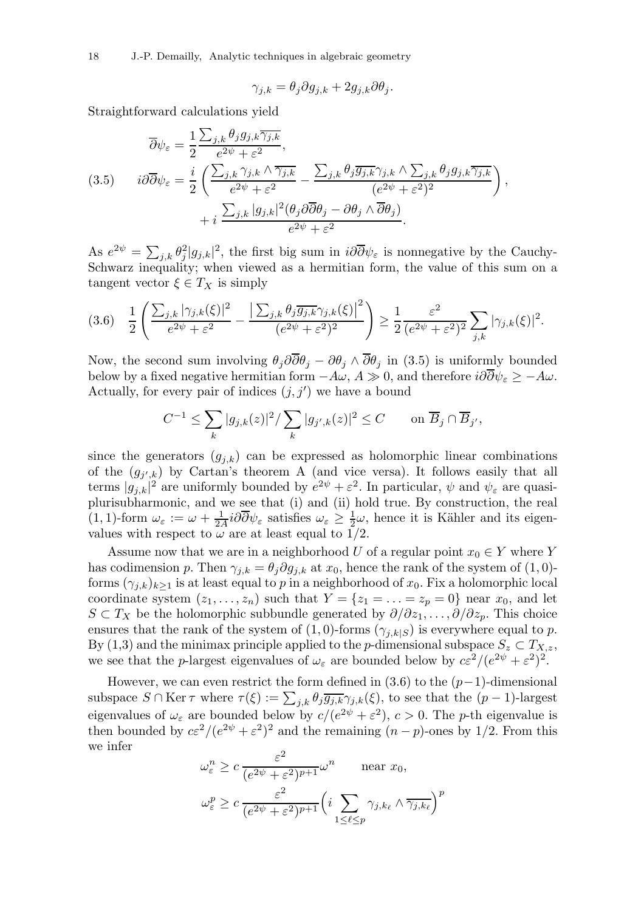18 J.-P. Demailly, Analytic techniques in algebraic geometry

$$
\gamma_{j,k} = \theta_j \partial g_{j,k} + 2g_{j,k} \partial \theta_j.
$$

Straightforward calculations yield

$$
\overline{\partial}\psi_{\varepsilon} = \frac{1}{2} \frac{\sum_{j,k} \theta_j g_{j,k} \overline{\gamma_{j,k}}}{e^{2\psi} + \varepsilon^2},
$$
\n
$$
(3.5) \qquad i\partial\overline{\partial}\psi_{\varepsilon} = \frac{i}{2} \left( \frac{\sum_{j,k} \gamma_{j,k} \wedge \overline{\gamma_{j,k}}}{e^{2\psi} + \varepsilon^2} - \frac{\sum_{j,k} \theta_j \overline{g_{j,k}} \gamma_{j,k} \wedge \sum_{j,k} \theta_j g_{j,k} \overline{\gamma_{j,k}}}{(e^{2\psi} + \varepsilon^2)^2} \right),
$$
\n
$$
+ i \frac{\sum_{j,k} |g_{j,k}|^2 (\theta_j \partial\overline{\partial}\theta_j - \partial\theta_j \wedge \overline{\partial}\theta_j)}{e^{2\psi} + \varepsilon^2}.
$$

As  $e^{2\psi} = \sum_{j,k} \theta_j^2 |g_{j,k}|^2$ , the first big sum in  $i\partial \overline{\partial} \psi_{\varepsilon}$  is nonnegative by the Cauchy-Schwarz inequality; when viewed as a hermitian form, the value of this sum on a tangent vector  $\xi \in T_X$  is simply

$$
(3.6) \quad \frac{1}{2} \left( \frac{\sum_{j,k} |\gamma_{j,k}(\xi)|^2}{e^{2\psi} + \varepsilon^2} - \frac{\left| \sum_{j,k} \theta_j \overline{g_{j,k}} \gamma_{j,k}(\xi) \right|^2}{(e^{2\psi} + \varepsilon^2)^2} \right) \ge \frac{1}{2} \frac{\varepsilon^2}{(e^{2\psi} + \varepsilon^2)^2} \sum_{j,k} |\gamma_{j,k}(\xi)|^2.
$$

Now, the second sum involving  $\theta_j \partial \overline{\partial} \theta_j - \partial \theta_j \wedge \overline{\partial} \theta_j$  in (3.5) is uniformly bounded below by a fixed negative hermitian form  $-A\omega$ ,  $A \gg 0$ , and therefore  $i\partial\overline{\partial}\psi_{\varepsilon} \geq -A\omega$ . Actually, for every pair of indices  $(j, j')$  we have a bound

$$
C^{-1} \leq \sum_{k} |g_{j,k}(z)|^2 / \sum_{k} |g_{j',k}(z)|^2 \leq C \quad \text{on } \overline{B}_j \cap \overline{B}_{j'},
$$

since the generators  $(g_{j,k})$  can be expressed as holomorphic linear combinations of the  $(g_{j',k})$  by Cartan's theorem A (and vice versa). It follows easily that all terms  $|g_{j,k}|^2$  are uniformly bounded by  $e^{2\psi} + \varepsilon^2$ . In particular,  $\psi$  and  $\psi_{\varepsilon}$  are quasiplurisubharmonic, and we see that (i) and (ii) hold true. By construction, the real  $(1,1)$ -form  $\omega_{\varepsilon} := \omega + \frac{1}{2\varepsilon}$  $\frac{1}{2A}i\partial\overline{\partial}\psi_{\varepsilon}$  satisfies  $\omega_{\varepsilon}\geq\frac{1}{2}$  $\frac{1}{2}\omega$ , hence it is Kähler and its eigenvalues with respect to  $\omega$  are at least equal to 1/2.

Assume now that we are in a neighborhood U of a regular point  $x_0 \in Y$  where Y has codimension p. Then  $\gamma_{j,k} = \theta_j \partial g_{j,k}$  at  $x_0$ , hence the rank of the system of  $(1, 0)$ forms  $(\gamma_{j,k})_{k\geq 1}$  is at least equal to p in a neighborhood of  $x_0$ . Fix a holomorphic local coordinate system  $(z_1, \ldots, z_n)$  such that  $Y = \{z_1 = \ldots = z_p = 0\}$  near  $x_0$ , and let  $S \subset T_X$  be the holomorphic subbundle generated by  $\partial/\partial z_1, \ldots, \partial/\partial z_p$ . This choice ensures that the rank of the system of  $(1,0)$ -forms  $(\gamma_{i,k|S})$  is everywhere equal to p. By (1,3) and the minimax principle applied to the p-dimensional subspace  $S_z \subset T_{X,z}$ , we see that the *p*-largest eigenvalues of  $\omega_{\varepsilon}$  are bounded below by  $c\varepsilon^2/(e^{2\psi} + \varepsilon^2)^2$ .

However, we can even restrict the form defined in  $(3.6)$  to the  $(p-1)$ -dimensional subspace  $S \cap \text{Ker } \tau$  where  $\tau(\xi) := \sum_{j,k} \theta_j \overline{g_{j,k}} \gamma_{j,k}(\xi)$ , to see that the  $(p-1)$ -largest eigenvalues of  $\omega_{\varepsilon}$  are bounded below by  $c/(e^{2\psi} + \varepsilon^2)$ ,  $c > 0$ . The *p*-th eigenvalue is then bounded by  $c\epsilon^2/(e^{2\psi} + \epsilon^2)^2$  and the remaining  $(n-p)$ -ones by 1/2. From this we infer  $\overline{2}$ 

$$
\omega_{\varepsilon}^{n} \ge c \frac{\varepsilon^{2}}{(e^{2\psi} + \varepsilon^{2})^{p+1}} \omega^{n} \quad \text{near } x_{0},
$$

$$
\omega_{\varepsilon}^{p} \ge c \frac{\varepsilon^{2}}{(e^{2\psi} + \varepsilon^{2})^{p+1}} \left(i \sum_{1 \le \ell \le p} \gamma_{j,k_{\ell}} \wedge \overline{\gamma_{j,k_{\ell}}} \right)^{p}
$$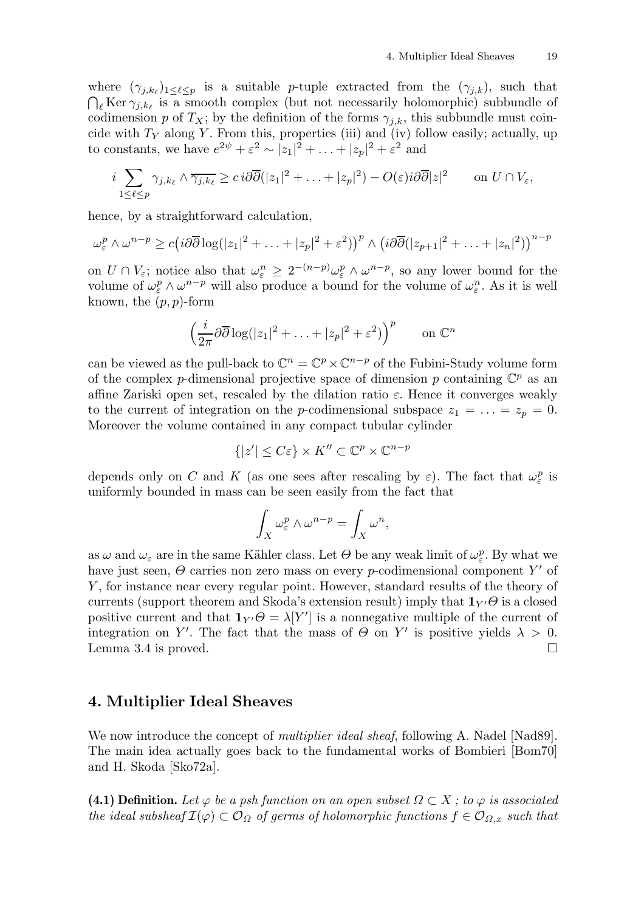where  $(\gamma_{j,k_\ell})_{1 \leq \ell \leq p}$  is a suitable p-tuple extracted from the  $(\gamma_{j,k})$ , such that  $\bigcap_{\ell}$  Ker  $\gamma_{j,k_{\ell}}$  is a smooth complex (but not necessarily holomorphic) subbundle of codimension p of  $T_X$ ; by the definition of the forms  $\gamma_{i,k}$ , this subbundle must coincide with  $T_Y$  along Y. From this, properties (iii) and (iv) follow easily; actually, up to constants, we have  $e^{2\psi} + \varepsilon^2 \sim |z_1|^2 + \ldots + |z_p|^2 + \varepsilon^2$  and

$$
i \sum_{1 \leq \ell \leq p} \gamma_{j,k_{\ell}} \wedge \overline{\gamma_{j,k_{\ell}}} \geq c \, i \partial \overline{\partial} (|z_1|^2 + \ldots + |z_p|^2) - O(\varepsilon) i \partial \overline{\partial} |z|^2 \qquad \text{on } U \cap V_{\varepsilon},
$$

hence, by a straightforward calculation,

$$
\omega_{\varepsilon}^p \wedge \omega^{n-p} \ge c \big( i \partial \overline{\partial} \log(|z_1|^2 + \ldots + |z_p|^2 + \varepsilon^2) \big)^p \wedge \big( i \partial \overline{\partial} (|z_{p+1}|^2 + \ldots + |z_n|^2) \big)^{n-p}
$$

on  $U \cap V_{\varepsilon}$ ; notice also that  $\omega_{\varepsilon}^n \geq 2^{-(n-p)} \omega_{\varepsilon}^p \wedge \omega^{n-p}$ , so any lower bound for the volume of  $\omega_{\varepsilon}^p \wedge \omega^{n-p}$  will also produce a bound for the volume of  $\omega_{\varepsilon}^n$ . As it is well known, the  $(p, p)$ -form

$$
\left(\frac{i}{2\pi}\partial\overline{\partial}\log(|z_1|^2+\ldots+|z_p|^2+\varepsilon^2)\right)^p \qquad \text{on } \mathbb{C}^n
$$

can be viewed as the pull-back to  $\mathbb{C}^n = \mathbb{C}^p \times \mathbb{C}^{n-p}$  of the Fubini-Study volume form of the complex *p*-dimensional projective space of dimension *p* containing  $\mathbb{C}^p$  as an affine Zariski open set, rescaled by the dilation ratio  $\varepsilon$ . Hence it converges weakly to the current of integration on the *p*-codimensional subspace  $z_1 = \ldots = z_p = 0$ . Moreover the volume contained in any compact tubular cylinder

$$
\{|z'| \le C\varepsilon\} \times K'' \subset \mathbb{C}^p \times \mathbb{C}^{n-p}
$$

depends only on C and K (as one sees after rescaling by  $\varepsilon$ ). The fact that  $\omega_{\varepsilon}^p$  is uniformly bounded in mass can be seen easily from the fact that

$$
\int_X \omega_{\varepsilon}^p \wedge \omega^{n-p} = \int_X \omega^n,
$$

as  $\omega$  and  $\omega_{\varepsilon}$  are in the same Kähler class. Let  $\Theta$  be any weak limit of  $\omega_{\varepsilon}^p$ . By what we have just seen,  $\Theta$  carries non zero mass on every *p*-codimensional component Y' of Y, for instance near every regular point. However, standard results of the theory of currents (support theorem and Skoda's extension result) imply that  $\mathbf{1}_{Y'}\Theta$  is a closed positive current and that  $\mathbf{1}_{Y'}\Theta = \lambda[Y']$  is a nonnegative multiple of the current of integration on Y'. The fact that the mass of  $\Theta$  on Y' is positive yields  $\lambda > 0$ . Lemma 3.4 is proved.  $\square$ 

#### 4. Multiplier Ideal Sheaves

We now introduce the concept of *multiplier ideal sheaf*, following A. Nadel [Nad89]. The main idea actually goes back to the fundamental works of Bombieri [Bom70] and H. Skoda [Sko72a].

(4.1) Definition. Let  $\varphi$  be a psh function on an open subset  $\Omega \subset X$ ; to  $\varphi$  is associated the ideal subsheaf  $\mathcal{I}(\varphi) \subset \mathcal{O}_{\Omega}$  of germs of holomorphic functions  $f \in \mathcal{O}_{\Omega,x}$  such that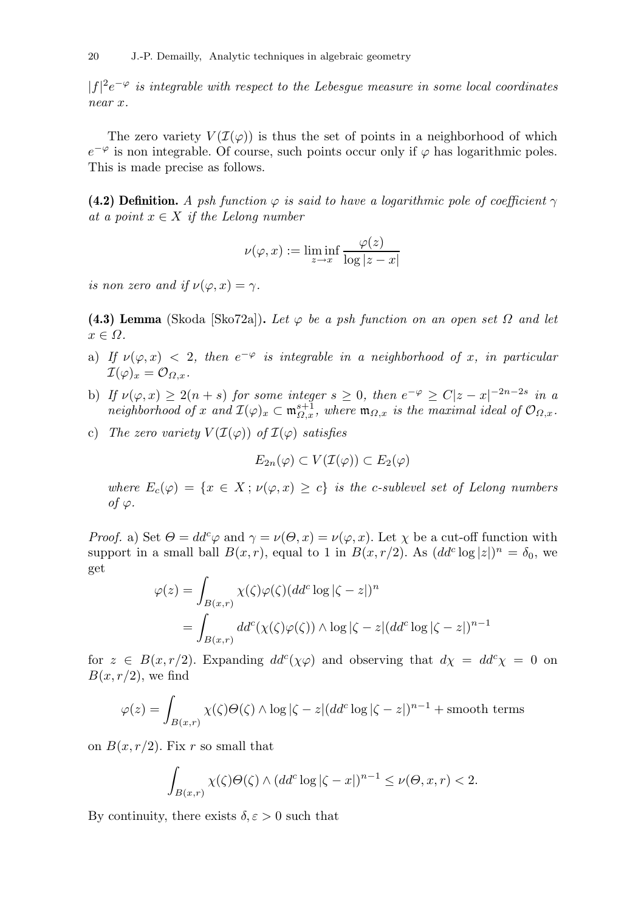$|f|^2e^{-\varphi}$  is integrable with respect to the Lebesgue measure in some local coordinates near x.

The zero variety  $V(\mathcal{I}(\varphi))$  is thus the set of points in a neighborhood of which  $e^{-\varphi}$  is non integrable. Of course, such points occur only if  $\varphi$  has logarithmic poles. This is made precise as follows.

(4.2) Definition. A psh function  $\varphi$  is said to have a logarithmic pole of coefficient  $\gamma$ at a point  $x \in X$  if the Lelong number

$$
\nu(\varphi, x) := \liminf_{z \to x} \frac{\varphi(z)}{\log|z - x|}
$$

is non zero and if  $\nu(\varphi, x) = \gamma$ .

(4.3) Lemma (Skoda [Sko72a]). Let  $\varphi$  be a psh function on an open set  $\Omega$  and let  $x \in \Omega$ .

- a) If  $\nu(\varphi, x) < 2$ , then  $e^{-\varphi}$  is integrable in a neighborhood of x, in particular  $\mathcal{I}(\varphi)_x = \mathcal{O}_{Q_x}.$
- b) If  $\nu(\varphi, x) \geq 2(n+s)$  for some integer  $s \geq 0$ , then  $e^{-\varphi} \geq C|z-x|^{-2n-2s}$  in a neighborhood of x and  $\mathcal{I}(\varphi)_x \subset \mathfrak{m}_{\Omega,x}^{s+1}$ , where  $\mathfrak{m}_{\Omega,x}$  is the maximal ideal of  $\mathcal{O}_{\Omega,x}$ .
- c) The zero variety  $V(\mathcal{I}(\varphi))$  of  $\mathcal{I}(\varphi)$  satisfies

$$
E_{2n}(\varphi) \subset V(\mathcal{I}(\varphi)) \subset E_2(\varphi)
$$

where  $E_c(\varphi) = \{x \in X : \nu(\varphi, x) \geq c\}$  is the c-sublevel set of Lelong numbers of  $\varphi$ .

*Proof.* a) Set  $\Theta = dd^c \varphi$  and  $\gamma = \nu(\Theta, x) = \nu(\varphi, x)$ . Let  $\chi$  be a cut-off function with support in a small ball  $B(x, r)$ , equal to 1 in  $B(x, r/2)$ . As  $(dd^c \log |z|)^n = \delta_0$ , we get

$$
\varphi(z) = \int_{B(x,r)} \chi(\zeta)\varphi(\zeta) (dd^c \log|\zeta - z|)^n
$$
  
= 
$$
\int_{B(x,r)} dd^c(\chi(\zeta)\varphi(\zeta)) \wedge \log|\zeta - z| (dd^c \log|\zeta - z|)^{n-1}
$$

for  $z \in B(x, r/2)$ . Expanding  $dd^c(\chi \varphi)$  and observing that  $d\chi = dd^c \chi = 0$  on  $B(x, r/2)$ , we find

$$
\varphi(z) = \int_{B(x,r)} \chi(\zeta) \Theta(\zeta) \wedge \log|\zeta - z| (dd^c \log|\zeta - z|)^{n-1} + \text{smooth terms}
$$

on  $B(x, r/2)$ . Fix r so small that

$$
\int_{B(x,r)} \chi(\zeta) \Theta(\zeta) \wedge (dd^c \log|\zeta - x|)^{n-1} \le \nu(\Theta, x, r) < 2.
$$

By continuity, there exists  $\delta, \varepsilon > 0$  such that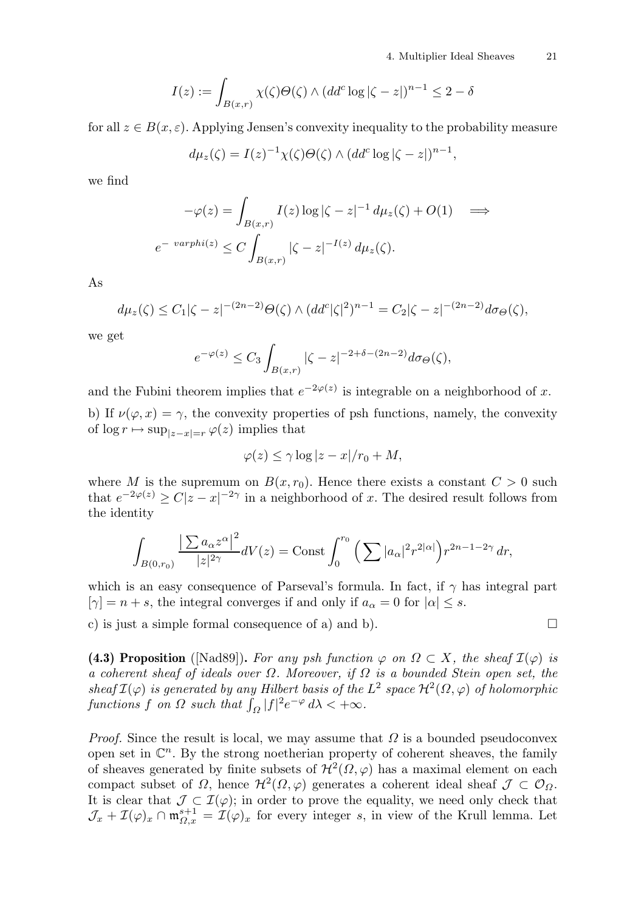$$
I(z) := \int_{B(x,r)} \chi(\zeta) \Theta(\zeta) \wedge (dd^c \log|\zeta - z|)^{n-1} \le 2 - \delta
$$

for all  $z \in B(x, \varepsilon)$ . Applying Jensen's convexity inequality to the probability measure

$$
d\mu_z(\zeta) = I(z)^{-1} \chi(\zeta) \Theta(\zeta) \wedge (dd^c \log|\zeta - z|)^{n-1},
$$

we find

$$
-\varphi(z) = \int_{B(x,r)} I(z) \log|\zeta - z|^{-1} d\mu_z(\zeta) + O(1) \quad \Longrightarrow
$$
  

$$
e^{-\varphi(\zeta)} \le C \int_{B(x,r)} |\zeta - z|^{-1(z)} d\mu_z(\zeta).
$$

As

$$
d\mu_z(\zeta) \le C_1 |\zeta - z|^{-(2n-2)} \Theta(\zeta) \wedge (dd^c |\zeta|^2)^{n-1} = C_2 |\zeta - z|^{-(2n-2)} d\sigma_\Theta(\zeta),
$$

we get

$$
e^{-\varphi(z)} \le C_3 \int_{B(x,r)} |\zeta - z|^{-2+\delta - (2n-2)} d\sigma_{\Theta}(\zeta),
$$

and the Fubini theorem implies that  $e^{-2\varphi(z)}$  is integrable on a neighborhood of x. b) If  $\nu(\varphi, x) = \gamma$ , the convexity properties of psh functions, namely, the convexity of  $\log r \mapsto \sup_{|z-x|=r} \varphi(z)$  implies that

$$
\varphi(z) \le \gamma \log|z - x|/r_0 + M,
$$

where M is the supremum on  $B(x, r_0)$ . Hence there exists a constant  $C > 0$  such that  $e^{-2\varphi(z)} \ge C|z-x|^{-2\gamma}$  in a neighborhood of x. The desired result follows from the identity

$$
\int_{B(0,r_0)}\frac{\left|\sum a_{\alpha}z^{\alpha}\right|^2}{|z|^{2\gamma}}dV(z)=\text{Const}\int_0^{r_0}\Big(\sum|a_{\alpha}|^2r^{2|\alpha|}\Big)r^{2n-1-2\gamma}\,dr,
$$

which is an easy consequence of Parseval's formula. In fact, if  $\gamma$  has integral part  $[\gamma] = n + s$ , the integral converges if and only if  $a_{\alpha} = 0$  for  $|\alpha| \leq s$ .

c) is just a simple formal consequence of a) and b).  $\square$ 

(4.3) Proposition ([Nad89]). For any psh function  $\varphi$  on  $\Omega \subset X$ , the sheaf  $\mathcal{I}(\varphi)$  is a coherent sheaf of ideals over  $\Omega$ . Moreover, if  $\Omega$  is a bounded Stein open set, the sheaf  $\mathcal{I}(\varphi)$  is generated by any Hilbert basis of the  $L^2$  space  $\mathcal{H}^2(\Omega,\varphi)$  of holomorphic functions f on  $\Omega$  such that  $\int_{\Omega} |f|^2 e^{-\varphi} d\lambda < +\infty$ .

*Proof.* Since the result is local, we may assume that  $\Omega$  is a bounded pseudoconvex open set in  $\mathbb{C}^n$ . By the strong noetherian property of coherent sheaves, the family of sheaves generated by finite subsets of  $\mathcal{H}^2(\Omega,\varphi)$  has a maximal element on each compact subset of  $\Omega$ , hence  $\mathcal{H}^2(\Omega,\varphi)$  generates a coherent ideal sheaf  $\mathcal{J} \subset \mathcal{O}_{\Omega}$ . It is clear that  $\mathcal{J} \subset \mathcal{I}(\varphi)$ ; in order to prove the equality, we need only check that  $\mathcal{J}_x + \mathcal{I}(\varphi)_x \cap \mathfrak{m}_{\Omega,x}^{s+1} = \mathcal{I}(\varphi)_x$  for every integer s, in view of the Krull lemma. Let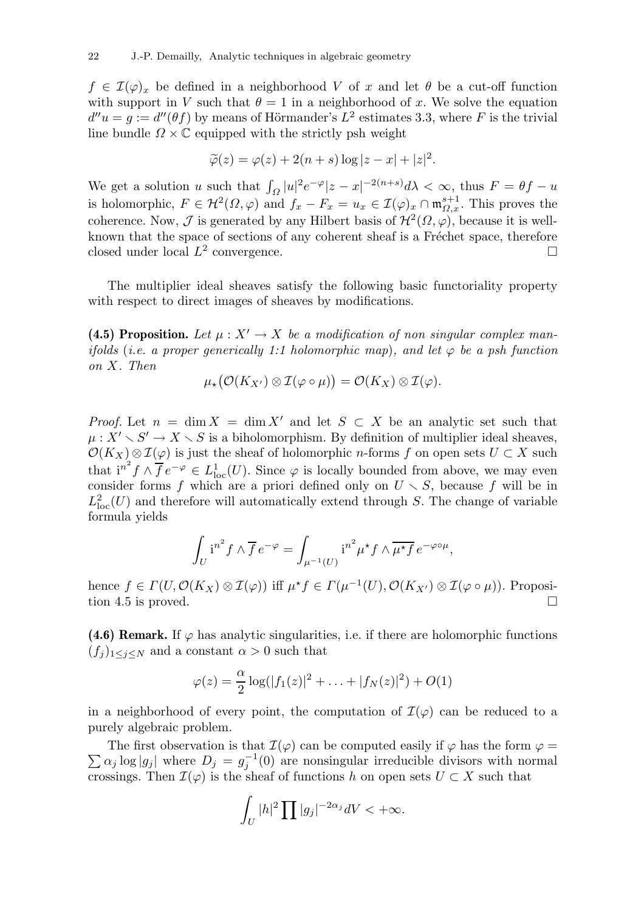$f \in \mathcal{I}(\varphi)_x$  be defined in a neighborhood V of x and let  $\theta$  be a cut-off function with support in V such that  $\theta = 1$  in a neighborhood of x. We solve the equation  $d''u = g := d''(\theta f)$  by means of Hörmander's  $L^2$  estimates 3.3, where F is the trivial line bundle  $\Omega \times \mathbb{C}$  equipped with the strictly psh weight

$$
\widetilde{\varphi}(z) = \varphi(z) + 2(n+s)\log|z-x| + |z|^2.
$$

We get a solution u such that  $\int_{\Omega} |u|^2 e^{-\varphi} |z - x|^{-2(n+s)} d\lambda < \infty$ , thus  $F = \theta f - u$ is holomorphic,  $F \in H^2(\Omega, \varphi)$  and  $f_x - F_x = u_x \in \mathcal{I}(\varphi)_x \cap \mathfrak{m}_{\Omega, x}^{s+1}$ . This proves the coherence. Now,  $\mathcal J$  is generated by any Hilbert basis of  $\mathcal H^2(\Omega,\varphi)$ , because it is wellknown that the space of sections of any coherent sheaf is a Fréchet space, therefore closed under local  $L^2$  convergence.

The multiplier ideal sheaves satisfy the following basic functoriality property with respect to direct images of sheaves by modifications.

(4.5) Proposition. Let  $\mu: X' \to X$  be a modification of non singular complex manifolds (i.e. a proper generically 1:1 holomorphic map), and let  $\varphi$  be a psh function on X. Then

$$
\mu_{\star}\big(\mathcal{O}(K_{X'})\otimes\mathcal{I}(\varphi\circ\mu)\big)=\mathcal{O}(K_X)\otimes\mathcal{I}(\varphi).
$$

*Proof.* Let  $n = \dim X = \dim X'$  and let  $S \subset X$  be an analytic set such that  $\mu: X' \setminus S' \to X \setminus S$  is a biholomorphism. By definition of multiplier ideal sheaves,  $\mathcal{O}(K_X) \otimes \mathcal{I}(\varphi)$  is just the sheaf of holomorphic *n*-forms f on open sets  $U \subset X$  such that  $i^{n^2} f \wedge \overline{f} e^{-\varphi} \in L^1_{loc}(U)$ . Since  $\varphi$  is locally bounded from above, we may even consider forms f which are a priori defined only on  $U \setminus S$ , because f will be in  $L^2_{\text{loc}}(U)$  and therefore will automatically extend through S. The change of variable formula yields

$$
\int_{U} i^{n^{2}} f \wedge \overline{f} e^{-\varphi} = \int_{\mu^{-1}(U)} i^{n^{2}} \mu^{\star} f \wedge \overline{\mu^{\star} f} e^{-\varphi \circ \mu},
$$

hence  $f \in \Gamma(U, \mathcal{O}(K_X) \otimes \mathcal{I}(\varphi))$  iff  $\mu^* f \in \Gamma(\mu^{-1}(U), \mathcal{O}(K_{X'}) \otimes \mathcal{I}(\varphi \circ \mu))$ . Proposition 4.5 is proved.

(4.6) Remark. If  $\varphi$  has analytic singularities, i.e. if there are holomorphic functions  $(f_i)_{1\leq i\leq N}$  and a constant  $\alpha > 0$  such that

$$
\varphi(z) = \frac{\alpha}{2} \log(|f_1(z)|^2 + \ldots + |f_N(z)|^2) + O(1)
$$

in a neighborhood of every point, the computation of  $\mathcal{I}(\varphi)$  can be reduced to a purely algebraic problem.

 $\sum \alpha_j \log |g_j|$  where  $D_j = g_j^{-1}$ The first observation is that  $\mathcal{I}(\varphi)$  can be computed easily if  $\varphi$  has the form  $\varphi =$  $j^{-1}(0)$  are nonsingular irreducible divisors with normal crossings. Then  $\mathcal{I}(\varphi)$  is the sheaf of functions h on open sets  $U \subset X$  such that

$$
\int_U |h|^2 \prod |g_j|^{-2\alpha_j} dV < +\infty.
$$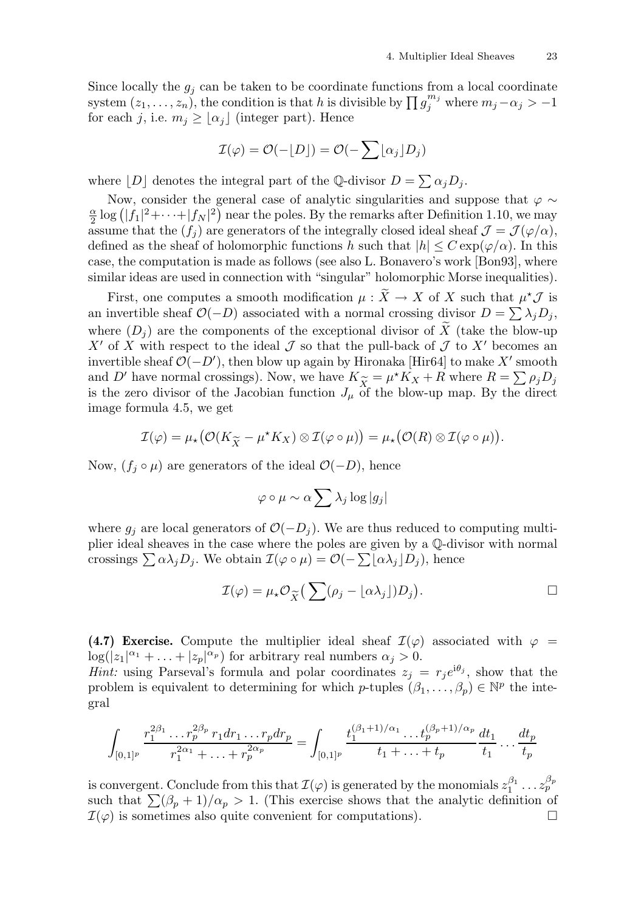Since locally the  $g_i$  can be taken to be coordinate functions from a local coordinate system  $(z_1, \ldots, z_n)$ , the condition is that h is divisible by  $\prod g_j^{m_j}$  where  $m_j - \alpha_j > -1$ for each j, i.e.  $m_j \geq |\alpha_j|$  (integer part). Hence

$$
\mathcal{I}(\varphi) = \mathcal{O}(-\lfloor D \rfloor) = \mathcal{O}(-\sum \lfloor \alpha_j \rfloor D_j)
$$

where  $[D]$  denotes the integral part of the Q-divisor  $D = \sum \alpha_j D_j$ .

Now, consider the general case of analytic singularities and suppose that  $\varphi \sim$ α  $\frac{\alpha}{2} \log (|f_1|^2 + \cdots + |f_N|^2)$  near the poles. By the remarks after Definition 1.10, we may assume that the  $(f_i)$  are generators of the integrally closed ideal sheaf  $\mathcal{J} = \mathcal{J}(\varphi/\alpha)$ , defined as the sheaf of holomorphic functions h such that  $|h| \leq C \exp(\varphi/\alpha)$ . In this case, the computation is made as follows (see also L. Bonavero's work [Bon93], where similar ideas are used in connection with "singular" holomorphic Morse inequalities).

First, one computes a smooth modification  $\mu : X \to X$  of X such that  $\mu^* \mathcal{J}$  is an invertible sheaf  $\mathcal{O}(-D)$  associated with a normal crossing divisor  $D = \sum \lambda_j D_j$ , where  $(D_i)$  are the components of the exceptional divisor of X (take the blow-up X' of X with respect to the ideal  $\mathcal J$  so that the pull-back of  $\mathcal J$  to X' becomes an invertible sheaf  $\mathcal{O}(-D')$ , then blow up again by Hironaka [Hir64] to make X' smooth and D' have normal crossings). Now, we have  $K_{\widetilde{X}} = \mu^* K_X + R$  where  $R = \sum \rho_j D_j$  is the zero divisor of the Jacobian function  $J_{\nu}$  of the blow-up map. By the direct is the zero divisor of the Jacobian function  $J_{\mu}$  of the blow-up map. By the direct image formula 4.5, we get

$$
\mathcal{I}(\varphi) = \mu_{\star} \big( \mathcal{O}(K_{\widetilde{X}} - \mu^{\star} K_X) \otimes \mathcal{I}(\varphi \circ \mu) \big) = \mu_{\star} \big( \mathcal{O}(R) \otimes \mathcal{I}(\varphi \circ \mu) \big).
$$

Now,  $(f_i \circ \mu)$  are generators of the ideal  $\mathcal{O}(-D)$ , hence

$$
\varphi \circ \mu \sim \alpha \sum \lambda_j \log |g_j|
$$

where  $g_i$  are local generators of  $\mathcal{O}(-D_i)$ . We are thus reduced to computing multiplier ideal sheaves in the case where the poles are given by a Q-divisor with normal crossings  $\sum \alpha \lambda_j D_j$ . We obtain  $\mathcal{I}(\varphi \circ \mu) = \mathcal{O}(-\sum [\alpha \lambda_j] D_j)$ , hence

$$
\mathcal{I}(\varphi) = \mu_{\star} \mathcal{O}_{\widetilde{X}} \big( \sum (\rho_j - \lfloor \alpha \lambda_j \rfloor) D_j \big).
$$

(4.7) Exercise. Compute the multiplier ideal sheaf  $\mathcal{I}(\varphi)$  associated with  $\varphi =$  $\log(|z_1|^{\alpha_1} + \ldots + |z_p|^{\alpha_p})$  for arbitrary real numbers  $\alpha_j > 0$ .

*Hint*: using Parseval's formula and polar coordinates  $z_j = r_j e^{i\theta_j}$ , show that the problem is equivalent to determining for which p-tuples  $(\beta_1, \ldots, \beta_p) \in \mathbb{N}^p$  the integral

$$
\int_{[0,1]^p} \frac{r_1^{2\beta_1} \dots r_p^{2\beta_p} r_1 dr_1 \dots r_p dr_p}{r_1^{2\alpha_1} + \dots + r_p^{2\alpha_p}} = \int_{[0,1]^p} \frac{t_1^{(\beta_1+1)/\alpha_1} \dots t_p^{(\beta_p+1)/\alpha_p} dt_1}{t_1 + \dots + t_p} \frac{dt_1}{t_1} \dots \frac{dt_p}{t_p}
$$

is convergent. Conclude from this that  $\mathcal{I}(\varphi)$  is generated by the monomials  $z_1^{\beta_1}$  $a_1^{\beta_1} \dots a_p^{\beta_p}$ such that  $\sum(\beta_p + 1)/\alpha_p > 1$ . (This exercise shows that the analytic definition of  $\mathcal{I}(\varphi)$  is sometimes also quite convenient for computations).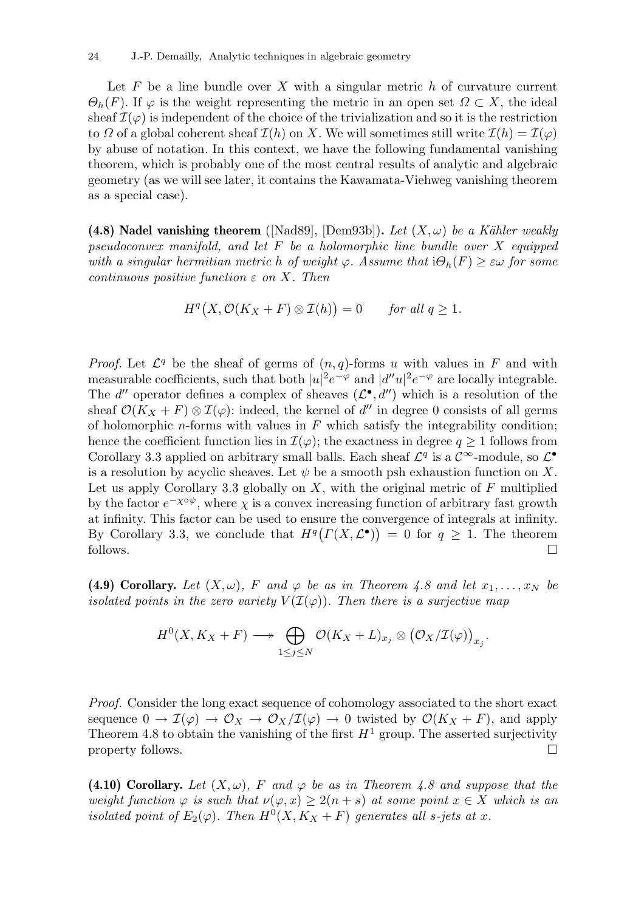Let F be a line bundle over X with a singular metric h of curvature current  $\Theta_h(F)$ . If  $\varphi$  is the weight representing the metric in an open set  $\Omega \subset X$ , the ideal sheaf  $\mathcal{I}(\varphi)$  is independent of the choice of the trivialization and so it is the restriction to  $\Omega$  of a global coherent sheaf  $\mathcal{I}(h)$  on X. We will sometimes still write  $\mathcal{I}(h) = \mathcal{I}(\varphi)$ by abuse of notation. In this context, we have the following fundamental vanishing theorem, which is probably one of the most central results of analytic and algebraic geometry (as we will see later, it contains the Kawamata-Viehweg vanishing theorem as a special case).

(4.8) Nadel vanishing theorem ([Nad89], [Dem93b]). Let  $(X, \omega)$  be a Kähler weakly pseudoconvex manifold, and let  $F$  be a holomorphic line bundle over  $X$  equipped with a singular hermitian metric h of weight  $\varphi$ . Assume that  $i\Theta_h(F) \geq \varepsilon \omega$  for some continuous positive function  $\varepsilon$  on X. Then

$$
H^{q}(X,\mathcal{O}(K_X + F) \otimes \mathcal{I}(h)) = 0 \quad \text{for all } q \ge 1.
$$

*Proof.* Let  $\mathcal{L}^q$  be the sheaf of germs of  $(n, q)$ -forms u with values in F and with measurable coefficients, such that both  $|u|^2 e^{-\varphi}$  and  $|d''u|^2 e^{-\varphi}$  are locally integrable. The d'' operator defines a complex of sheaves  $(\mathcal{L}^{\bullet}, d'')$  which is a resolution of the sheaf  $\mathcal{O}(K_X + F) \otimes \mathcal{I}(\varphi)$ : indeed, the kernel of d'' in degree 0 consists of all germs of holomorphic *n*-forms with values in  $F$  which satisfy the integrability condition; hence the coefficient function lies in  $\mathcal{I}(\varphi)$ ; the exactness in degree  $q \geq 1$  follows from Corollary 3.3 applied on arbitrary small balls. Each sheaf  $\mathcal{L}^q$  is a  $\mathcal{C}^{\infty}$ -module, so  $\mathcal{L}^{\bullet}$ is a resolution by acyclic sheaves. Let  $\psi$  be a smooth psh exhaustion function on X. Let us apply Corollary 3.3 globally on  $X$ , with the original metric of  $F$  multiplied by the factor  $e^{-\chi\circ\psi}$ , where  $\chi$  is a convex increasing function of arbitrary fast growth at infinity. This factor can be used to ensure the convergence of integrals at infinity. By Corollary 3.3, we conclude that  $H^q(\Gamma(X, \mathcal{L}^{\bullet})) = 0$  for  $q \geq 1$ . The theorem follows.  $\square$ 

(4.9) Corollary. Let  $(X, \omega)$ , F and  $\varphi$  be as in Theorem 4.8 and let  $x_1, \ldots, x_N$  be isolated points in the zero variety  $V(\mathcal{I}(\varphi))$ . Then there is a surjective map

$$
H^{0}(X, K_{X}+F) \longrightarrow \bigoplus_{1 \leq j \leq N} \mathcal{O}(K_{X}+L)_{x_{j}} \otimes (\mathcal{O}_{X}/\mathcal{I}(\varphi))_{x_{j}}.
$$

Proof. Consider the long exact sequence of cohomology associated to the short exact sequence  $0 \to \mathcal{I}(\varphi) \to \mathcal{O}_X \to \mathcal{O}_X/\mathcal{I}(\varphi) \to 0$  twisted by  $\mathcal{O}(K_X + F)$ , and apply Theorem 4.8 to obtain the vanishing of the first  $H^1$  group. The asserted surjectivity property follows.  $\Box$ 

(4.10) Corollary. Let  $(X, \omega)$ , F and  $\varphi$  be as in Theorem 4.8 and suppose that the weight function  $\varphi$  is such that  $\nu(\varphi, x) \geq 2(n+s)$  at some point  $x \in X$  which is an isolated point of  $E_2(\varphi)$ . Then  $H^0(X, K_X + F)$  generates all s-jets at x.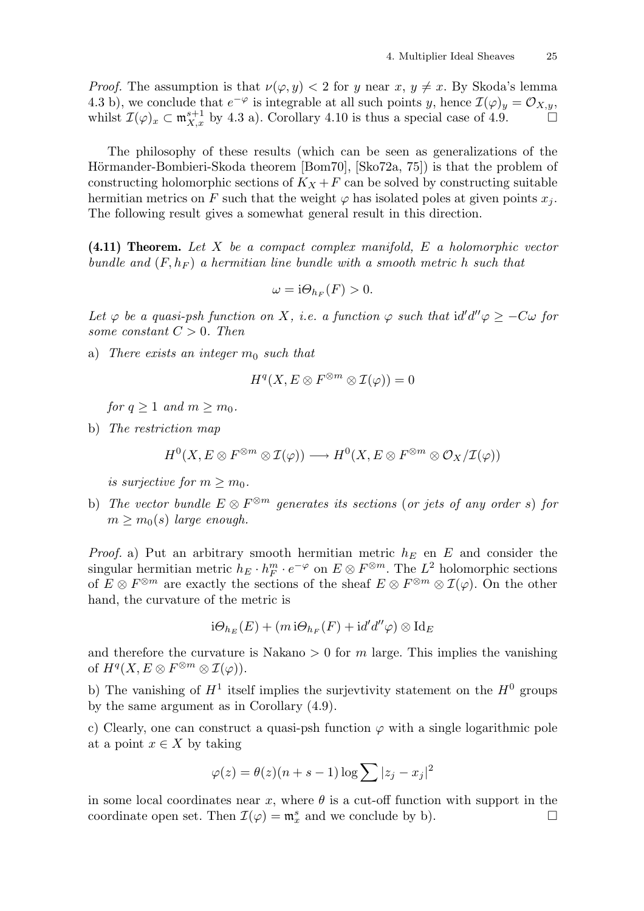*Proof.* The assumption is that  $\nu(\varphi, y) < 2$  for y near  $x, y \neq x$ . By Skoda's lemma 4.3 b), we conclude that  $e^{-\varphi}$  is integrable at all such points y, hence  $\mathcal{I}(\varphi)_y = \mathcal{O}_{X,y}$ , whilst  $\mathcal{I}(\varphi)_x \subset \mathfrak{m}_{X,x}^{s+1}$  by 4.3 a). Corollary 4.10 is thus a special case of 4.9.

The philosophy of these results (which can be seen as generalizations of the Hörmander-Bombieri-Skoda theorem [Bom70], [Sko72a, 75]) is that the problem of constructing holomorphic sections of  $K_X + F$  can be solved by constructing suitable hermitian metrics on F such that the weight  $\varphi$  has isolated poles at given points  $x_i$ . The following result gives a somewhat general result in this direction.

 $(4.11)$  Theorem. Let X be a compact complex manifold, E a holomorphic vector bundle and  $(F, h_F)$  a hermitian line bundle with a smooth metric h such that

$$
\omega = \mathrm{i}\Theta_{h_F}(F) > 0.
$$

Let  $\varphi$  be a quasi-psh function on X, i.e. a function  $\varphi$  such that  $\mathrm{id}' d''\varphi \geq -C\omega$  for some constant  $C > 0$ . Then

a) There exists an integer  $m_0$  such that

$$
H^q(X, E \otimes F^{\otimes m} \otimes \mathcal{I}(\varphi)) = 0
$$

for  $q \geq 1$  and  $m \geq m_0$ .

b) The restriction map

$$
H^0(X, E \otimes F^{\otimes m} \otimes \mathcal{I}(\varphi)) \longrightarrow H^0(X, E \otimes F^{\otimes m} \otimes \mathcal{O}_X/\mathcal{I}(\varphi))
$$

is surjective for  $m > m_0$ .

b) The vector bundle  $E \otimes F^{\otimes m}$  generates its sections (or jets of any order s) for  $m > m<sub>0</sub>(s)$  large enough.

*Proof.* a) Put an arbitrary smooth hermitian metric  $h_E$  en E and consider the singular hermitian metric  $h_E \cdot h_F^m \cdot e^{-\varphi}$  on  $E \otimes F^{\otimes m}$ . The  $L^2$  holomorphic sections of  $E \otimes F^{\otimes m}$  are exactly the sections of the sheaf  $E \otimes F^{\otimes m} \otimes \mathcal{I}(\varphi)$ . On the other hand, the curvature of the metric is

$$
i\Theta_{h_E}(E) + (m\,i\Theta_{h_F}(F) + id'd''\varphi) \otimes Id_E
$$

and therefore the curvature is Nakano  $> 0$  for m large. This implies the vanishing of  $H^q(X, E \otimes F^{\otimes m} \otimes \mathcal{I}(\varphi)).$ 

b) The vanishing of  $H^1$  itself implies the surjevtivity statement on the  $H^0$  groups by the same argument as in Corollary (4.9).

c) Clearly, one can construct a quasi-psh function  $\varphi$  with a single logarithmic pole at a point  $x \in X$  by taking

$$
\varphi(z) = \theta(z)(n + s - 1)\log \sum |z_j - x_j|^2
$$

in some local coordinates near x, where  $\theta$  is a cut-off function with support in the coordinate open set. Then  $\mathcal{I}(\varphi) = \mathfrak{m}_x^s$  and we conclude by b).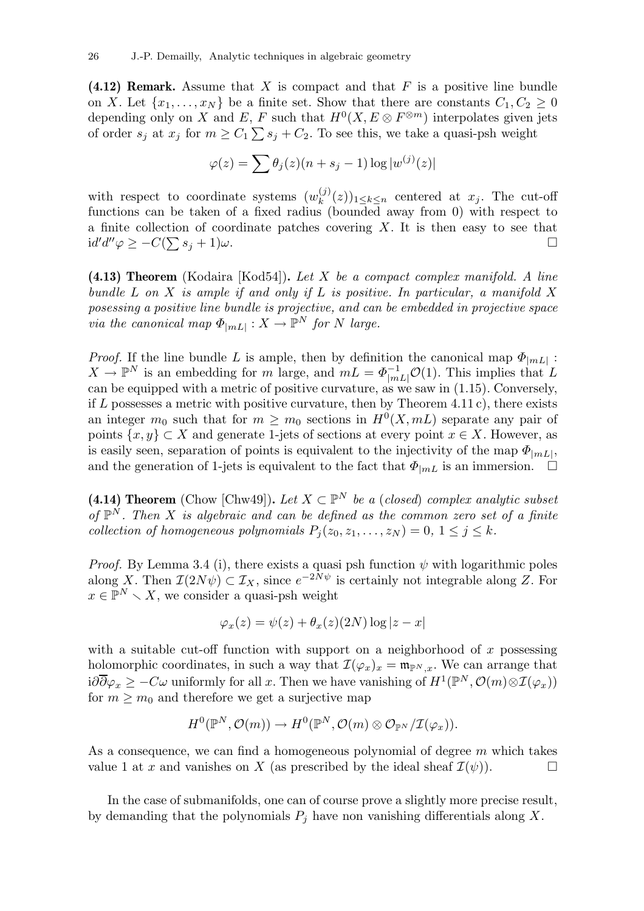$(4.12)$  Remark. Assume that X is compact and that F is a positive line bundle on X. Let  $\{x_1, \ldots, x_N\}$  be a finite set. Show that there are constants  $C_1, C_2 \geq 0$ depending only on X and E, F such that  $H^0(X, E \otimes F^{\otimes m})$  interpolates given jets of order  $s_j$  at  $x_j$  for  $m \geq C_1 \sum s_j + C_2$ . To see this, we take a quasi-psh weight

$$
\varphi(z) = \sum \theta_j(z)(n + s_j - 1) \log |w^{(j)}(z)|
$$

with respect to coordinate systems  $(w_k^{(j)})$  $\binom{y}{k}(z)_{1\leq k\leq n}$  centered at  $x_j$ . The cut-off functions can be taken of a fixed radius (bounded away from 0) with respect to a finite collection of coordinate patches covering  $X$ . It is then easy to see that  $\mathrm{id}' d''\varphi \geq -C(\sum s_j + 1)\omega.$ 

 $(4.13)$  Theorem (Kodaira [Kod54]). Let X be a compact complex manifold. A line bundle  $L$  on  $X$  is ample if and only if  $L$  is positive. In particular, a manifold  $X$ posessing a positive line bundle is projective, and can be embedded in projective space via the canonical map  $\Phi_{|mL|}: X \to \mathbb{P}^N$  for N large.

*Proof.* If the line bundle L is ample, then by definition the canonical map  $\Phi_{|mL|}$ :  $X \to \mathbb{P}^N$  is an embedding for m large, and  $mL = \Phi^{-1}_{|mL|}\mathcal{O}(1)$ . This implies that L can be equipped with a metric of positive curvature, as we saw in (1.15). Conversely, if  $L$  possesses a metric with positive curvature, then by Theorem 4.11 c), there exists an integer  $m_0$  such that for  $m \geq m_0$  sections in  $H^0(X, mL)$  separate any pair of points  $\{x, y\} \subset X$  and generate 1-jets of sections at every point  $x \in X$ . However, as is easily seen, separation of points is equivalent to the injectivity of the map  $\Phi_{|mL|}$ , and the generation of 1-jets is equivalent to the fact that  $\Phi_{mL}$  is an immersion.  $\Box$ 

(4.14) Theorem (Chow [Chw49]). Let  $X \subset \mathbb{P}^N$  be a (closed) complex analytic subset of  $\mathbb{P}^N$ . Then X is algebraic and can be defined as the common zero set of a finite collection of homogeneous polynomials  $P_i(z_0, z_1, \ldots, z_N) = 0, 1 \leq j \leq k$ .

*Proof.* By Lemma 3.4 (i), there exists a quasi psh function  $\psi$  with logarithmic poles along X. Then  $\mathcal{I}(2N\psi) \subset \mathcal{I}_X$ , since  $e^{-2N\psi}$  is certainly not integrable along Z. For  $x \in \mathbb{P}^N \setminus X$ , we consider a quasi-psh weight

$$
\varphi_x(z) = \psi(z) + \theta_x(z)(2N) \log|z - x|
$$

with a suitable cut-off function with support on a neighborhood of x possessing holomorphic coordinates, in such a way that  $\mathcal{I}(\varphi_x)_x = \mathfrak{m}_{\mathbb{P}^N, x}$ . We can arrange that  $i\partial\overline{\partial}\varphi_x \geq -C\omega$  uniformly for all x. Then we have vanishing of  $H^1(\mathbb{P}^N,\mathcal{O}(m)\otimes\mathcal{I}(\varphi_x))$ for  $m > m_0$  and therefore we get a surjective map

$$
H^0(\mathbb{P}^N,\mathcal{O}(m))\to H^0(\mathbb{P}^N,\mathcal{O}(m)\otimes\mathcal{O}_{\mathbb{P}^N}/\mathcal{I}(\varphi_x)).
$$

As a consequence, we can find a homogeneous polynomial of degree  $m$  which takes value 1 at x and vanishes on X (as prescribed by the ideal sheaf  $\mathcal{I}(\psi)$ ).

In the case of submanifolds, one can of course prove a slightly more precise result, by demanding that the polynomials  $P_i$  have non vanishing differentials along X.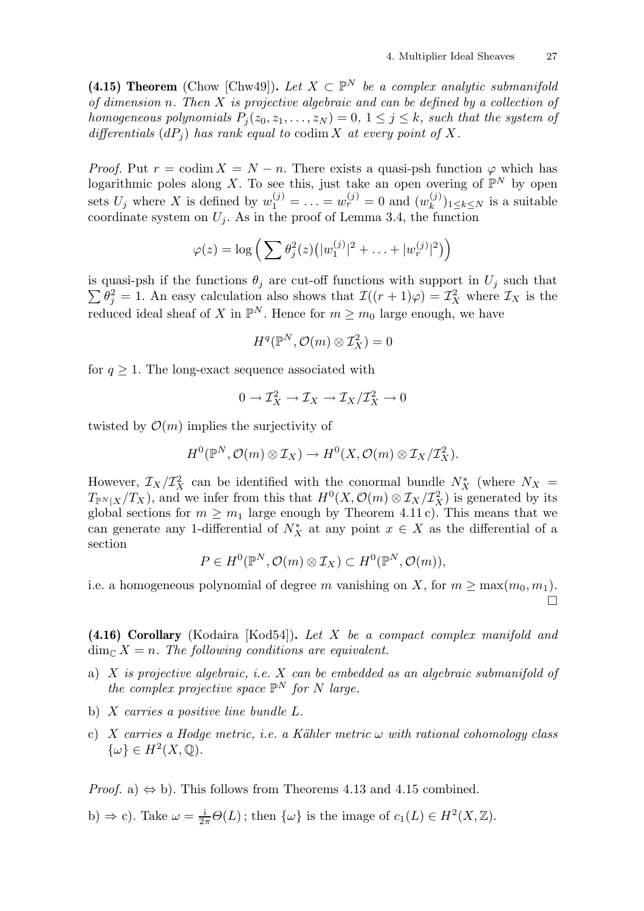(4.15) Theorem (Chow [Chw49]). Let  $X \subset \mathbb{P}^N$  be a complex analytic submanifold of dimension n. Then X is projective algebraic and can be defined by a collection of homogeneous polynomials  $P_i(z_0, z_1, \ldots, z_N) = 0, 1 \le j \le k$ , such that the system of differentials  $(dP_i)$  has rank equal to codim X at every point of X.

*Proof.* Put  $r = \text{codim } X = N - n$ . There exists a quasi-psh function  $\varphi$  which has logarithmic poles along X. To see this, just take an open overing of  $\mathbb{P}^N$  by open sets  $U_j$  where X is defined by  $w_1^{(j)} = \ldots = w_r^{(j)} = 0$  and  $(w_k^{(j)})$  $\binom{J}{k}$ <sub>1≤k≤N</sub> is a suitable coordinate system on  $U_i$ . As in the proof of Lemma 3.4, the function

$$
\varphi(z) = \log \left( \sum \theta_j^2(z) \left( |w_1^{(j)}|^2 + \ldots + |w_r^{(j)}|^2 \right) \right)
$$

 $\sum \theta_j^2 = 1$ . An easy calculation also shows that  $\mathcal{I}((r+1)\varphi) = \mathcal{I}_X^2$  where  $\mathcal{I}_X$  is the is quasi-psh if the functions  $\theta_j$  are cut-off functions with support in  $U_j$  such that reduced ideal sheaf of X in  $\mathbb{P}^N$ . Hence for  $m \geq m_0$  large enough, we have

$$
H^q(\mathbb{P}^N,\mathcal{O}(m)\otimes \mathcal{I}_X^2)=0
$$

for  $q \geq 1$ . The long-exact sequence associated with

$$
0 \to \mathcal{I}_X^2 \to \mathcal{I}_X \to \mathcal{I}_X/\mathcal{I}_X^2 \to 0
$$

twisted by  $\mathcal{O}(m)$  implies the surjectivity of

$$
H^0(\mathbb{P}^N,\mathcal{O}(m)\otimes \mathcal{I}_X)\to H^0(X,\mathcal{O}(m)\otimes \mathcal{I}_X/\mathcal{I}_X^2).
$$

However,  $\mathcal{I}_X/\mathcal{I}_X^2$  can be identified with the conormal bundle  $N_X^*$  (where  $N_X =$  $T_{\mathbb{P}^N|X}/T_X$ ), and we infer from this that  $H^0(X, \mathcal{O}(m) \otimes \mathcal{I}_X/\mathcal{I}_X^2)$  is generated by its global sections for  $m \geq m_1$  large enough by Theorem 4.11 c). This means that we can generate any 1-differential of  $N_X^*$  at any point  $x \in X$  as the differential of a section

$$
P\in H^0(\mathbb{P}^N,\mathcal{O}(m)\otimes\mathcal{I}_X)\subset H^0(\mathbb{P}^N,\mathcal{O}(m)),
$$

i.e. a homogeneous polynomial of degree m vanishing on X, for  $m \ge \max(m_0, m_1)$ .  $\Box$ 

(4.16) Corollary (Kodaira [Kod54]). Let X be a compact complex manifold and  $\dim_{\mathbb{C}} X = n$ . The following conditions are equivalent.

- a)  $X$  is projective algebraic, i.e.  $X$  can be embedded as an algebraic submanifold of the complex projective space  $\mathbb{P}^N$  for N large.
- b)  $X$  carries a positive line bundle  $L$ .
- c) X carries a Hodge metric, i.e. a Kähler metric  $\omega$  with rational cohomology class  $\{\omega\} \in H^2(X, \mathbb{Q}).$

*Proof.* a)  $\Leftrightarrow$  b). This follows from Theorems 4.13 and 4.15 combined.

b) 
$$
\Rightarrow
$$
 c). Take  $\omega = \frac{i}{2\pi}\Theta(L)$ ; then  $\{\omega\}$  is the image of  $c_1(L) \in H^2(X, \mathbb{Z})$ .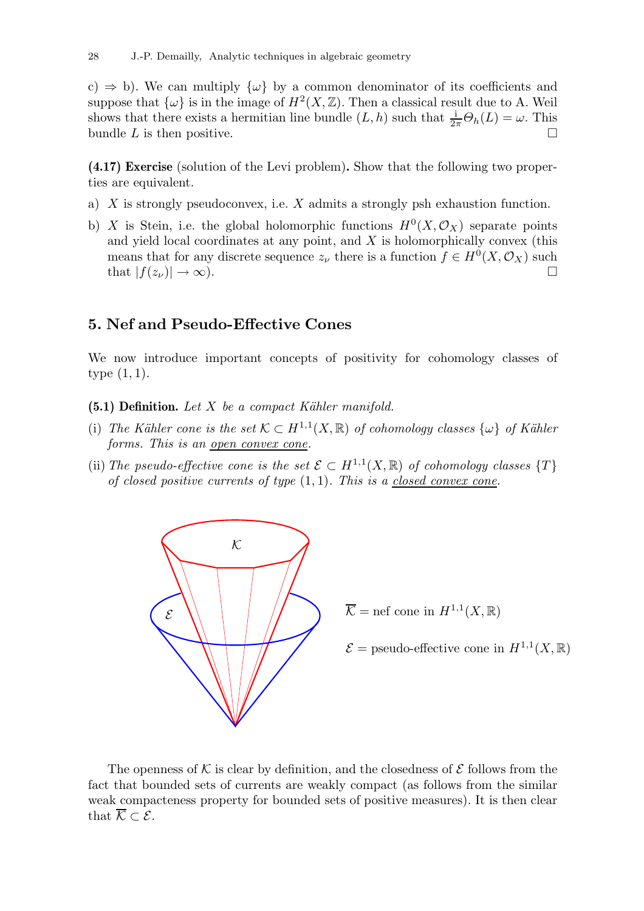c)  $\Rightarrow$  b). We can multiply  $\{\omega\}$  by a common denominator of its coefficients and suppose that  $\{\omega\}$  is in the image of  $H^2(X,\mathbb{Z})$ . Then a classical result due to A. Weil shows that there exists a hermitian line bundle  $(L, h)$  such that  $\frac{1}{2\pi}\Theta_h(L) = \omega$ . This bundle  $L$  is then positive.

(4.17) Exercise (solution of the Levi problem). Show that the following two properties are equivalent.

- a) X is strongly pseudoconvex, i.e. X admits a strongly psh exhaustion function.
- b) X is Stein, i.e. the global holomorphic functions  $H^0(X, \mathcal{O}_X)$  separate points and yield local coordinates at any point, and  $X$  is holomorphically convex (this means that for any discrete sequence  $z_{\nu}$  there is a function  $f \in H^{0}(X, \mathcal{O}_{X})$  such that  $|f(z_\nu)| \to \infty$ ).

# 5. Nef and Pseudo-Effective Cones

We now introduce important concepts of positivity for cohomology classes of type (1, 1).

- (5.1) Definition. Let  $X$  be a compact Kähler manifold.
- (i) The Kähler cone is the set  $\mathcal{K} \subset H^{1,1}(X,\mathbb{R})$  of cohomology classes  $\{\omega\}$  of Kähler forms. This is an <u>open convex</u> cone.
- (ii) The pseudo-effective cone is the set  $\mathcal{E} \subset H^{1,1}(X,\mathbb{R})$  of cohomology classes  $\{T\}$ of closed positive currents of type  $(1, 1)$ . This is a closed convex cone.



 $\mathcal{E} = \text{pseudo-effective cone in } H^{1,1}(X,\mathbb{R})$ 

The openness of K is clear by definition, and the closedness of  $\mathcal E$  follows from the fact that bounded sets of currents are weakly compact (as follows from the similar weak compacteness property for bounded sets of positive measures). It is then clear that  $\overline{\mathcal{K}} \subset \mathcal{E}$ .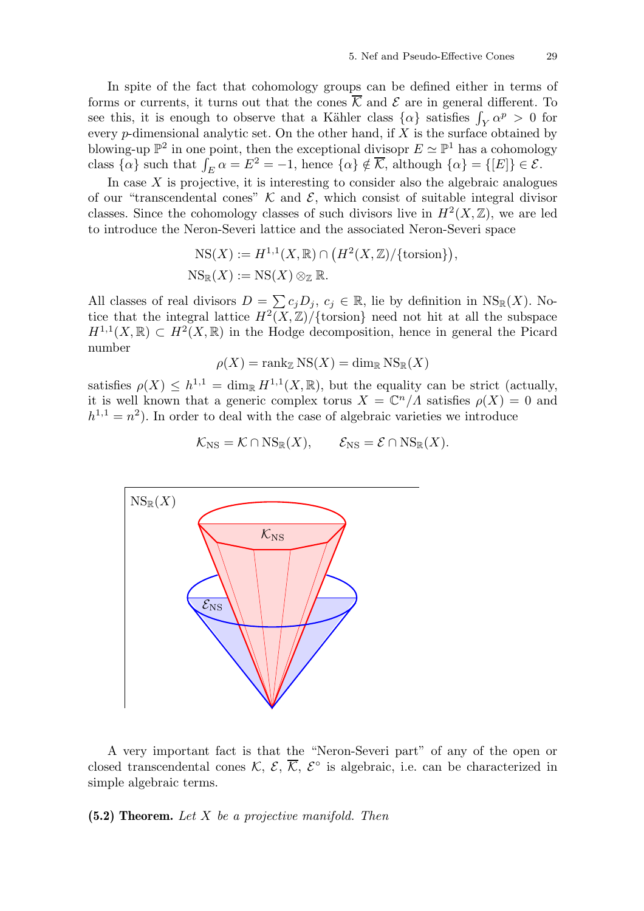In spite of the fact that cohomology groups can be defined either in terms of forms or currents, it turns out that the cones  $\overline{\mathcal{K}}$  and  $\mathcal{E}$  are in general different. To see this, it is enough to observe that a Kähler class  $\{\alpha\}$  satisfies  $\int_Y \alpha^p > 0$  for every p-dimensional analytic set. On the other hand, if  $X$  is the surface obtained by blowing-up  $\mathbb{P}^2$  in one point, then the exceptional divisopr  $E \simeq \mathbb{P}^1$  has a cohomology class  $\{\alpha\}$  such that  $\int_E \alpha = E^2 = -1$ , hence  $\{\alpha\} \notin \overline{\mathcal{K}}$ , although  $\{\alpha\} = \{[E]\}\in \mathcal{E}$ .

In case  $X$  is projective, it is interesting to consider also the algebraic analogues of our "transcendental cones"  $K$  and  $\mathcal{E}$ , which consist of suitable integral divisor classes. Since the cohomology classes of such divisors live in  $H^2(X,\mathbb{Z})$ , we are led to introduce the Neron-Severi lattice and the associated Neron-Severi space

$$
NS(X) := H^{1,1}(X, \mathbb{R}) \cap (H^2(X, \mathbb{Z})/\{\text{torsion}\}),
$$
  

$$
NS_{\mathbb{R}}(X) := NS(X) \otimes_{\mathbb{Z}} \mathbb{R}.
$$

All classes of real divisors  $D = \sum c_j D_j$ ,  $c_j \in \mathbb{R}$ , lie by definition in  $NS_{\mathbb{R}}(X)$ . Notice that the integral lattice  $H^2(X,\mathbb{Z})/\{\text{torsion}\}\$  need not hit at all the subspace  $H^{1,1}(X,\mathbb{R})\subset H^2(X,\mathbb{R})$  in the Hodge decomposition, hence in general the Picard number

$$
\rho(X) = \operatorname{rank}_{\mathbb{Z}} \operatorname{NS}(X) = \dim_{\mathbb{R}} \operatorname{NS}_{\mathbb{R}}(X)
$$

satisfies  $\rho(X) \leq h^{1,1} = \dim_{\mathbb{R}} H^{1,1}(X,\mathbb{R})$ , but the equality can be strict (actually, it is well known that a generic complex torus  $X = \mathbb{C}^n / \Lambda$  satisfies  $\rho(X) = 0$  and  $h^{1,1} = n^2$ ). In order to deal with the case of algebraic varieties we introduce

$$
\mathcal{K}_{\mathrm{NS}} = \mathcal{K} \cap \mathrm{NS}_{\mathbb{R}}(X), \qquad \mathcal{E}_{\mathrm{NS}} = \mathcal{E} \cap \mathrm{NS}_{\mathbb{R}}(X).
$$



A very important fact is that the "Neron-Severi part" of any of the open or closed transcendental cones  $\mathcal{K}, \mathcal{E}, \overline{\mathcal{K}}, \mathcal{E}^{\circ}$  is algebraic, i.e. can be characterized in simple algebraic terms.

 $(5.2)$  Theorem. Let X be a projective manifold. Then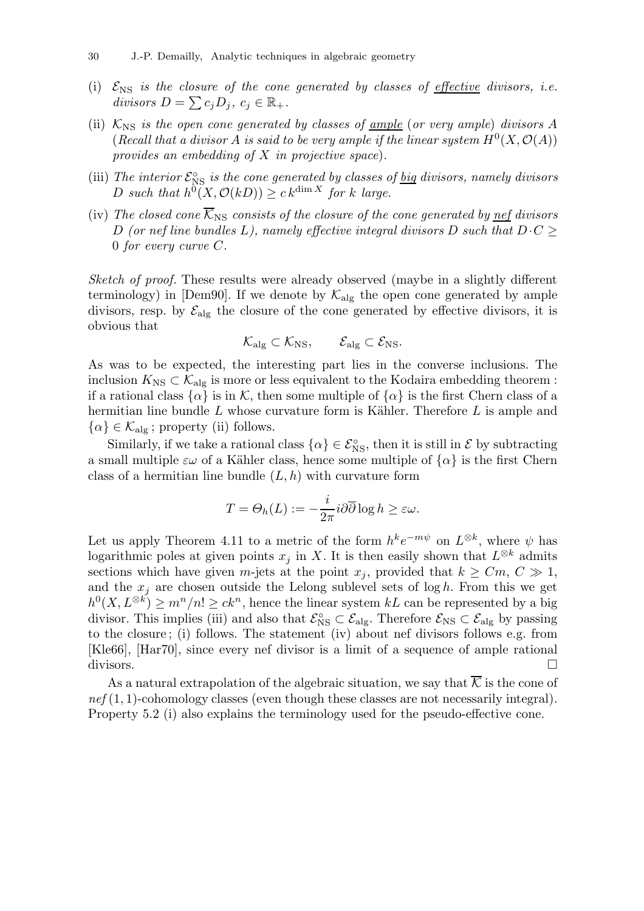- (i)  $\mathcal{E}_{\text{NS}}$  is the closure of the cone generated by classes of effective divisors, i.e. divisors  $D = \sum c_j D_j, c_j \in \mathbb{R}_+$ .
- (ii)  $K_{\text{NS}}$  is the open cone generated by classes of <u>ample</u> (or very ample) divisors A (Recall that a divisor A is said to be very ample if the linear system  $H^0(X, \mathcal{O}(A))$ provides an embedding of  $X$  in projective space).
- (iii) The interior  $\mathcal{E}_{\text{NS}}^{\circ}$  is the cone generated by classes of  $\underline{big}$  divisors, namely divisors D such that  $h^0(X, \mathcal{O}(k)) \geq c k^{\dim X}$  for k large.
- (iv) The closed cone  $\overline{\mathcal{K}}_{\text{NS}}$  consists of the closure of the cone generated by nef divisors D (or nef line bundles L), namely effective integral divisors D such that  $D\cdot C$ 0 for every curve C.

Sketch of proof. These results were already observed (maybe in a slightly different terminology) in [Dem90]. If we denote by  $\mathcal{K}_{\text{alg}}$  the open cone generated by ample divisors, resp. by  $\mathcal{E}_{\text{alg}}$  the closure of the cone generated by effective divisors, it is obvious that

$$
\mathcal{K}_{\mathrm{alg}} \subset \mathcal{K}_{\mathrm{NS}}, \qquad \mathcal{E}_{\mathrm{alg}} \subset \mathcal{E}_{\mathrm{NS}}.
$$

As was to be expected, the interesting part lies in the converse inclusions. The inclusion  $K_{\text{NS}} \subset \mathcal{K}_{\text{alg}}$  is more or less equivalent to the Kodaira embedding theorem : if a rational class  $\{\alpha\}$  is in K, then some multiple of  $\{\alpha\}$  is the first Chern class of a hermitian line bundle  $L$  whose curvature form is Kähler. Therefore  $L$  is ample and  $\{\alpha\} \in \mathcal{K}_{\text{alg}}$ ; property (ii) follows.

Similarly, if we take a rational class  $\{\alpha\} \in \mathcal{E}_{\text{NS}}^{\circ}$ , then it is still in  $\mathcal{E}$  by subtracting a small multiple  $\varepsilon\omega$  of a Kähler class, hence some multiple of  $\{\alpha\}$  is the first Chern class of a hermitian line bundle  $(L, h)$  with curvature form

$$
T = \Theta_h(L) := -\frac{i}{2\pi} i \partial \overline{\partial} \log h \ge \varepsilon \omega.
$$

Let us apply Theorem 4.11 to a metric of the form  $h^k e^{-m\psi}$  on  $L^{\otimes k}$ , where  $\psi$  has logarithmic poles at given points  $x_j$  in X. It is then easily shown that  $L^{\otimes k}$  admits sections which have given m-jets at the point  $x_j$ , provided that  $k \geq Cm, C \gg 1$ , and the  $x_i$  are chosen outside the Lelong sublevel sets of log h. From this we get  $h^0(X, L^{\otimes k}) \geq m^n/n! \geq ck^n$ , hence the linear system kL can be represented by a big divisor. This implies (iii) and also that  $\mathcal{E}_{\text{NS}}^{\circ} \subset \mathcal{E}_{\text{alg}}$ . Therefore  $\mathcal{E}_{\text{NS}} \subset \mathcal{E}_{\text{alg}}$  by passing to the closure ; (i) follows. The statement (iv) about nef divisors follows e.g. from [Kle66], [Har70], since every nef divisor is a limit of a sequence of ample rational divisors.

As a natural extrapolation of the algebraic situation, we say that  $\overline{\mathcal{K}}$  is the cone of  $nef(1, 1)$ -cohomology classes (even though these classes are not necessarily integral). Property 5.2 (i) also explains the terminology used for the pseudo-effective cone.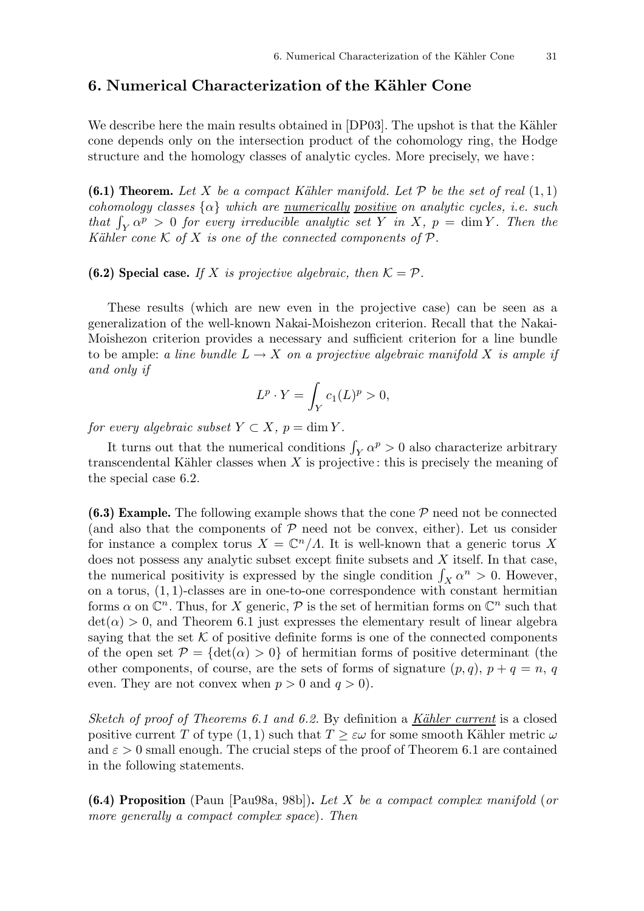# 6. Numerical Characterization of the Kähler Cone

We describe here the main results obtained in [DP03]. The upshot is that the Kähler cone depends only on the intersection product of the cohomology ring, the Hodge structure and the homology classes of analytic cycles. More precisely, we have :

(6.1) Theorem. Let X be a compact Kähler manifold. Let  $P$  be the set of real  $(1, 1)$ cohomology classes  $\{\alpha\}$  which are <u>numerically positive</u> on analytic cycles, i.e. such that  $\int_Y \alpha^p > 0$  for every irreducible analytic set Y in X,  $p = \dim Y$ . Then the Kähler cone K of X is one of the connected components of  $\mathcal P$ .

**(6.2) Special case.** If X is projective algebraic, then  $K = P$ .

These results (which are new even in the projective case) can be seen as a generalization of the well-known Nakai-Moishezon criterion. Recall that the Nakai-Moishezon criterion provides a necessary and sufficient criterion for a line bundle to be ample: a line bundle  $L \to X$  on a projective algebraic manifold X is ample if and only if

$$
L^p \cdot Y = \int_Y c_1(L)^p > 0,
$$

for every algebraic subset  $Y \subset X$ ,  $p = \dim Y$ .

It turns out that the numerical conditions  $\int_Y \alpha^p > 0$  also characterize arbitrary transcendental Kähler classes when  $X$  is projective: this is precisely the meaning of the special case 6.2.

(6.3) Example. The following example shows that the cone  $P$  need not be connected (and also that the components of  $P$  need not be convex, either). Let us consider for instance a complex torus  $X = \mathbb{C}^n / \Lambda$ . It is well-known that a generic torus X does not possess any analytic subset except finite subsets and X itself. In that case, the numerical positivity is expressed by the single condition  $\int_X \alpha^n > 0$ . However, on a torus,  $(1, 1)$ -classes are in one-to-one correspondence with constant hermitian forms  $\alpha$  on  $\mathbb{C}^n$ . Thus, for X generic,  $\mathcal P$  is the set of hermitian forms on  $\mathbb{C}^n$  such that  $\det(\alpha) > 0$ , and Theorem 6.1 just expresses the elementary result of linear algebra saying that the set  $K$  of positive definite forms is one of the connected components of the open set  $\mathcal{P} = {\text{det}(\alpha) > 0}$  of hermitian forms of positive determinant (the other components, of course, are the sets of forms of signature  $(p, q)$ ,  $p + q = n$ , q even. They are not convex when  $p > 0$  and  $q > 0$ .

Sketch of proof of Theorems 6.1 and 6.2. By definition a Kähler current is a closed positive current T of type (1, 1) such that  $T \geq \varepsilon \omega$  for some smooth Kähler metric  $\omega$ and  $\varepsilon > 0$  small enough. The crucial steps of the proof of Theorem 6.1 are contained in the following statements.

(6.4) Proposition (Paun [Pau98a, 98b]). Let X be a compact complex manifold (or more generally a compact complex space). Then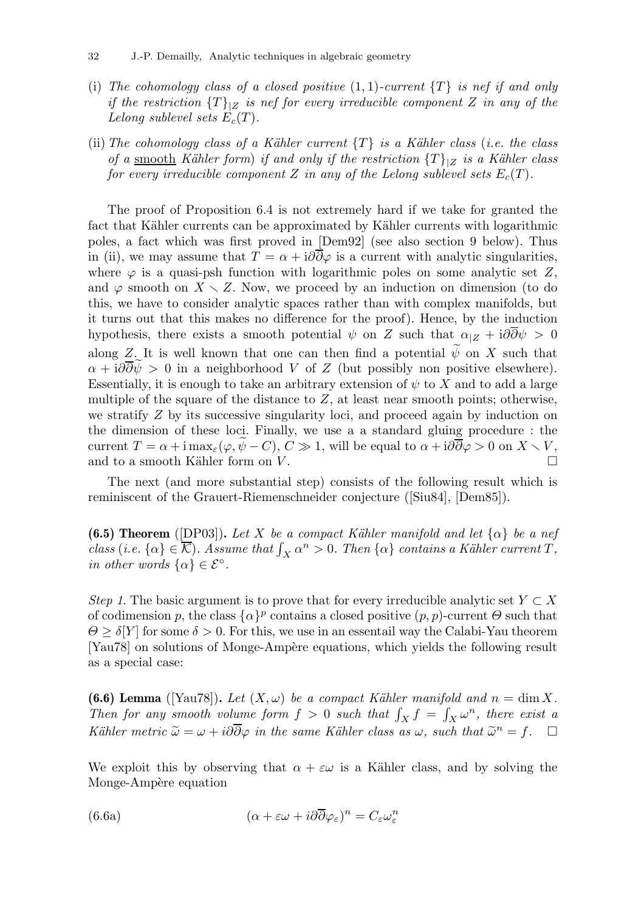- (i) The cohomology class of a closed positive  $(1,1)$ -current  $\{T\}$  is nef if and only if the restriction  ${T}|Z|$  is nef for every irreducible component Z in any of the Lelong sublevel sets  $E_c(T)$ .
- (ii) The cohomology class of a Kähler current  $\{T\}$  is a Kähler class (i.e. the class of a smooth Kähler form) if and only if the restriction  $\{T\}_{|Z}$  is a Kähler class for every irreducible component Z in any of the Lelong sublevel sets  $E_c(T)$ .

The proof of Proposition 6.4 is not extremely hard if we take for granted the fact that Kähler currents can be approximated by Kähler currents with logarithmic poles, a fact which was first proved in [Dem92] (see also section 9 below). Thus in (ii), we may assume that  $T = \alpha + i\partial\overline{\partial}\varphi$  is a current with analytic singularities, where  $\varphi$  is a quasi-psh function with logarithmic poles on some analytic set Z, and  $\varphi$  smooth on  $X \setminus Z$ . Now, we proceed by an induction on dimension (to do this, we have to consider analytic spaces rather than with complex manifolds, but it turns out that this makes no difference for the proof). Hence, by the induction hypothesis, there exists a smooth potential  $\psi$  on Z such that  $\alpha_{|Z} + i\partial\partial\psi > 0$ along Z. It is well known that one can then find a potential  $\widetilde{\psi}$  on X such that  $\alpha + i\partial\overline{\partial}\psi > 0$  in a neighborhood V of Z (but possibly non positive elsewhere). Essentially, it is enough to take an arbitrary extension of  $\psi$  to X and to add a large multiple of the square of the distance to  $Z$ , at least near smooth points; otherwise, we stratify  $Z$  by its successive singularity loci, and proceed again by induction on the dimension of these loci. Finally, we use a a standard gluing procedure : the current  $T = \alpha + i \max_{\varepsilon} (\varphi, \tilde{\psi} - C), C \gg 1$ , will be equal to  $\alpha + i\partial \overline{\partial} \varphi > 0$  on  $X \setminus V$ ,<br>and to a smooth Kähler form on V. and to a smooth Kähler form on  $V$ .

The next (and more substantial step) consists of the following result which is reminiscent of the Grauert-Riemenschneider conjecture ([Siu84], [Dem85]).

**(6.5) Theorem** ([DP03]). Let X be a compact Kähler manifold and let  $\{\alpha\}$  be a nef class (i.e.  $\{\alpha\} \in \overline{\mathcal{K}}$ ). Assume that  $\int_X \alpha^n > 0$ . Then  $\{\alpha\}$  contains a Kähler current T, in other words  $\{\alpha\} \in \mathcal{E}^{\circ}$ .

Step 1. The basic argument is to prove that for every irreducible analytic set  $Y \subset X$ of codimension p, the class  $\{\alpha\}^p$  contains a closed positive  $(p, p)$ -current  $\Theta$  such that  $\Theta \geq \delta[Y]$  for some  $\delta > 0$ . For this, we use in an essentail way the Calabi-Yau theorem [Yau78] on solutions of Monge-Ampère equations, which yields the following result as a special case:

(6.6) Lemma ([Yau78]). Let  $(X, \omega)$  be a compact Kähler manifold and  $n = \dim X$ . Then for any smooth volume form  $f > 0$  such that  $\int_X f = \int_X \omega^n$ , there exist a Kähler metric  $\widetilde{\omega} = \omega + i\partial \overline{\partial} \varphi$  in the same Kähler class as  $\omega$ , such that  $\widetilde{\omega}^n = f$ .  $\Box$ 

We exploit this by observing that  $\alpha + \varepsilon \omega$  is a Kähler class, and by solving the Monge-Ampère equation

(6.6a) 
$$
(\alpha + \varepsilon \omega + i\partial \overline{\partial} \varphi_{\varepsilon})^n = C_{\varepsilon} \omega_{\varepsilon}^n
$$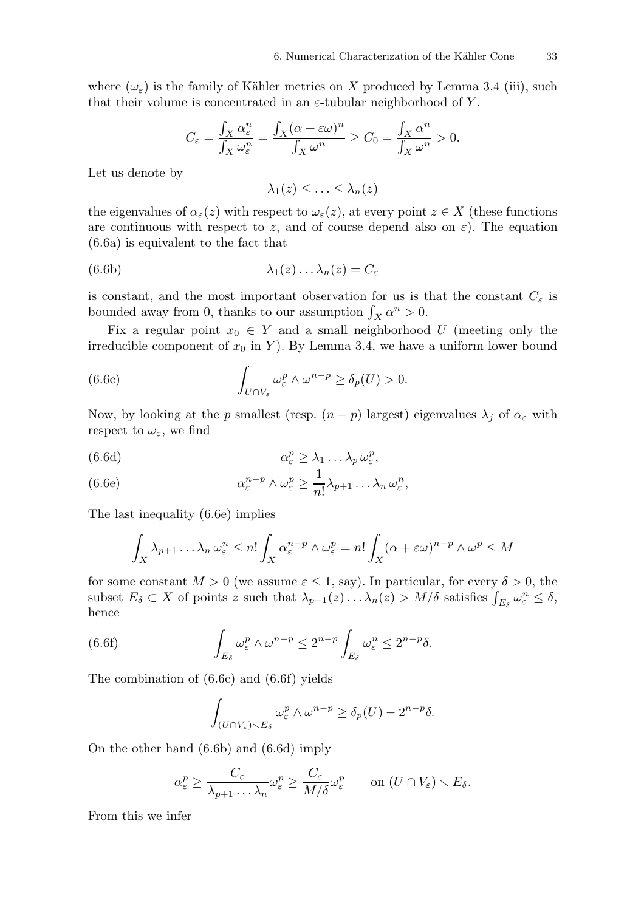where  $(\omega_{\varepsilon})$  is the family of Kähler metrics on X produced by Lemma 3.4 (iii), such that their volume is concentrated in an  $\varepsilon$ -tubular neighborhood of Y.

$$
C_{\varepsilon} = \frac{\int_X \alpha_{\varepsilon}^n}{\int_X \omega_{\varepsilon}^n} = \frac{\int_X (\alpha + \varepsilon \omega)^n}{\int_X \omega^n} \ge C_0 = \frac{\int_X \alpha^n}{\int_X \omega^n} > 0.
$$

Let us denote by

 $\lambda_1(z) \leq \ldots \leq \lambda_n(z)$ 

the eigenvalues of  $\alpha_{\varepsilon}(z)$  with respect to  $\omega_{\varepsilon}(z)$ , at every point  $z \in X$  (these functions are continuous with respect to z, and of course depend also on  $\varepsilon$ ). The equation (6.6a) is equivalent to the fact that

(6.6b) 
$$
\lambda_1(z) \dots \lambda_n(z) = C_{\varepsilon}
$$

is constant, and the most important observation for us is that the constant  $C_{\varepsilon}$  is bounded away from 0, thanks to our assumption  $\int_X \alpha^n > 0$ .

Fix a regular point  $x_0 \in Y$  and a small neighborhood U (meeting only the irreducible component of  $x_0$  in Y). By Lemma 3.4, we have a uniform lower bound

(6.6c) 
$$
\int_{U \cap V_{\varepsilon}} \omega_{\varepsilon}^p \wedge \omega^{n-p} \geq \delta_p(U) > 0.
$$

Now, by looking at the p smallest (resp.  $(n - p)$  largest) eigenvalues  $\lambda_j$  of  $\alpha_{\varepsilon}$  with respect to  $\omega_\varepsilon,$  we find

(6.6d) 
$$
\alpha_{\varepsilon}^p \geq \lambda_1 \dots \lambda_p \omega_{\varepsilon}^p,
$$

(6.6e) 
$$
\alpha_{\varepsilon}^{n-p} \wedge \omega_{\varepsilon}^p \geq \frac{1}{n!} \lambda_{p+1} \dots \lambda_n \omega_{\varepsilon}^n,
$$

The last inequality (6.6e) implies

$$
\int_X \lambda_{p+1} \dots \lambda_n \omega_{\varepsilon}^n \leq n! \int_X \alpha_{\varepsilon}^{n-p} \wedge \omega_{\varepsilon}^p = n! \int_X (\alpha + \varepsilon \omega)^{n-p} \wedge \omega^p \leq M
$$

for some constant  $M > 0$  (we assume  $\varepsilon \leq 1$ , say). In particular, for every  $\delta > 0$ , the subset  $E_{\delta} \subset X$  of points z such that  $\lambda_{p+1}(z) \dots \lambda_n(z) > M/\delta$  satisfies  $\int_{E_{\delta}} \omega_{\varepsilon}^n \leq \delta$ , hence

(6.6f) 
$$
\int_{E_{\delta}} \omega_{\varepsilon}^p \wedge \omega^{n-p} \leq 2^{n-p} \int_{E_{\delta}} \omega_{\varepsilon}^n \leq 2^{n-p} \delta.
$$

The combination of (6.6c) and (6.6f) yields

$$
\int_{(U \cap V_{\varepsilon}) \setminus E_{\delta}} \omega_{\varepsilon}^p \wedge \omega^{n-p} \ge \delta_p(U) - 2^{n-p} \delta.
$$

On the other hand (6.6b) and (6.6d) imply

$$
\alpha_{\varepsilon}^p \geq \frac{C_{\varepsilon}}{\lambda_{p+1} \dots \lambda_n} \omega_{\varepsilon}^p \geq \frac{C_{\varepsilon}}{M/\delta} \omega_{\varepsilon}^p \qquad \text{on } (U \cap V_{\varepsilon}) \setminus E_{\delta}.
$$

From this we infer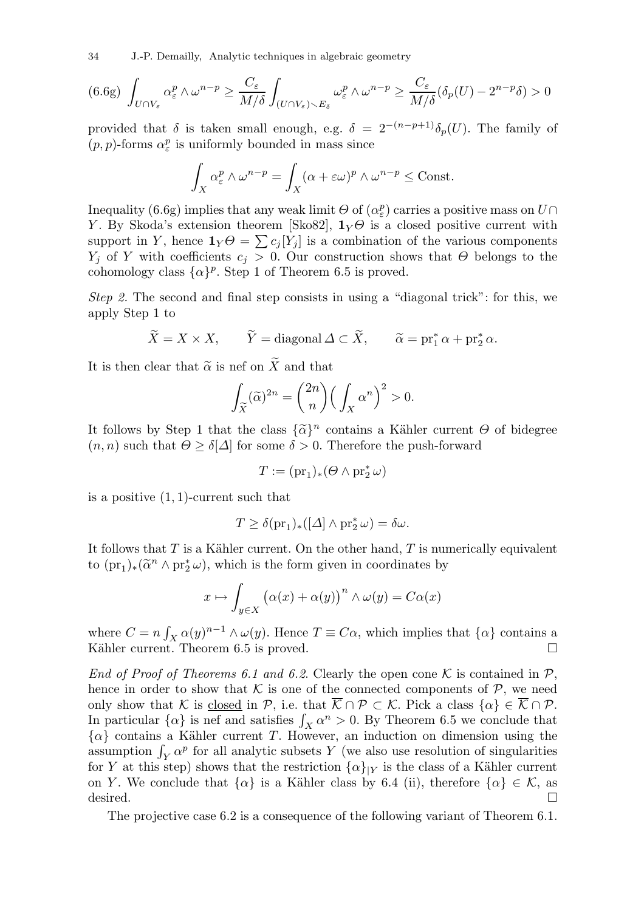34 J.-P. Demailly, Analytic techniques in algebraic geometry

$$
(6.6g)\ \int_{U\cap V_{\varepsilon}}\alpha_{\varepsilon}^p \wedge \omega^{n-p} \ge \frac{C_{\varepsilon}}{M/\delta}\int_{(U\cap V_{\varepsilon})\backslash E_{\delta}}\omega_{\varepsilon}^p \wedge \omega^{n-p} \ge \frac{C_{\varepsilon}}{M/\delta}(\delta_p(U) - 2^{n-p}\delta) > 0
$$

provided that  $\delta$  is taken small enough, e.g.  $\delta = 2^{-(n-p+1)}\delta_p(U)$ . The family of  $(p, p)$ -forms  $\alpha_{\varepsilon}^p$  is uniformly bounded in mass since

$$
\int_X \alpha_\varepsilon^p \wedge \omega^{n-p} = \int_X (\alpha + \varepsilon \omega)^p \wedge \omega^{n-p} \le \text{Const.}
$$

Inequality (6.6g) implies that any weak limit  $\Theta$  of  $(\alpha_{\varepsilon}^p)$  carries a positive mass on  $U\cap$ Y. By Skoda's extension theorem [Sko82],  $1_Y \Theta$  is a closed positive current with support in Y, hence  $\mathbf{1}_Y \Theta = \sum c_j [Y_j]$  is a combination of the various components  $Y_i$  of Y with coefficients  $c_i > 0$ . Our construction shows that  $\Theta$  belongs to the cohomology class  $\{\alpha\}^p$ . Step 1 of Theorem 6.5 is proved.

Step 2. The second and final step consists in using a "diagonal trick": for this, we apply Step 1 to

$$
\widetilde{X} = X \times X
$$
,  $\widetilde{Y} = \text{diagonal } \Delta \subset \widetilde{X}$ ,  $\widetilde{\alpha} = \text{pr}_1^* \alpha + \text{pr}_2^* \alpha$ .

It is then clear that  $\tilde{\alpha}$  is nef on X and that

$$
\int_{\widetilde{X}} (\widetilde{\alpha})^{2n} = {2n \choose n} \Big( \int_X \alpha^n \Big)^2 > 0.
$$

It follows by Step 1 that the class  $\{\tilde{\alpha}\}^n$  contains a Kähler current  $\Theta$  of bidegree  $(n, n)$  such that  $\Theta \geq \delta[\Delta]$  for some  $\delta > 0$ . Therefore the push-forward

$$
T := (\mathrm{pr}_1)_* (\Theta \wedge \mathrm{pr}_2^* \,\omega)
$$

is a positive  $(1, 1)$ -current such that

$$
T \ge \delta(\mathrm{pr}_1)_*([\Delta] \wedge \mathrm{pr}_2^* \omega) = \delta \omega.
$$

It follows that  $T$  is a Kähler current. On the other hand,  $T$  is numerically equivalent to  $(pr_1)_*(\widetilde{\alpha}^n \wedge pr_2^*\omega)$ , which is the form given in coordinates by

$$
x \mapsto \int_{y \in X} (\alpha(x) + \alpha(y))^n \wedge \omega(y) = C\alpha(x)
$$

where  $C = n \int_X \alpha(y)^{n-1} \wedge \omega(y)$ . Hence  $T \equiv C\alpha$ , which implies that  $\{\alpha\}$  contains a Kähler current. Theorem 6.5 is proved.  $\square$ 

End of Proof of Theorems 6.1 and 6.2. Clearly the open cone K is contained in  $\mathcal{P}$ , hence in order to show that  $K$  is one of the connected components of  $P$ , we need only show that K is closed in P, i.e. that  $\overline{\mathcal{K}} \cap \mathcal{P} \subset \mathcal{K}$ . Pick a class  $\{\alpha\} \in \overline{\mathcal{K}} \cap \mathcal{P}$ . In particular  $\{\alpha\}$  is nef and satisfies  $\int_X \alpha^n > 0$ . By Theorem 6.5 we conclude that  $\{\alpha\}$  contains a Kähler current T. However, an induction on dimension using the assumption  $\int_Y \alpha^p$  for all analytic subsets Y (we also use resolution of singularities for Y at this step) shows that the restriction  $\{\alpha\}_{|Y}$  is the class of a Kähler current on Y. We conclude that  $\{\alpha\}$  is a Kähler class by 6.4 (ii), therefore  $\{\alpha\} \in \mathcal{K}$ , as desired.  $\Box$ 

The projective case 6.2 is a consequence of the following variant of Theorem 6.1.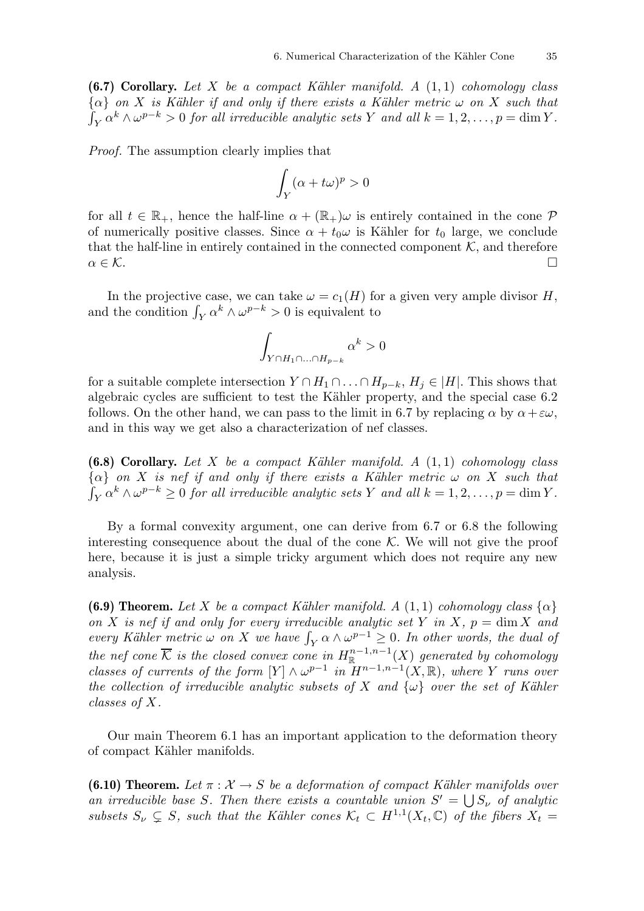(6.7) Corollary. Let X be a compact Kähler manifold. A  $(1,1)$  cohomology class  ${\alpha}$  on X is Kähler if and only if there exists a Kähler metric  $\omega$  on X such that  $\int_Y \alpha^k \wedge \omega^{p-k} > 0$  for all irreducible analytic sets Y and all  $k = 1, 2, \ldots, p = \dim Y$ .

Proof. The assumption clearly implies that

$$
\int_Y (\alpha + t\omega)^p > 0
$$

for all  $t \in \mathbb{R}_+$ , hence the half-line  $\alpha + (\mathbb{R}_+) \omega$  is entirely contained in the cone  $\mathcal P$ of numerically positive classes. Since  $\alpha + t_0 \omega$  is Kähler for  $t_0$  large, we conclude that the half-line in entirely contained in the connected component  $K$ , and therefore  $\alpha \in \mathcal{K}$ .

In the projective case, we can take  $\omega = c_1(H)$  for a given very ample divisor H, and the condition  $\int_Y \alpha^k \wedge \omega^{p-k} > 0$  is equivalent to

$$
\int_{Y\cap H_1\cap...\cap H_{p-k}}\alpha^k>0
$$

for a suitable complete intersection  $Y \cap H_1 \cap \ldots \cap H_{p-k}$ ,  $H_j \in |H|$ . This shows that algebraic cycles are sufficient to test the Kähler property, and the special case 6.2 follows. On the other hand, we can pass to the limit in 6.7 by replacing  $\alpha$  by  $\alpha + \epsilon \omega$ , and in this way we get also a characterization of nef classes.

(6.8) Corollary. Let X be a compact Kähler manifold. A  $(1,1)$  cohomology class  ${\alpha}$  on X is nef if and only if there exists a Kähler metric  $\omega$  on X such that  $\int_Y \alpha^k \wedge \omega^{p-k} \geq 0$  for all irreducible analytic sets Y and all  $k = 1, 2, \ldots, p = \dim Y$ .

By a formal convexity argument, one can derive from 6.7 or 6.8 the following interesting consequence about the dual of the cone  $K$ . We will not give the proof here, because it is just a simple tricky argument which does not require any new analysis.

(6.9) Theorem. Let X be a compact Kähler manifold. A (1, 1) cohomology class  $\{\alpha\}$ on X is nef if and only for every irreducible analytic set Y in X,  $p = \dim X$  and every Kähler metric  $\omega$  on X we have  $\int_Y \alpha \wedge \omega^{p-1} \geq 0$ . In other words, the dual of the nef cone  $\overline{\mathcal{K}}$  is the closed convex cone in  $H^{n-1,n-1}_\mathbb{R}(X)$  generated by cohomology classes of currents of the form  $[Y] \wedge \omega^{p-1}$  in  $H^{n-1,n-1}(X,\mathbb{R})$ , where Y runs over the collection of irreducible analytic subsets of X and  $\{\omega\}$  over the set of Kähler classes of X.

Our main Theorem 6.1 has an important application to the deformation theory of compact Kähler manifolds.

**(6.10) Theorem.** Let  $\pi : \mathcal{X} \to S$  be a deformation of compact Kähler manifolds over an irreducible base S. Then there exists a countable union  $S' = \bigcup S_{\nu}$  of analytic subsets  $S_{\nu} \subsetneq S$ , such that the Kähler cones  $\mathcal{K}_t \subset H^{1,1}(X_t, \mathbb{C})$  of the fibers  $X_t =$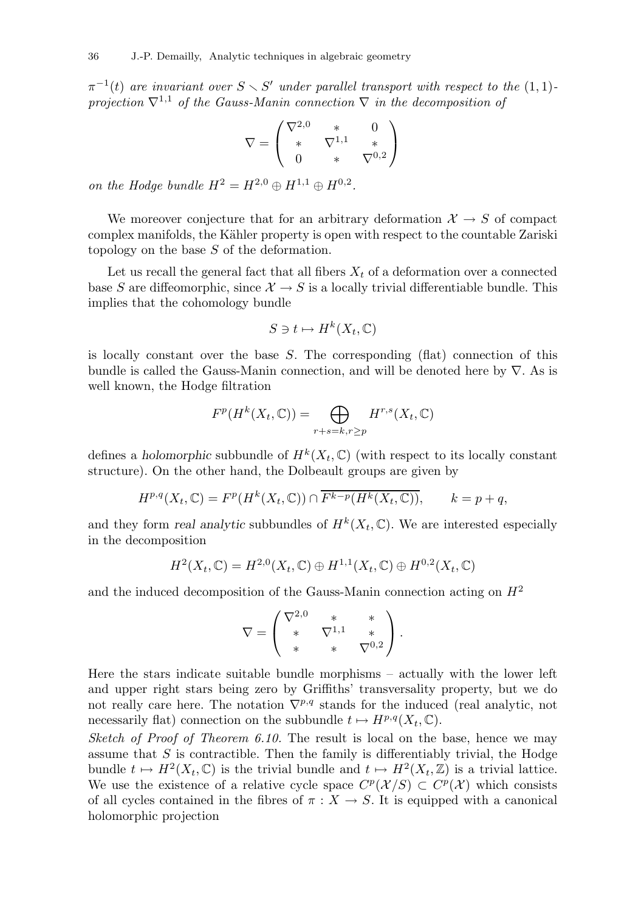$\pi^{-1}(t)$  are invariant over  $S \setminus S'$  under parallel transport with respect to the  $(1,1)$ projection  $\nabla^{1,1}$  of the Gauss-Manin connection  $\nabla$  in the decomposition of

$$
\nabla = \begin{pmatrix} \nabla^{2,0} & * & 0 \\ * & \nabla^{1,1} & * \\ 0 & * & \nabla^{0,2} \end{pmatrix}
$$

on the Hodge bundle  $H^2 = H^{2,0} \oplus H^{1,1} \oplus H^{0,2}$ .

We moreover conjecture that for an arbitrary deformation  $\mathcal{X} \to S$  of compact complex manifolds, the Kähler property is open with respect to the countable Zariski topology on the base S of the deformation.

Let us recall the general fact that all fibers  $X_t$  of a deformation over a connected base S are diffeomorphic, since  $\mathcal{X} \to S$  is a locally trivial differentiable bundle. This implies that the cohomology bundle

$$
S \ni t \mapsto H^k(X_t, \mathbb{C})
$$

is locally constant over the base S. The corresponding (flat) connection of this bundle is called the Gauss-Manin connection, and will be denoted here by  $\nabla$ . As is well known, the Hodge filtration

$$
F^p(H^k(X_t, \mathbb{C})) = \bigoplus_{r+s=k, r\geq p} H^{r,s}(X_t, \mathbb{C})
$$

defines a holomorphic subbundle of  $H^k(X_t, \mathbb{C})$  (with respect to its locally constant structure). On the other hand, the Dolbeault groups are given by

$$
H^{p,q}(X_t,\mathbb{C})=F^p(H^k(X_t,\mathbb{C}))\cap \overline{F^{k-p}(H^k(X_t,\mathbb{C}))},\qquad k=p+q,
$$

and they form real analytic subbundles of  $H^k(X_t, \mathbb{C})$ . We are interested especially in the decomposition

$$
H^{2}(X_{t},\mathbb{C})=H^{2,0}(X_{t},\mathbb{C})\oplus H^{1,1}(X_{t},\mathbb{C})\oplus H^{0,2}(X_{t},\mathbb{C})
$$

and the induced decomposition of the Gauss-Manin connection acting on  $H<sup>2</sup>$ 

$$
\nabla = \begin{pmatrix} \nabla^{2,0} & * & * \\ * & \nabla^{1,1} & * \\ * & * & \nabla^{0,2} \end{pmatrix}.
$$

Here the stars indicate suitable bundle morphisms – actually with the lower left and upper right stars being zero by Griffiths' transversality property, but we do not really care here. The notation  $\nabla^{p,q}$  stands for the induced (real analytic, not necessarily flat) connection on the subbundle  $t \mapsto H^{p,q}(X_t, \mathbb{C})$ .

Sketch of Proof of Theorem 6.10. The result is local on the base, hence we may assume that  $S$  is contractible. Then the family is differentiably trivial, the Hodge bundle  $t \mapsto H^2(X_t, \mathbb{C})$  is the trivial bundle and  $t \mapsto H^2(X_t, \mathbb{Z})$  is a trivial lattice. We use the existence of a relative cycle space  $C^p(\mathcal{X}/S) \subset C^p(\mathcal{X})$  which consists of all cycles contained in the fibres of  $\pi : X \to S$ . It is equipped with a canonical holomorphic projection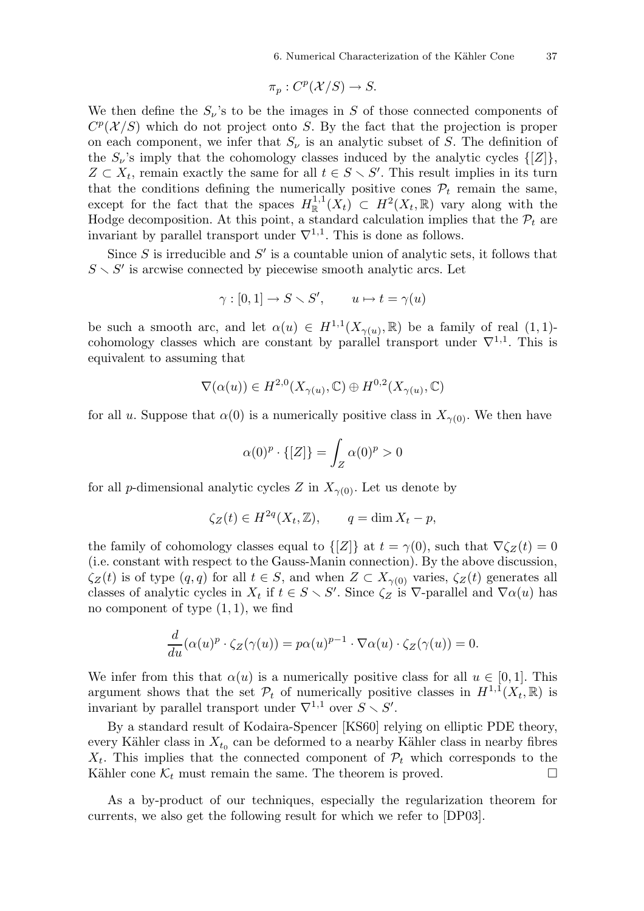$$
\pi_p: C^p(\mathcal{X}/S) \to S.
$$

We then define the  $S_{\nu}$ 's to be the images in S of those connected components of  $C^p(\mathcal{X}/S)$  which do not project onto S. By the fact that the projection is proper on each component, we infer that  $S_{\nu}$  is an analytic subset of S. The definition of the  $S_{\nu}$ 's imply that the cohomology classes induced by the analytic cycles  $\{[Z]\},\$  $Z \subset X_t$ , remain exactly the same for all  $t \in S \setminus S'$ . This result implies in its turn that the conditions defining the numerically positive cones  $\mathcal{P}_t$  remain the same, except for the fact that the spaces  $H^{1,1}_\mathbb{R}(\tilde{X}_t) \subset H^2(X_t,\mathbb{R})$  vary along with the Hodge decomposition. At this point, a standard calculation implies that the  $\mathcal{P}_t$  are invariant by parallel transport under  $\nabla^{1,1}$ . This is done as follows.

Since  $S$  is irreducible and  $S'$  is a countable union of analytic sets, it follows that  $S \setminus S'$  is arcwise connected by piecewise smooth analytic arcs. Let

$$
\gamma : [0,1] \to S \smallsetminus S', \qquad u \mapsto t = \gamma(u)
$$

be such a smooth arc, and let  $\alpha(u) \in H^{1,1}(X_{\gamma(u)},\mathbb{R})$  be a family of real  $(1,1)$ cohomology classes which are constant by parallel transport under  $\nabla^{1,1}$ . This is equivalent to assuming that

$$
\nabla(\alpha(u)) \in H^{2,0}(X_{\gamma(u)}, \mathbb{C}) \oplus H^{0,2}(X_{\gamma(u)}, \mathbb{C})
$$

for all u. Suppose that  $\alpha(0)$  is a numerically positive class in  $X_{\gamma(0)}$ . We then have

$$
\alpha(0)^p \cdot \{ [Z] \} = \int_Z \alpha(0)^p > 0
$$

for all p-dimensional analytic cycles Z in  $X_{\gamma(0)}$ . Let us denote by

$$
\zeta_Z(t) \in H^{2q}(X_t, \mathbb{Z}), \qquad q = \dim X_t - p,
$$

the family of cohomology classes equal to  $\{Z\}$  at  $t = \gamma(0)$ , such that  $\nabla \zeta_{Z}(t) = 0$ (i.e. constant with respect to the Gauss-Manin connection). By the above discussion,  $\zeta_Z(t)$  is of type  $(q, q)$  for all  $t \in S$ , and when  $Z \subset X_{\gamma(0)}$  varies,  $\zeta_Z(t)$  generates all classes of analytic cycles in  $X_t$  if  $t \in S \setminus S'$ . Since  $\zeta_Z$  is  $\nabla$ -parallel and  $\nabla \alpha(u)$  has no component of type  $(1, 1)$ , we find

$$
\frac{d}{du}(\alpha(u)^p \cdot \zeta_Z(\gamma(u)) = p\alpha(u)^{p-1} \cdot \nabla \alpha(u) \cdot \zeta_Z(\gamma(u)) = 0.
$$

We infer from this that  $\alpha(u)$  is a numerically positive class for all  $u \in [0,1]$ . This argument shows that the set  $\mathcal{P}_t$  of numerically positive classes in  $H^{1,1}(X_t,\mathbb{R})$  is invariant by parallel transport under  $\nabla^{1,1}$  over  $S \setminus S'$ .

By a standard result of Kodaira-Spencer [KS60] relying on elliptic PDE theory, every Kähler class in  $X_{t_0}$  can be deformed to a nearby Kähler class in nearby fibres  $X_t$ . This implies that the connected component of  $\mathcal{P}_t$  which corresponds to the Kähler cone  $\mathcal{K}_t$  must remain the same. The theorem is proved.  $\Box$ 

As a by-product of our techniques, especially the regularization theorem for currents, we also get the following result for which we refer to [DP03].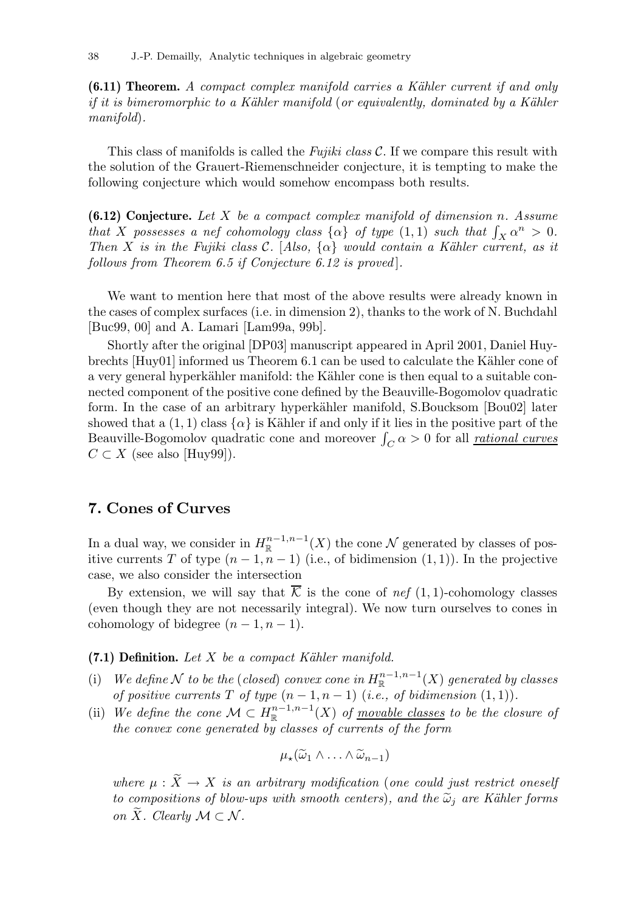$(6.11)$  Theorem. A compact complex manifold carries a Kähler current if and only if it is bimeromorphic to a Kähler manifold (or equivalently, dominated by a Kähler manifold).

This class of manifolds is called the Fujiki class  $\mathcal C$ . If we compare this result with the solution of the Grauert-Riemenschneider conjecture, it is tempting to make the following conjecture which would somehow encompass both results.

(6.12) Conjecture. Let X be a compact complex manifold of dimension n. Assume that X possesses a nef cohomology class  $\{\alpha\}$  of type  $(1,1)$  such that  $\int_X \alpha^n > 0$ . Then X is in the Fujiki class C. [Also,  $\{\alpha\}$  would contain a Kähler current, as it follows from Theorem 6.5 if Conjecture 6.12 is proved.

We want to mention here that most of the above results were already known in the cases of complex surfaces (i.e. in dimension 2), thanks to the work of N. Buchdahl [Buc99, 00] and A. Lamari [Lam99a, 99b].

Shortly after the original [DP03] manuscript appeared in April 2001, Daniel Huybrechts [Huy01] informed us Theorem 6.1 can be used to calculate the Kähler cone of a very general hyperkähler manifold: the Kähler cone is then equal to a suitable connected component of the positive cone defined by the Beauville-Bogomolov quadratic form. In the case of an arbitrary hyperkähler manifold, S.Boucksom [Bou02] later showed that a  $(1, 1)$  class  $\{\alpha\}$  is Kähler if and only if it lies in the positive part of the Beauville-Bogomolov quadratic cone and moreover  $\int_C \alpha > 0$  for all <u>rational curves</u>  $C \subset X$  (see also [Huy99]).

## 7. Cones of Curves

In a dual way, we consider in  $H^{n-1,n-1}_{\mathbb{R}}(X)$  the cone  $\mathcal N$  generated by classes of positive currents T of type  $(n-1, n-1)$  (i.e., of bidimension  $(1, 1)$ ). In the projective case, we also consider the intersection

By extension, we will say that  $\overline{\mathcal{K}}$  is the cone of nef (1, 1)-cohomology classes (even though they are not necessarily integral). We now turn ourselves to cones in cohomology of bidegree  $(n-1, n-1)$ .

#### $(7.1)$  Definition. Let X be a compact Kähler manifold.

- (i) We define N to be the (closed) convex cone in  $H^{n-1,n-1}_{\mathbb{R}}(X)$  generated by classes of positive currents T of type  $(n-1, n-1)$  (i.e., of bidimension  $(1, 1)$ ).
- (ii) We define the cone  $\mathcal{M} \subset H^{n-1,n-1}_\mathbb{R}(X)$  of <u>movable classes</u> to be the closure of the convex cone generated by classes of currents of the form

$$
\mu_\star(\widetilde{\omega}_1\wedge\ldots\wedge\widetilde{\omega}_{n-1})
$$

where  $\mu : \widetilde{X} \to X$  is an arbitrary modification (one could just restrict oneself to compositions of blow-ups with smooth centers), and the  $\tilde{\omega}_j$  are Kähler forms on  $\widetilde{X}$ . Clearly  $\mathcal{M} \subset \mathcal{N}$ .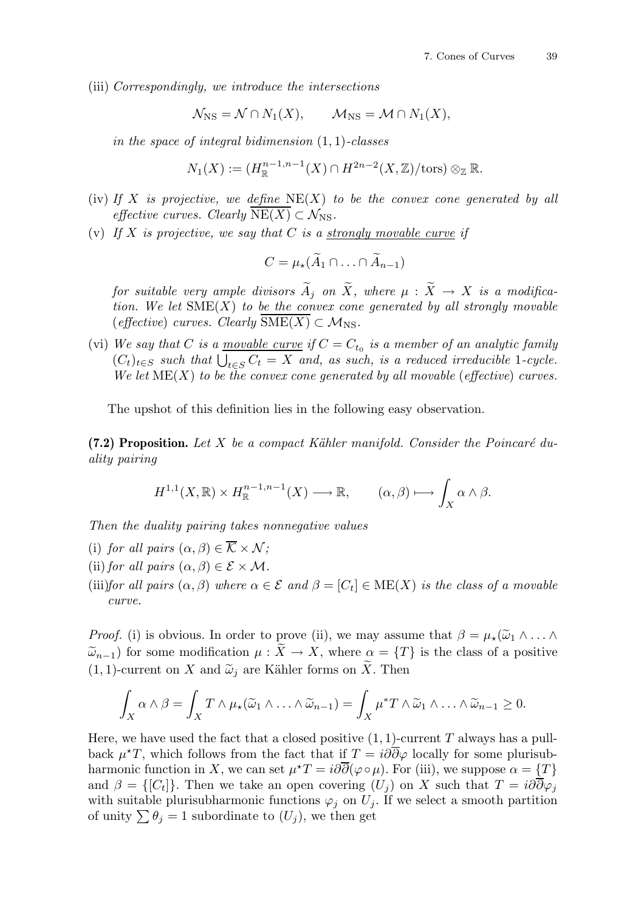(iii) Correspondingly, we introduce the intersections

$$
\mathcal{N}_{\text{NS}} = \mathcal{N} \cap N_1(X), \qquad \mathcal{M}_{\text{NS}} = \mathcal{M} \cap N_1(X),
$$

in the space of integral bidimension  $(1, 1)$ -classes

$$
N_1(X) := (H_{\mathbb{R}}^{n-1,n-1}(X) \cap H^{2n-2}(X,\mathbb{Z})/\text{tors}) \otimes_{\mathbb{Z}} \mathbb{R}.
$$

- (iv) If X is projective, we define  $NE(X)$  to be the convex cone generated by all effective curves. Clearly  $NE(X) \subset \mathcal{N}_{NS}$ .
- (v) If X is projective, we say that C is a <u>strongly movable curve</u> if

$$
C=\mu_{\star}(\widetilde{A}_1\cap\ldots\cap\widetilde{A}_{n-1})
$$

for suitable very ample divisors  $\widetilde{A}_i$  on  $\widetilde{X}$ , where  $\mu : \widetilde{X} \to X$  is a modification. We let  $\text{SME}(X)$  to be the convex cone generated by all strongly movable (effective) curves. Clearly  $\text{SME}(X) \subset \mathcal{M}_{\text{NS}}$ .

(vi) We say that C is a <u>movable curve</u> if  $C = C_{t_0}$  is a member of an analytic family  $(C_t)_{t\in S}$  such that  $\bigcup_{t\in S} C_t = X$  and, as such, is a reduced irreducible 1-cycle. We let  $ME(X)$  to be the convex cone generated by all movable (effective) curves.

The upshot of this definition lies in the following easy observation.

(7.2) Proposition. Let X be a compact Kähler manifold. Consider the Poincaré duality pairing

$$
H^{1,1}(X,\mathbb{R})\times H^{n-1,n-1}_{\mathbb{R}}(X)\longrightarrow \mathbb{R}, \qquad (\alpha,\beta)\longmapsto \int_X \alpha\wedge\beta.
$$

Then the duality pairing takes nonnegative values

- (i) for all pairs  $(\alpha, \beta) \in \overline{\mathcal{K}} \times \mathcal{N}$ ;
- (ii) for all pairs  $(\alpha, \beta) \in \mathcal{E} \times \mathcal{M}$ .
- (iii)for all pairs  $(\alpha, \beta)$  where  $\alpha \in \mathcal{E}$  and  $\beta = [C_t] \in \text{ME}(X)$  is the class of a movable curve.

*Proof.* (i) is obvious. In order to prove (ii), we may assume that  $\beta = \mu_*(\widetilde{\omega}_1 \wedge \ldots \wedge$  $\widetilde{\omega}_{n-1}$ ) for some modification  $\mu : \widetilde{X} \to X$ , where  $\alpha = \{T\}$  is the class of a positive  $(1, 1)$ -current on X and  $\tilde{\omega}_i$  are Kähler forms on  $\tilde{X}$ . Then

$$
\int_X \alpha \wedge \beta = \int_X T \wedge \mu_*(\widetilde{\omega}_1 \wedge \ldots \wedge \widetilde{\omega}_{n-1}) = \int_X \mu^* T \wedge \widetilde{\omega}_1 \wedge \ldots \wedge \widetilde{\omega}_{n-1} \geq 0.
$$

Here, we have used the fact that a closed positive  $(1, 1)$ -current T always has a pullback  $\mu^{\star}T$ , which follows from the fact that if  $T = i\partial\overline{\partial}\varphi$  locally for some plurisubharmonic function in X, we can set  $\mu^{\star}T = i\partial\overline{\partial}(\varphi \circ \mu)$ . For (iii), we suppose  $\alpha = \{T\}$ and  $\beta = \{[C_t]\}\.$  Then we take an open covering  $(U_j)$  on X such that  $T = i\partial\partial\varphi_j$ with suitable plurisubharmonic functions  $\varphi_j$  on  $U_j$ . If we select a smooth partition of unity  $\sum \theta_j = 1$  subordinate to  $(U_j)$ , we then get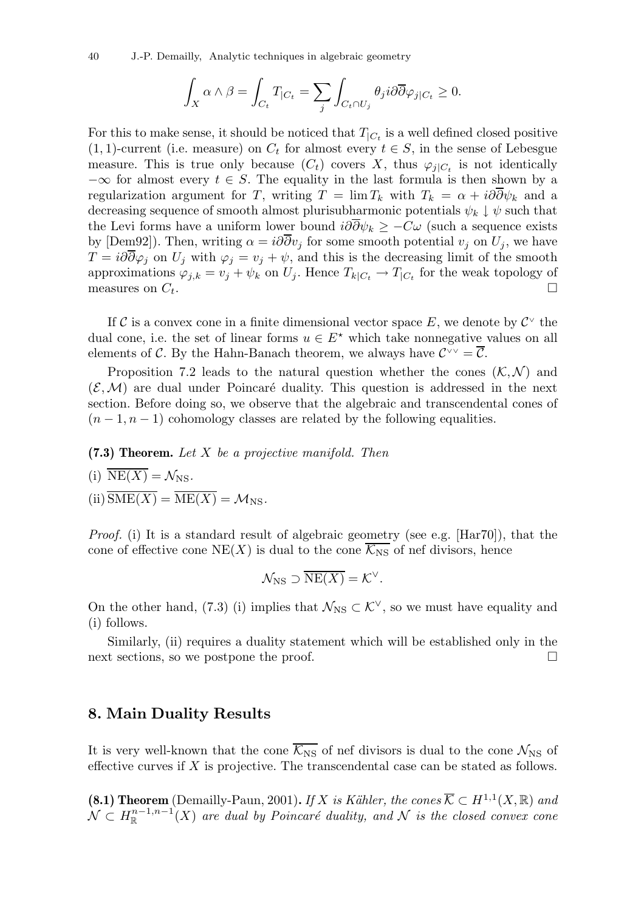40 J.-P. Demailly, Analytic techniques in algebraic geometry

$$
\int_X \alpha \wedge \beta = \int_{C_t} T_{|C_t} = \sum_j \int_{C_t \cap U_j} \theta_j i \partial \overline{\partial} \varphi_j_{|C_t} \geq 0.
$$

For this to make sense, it should be noticed that  $T_{|C_t}$  is a well defined closed positive  $(1, 1)$ -current (i.e. measure) on  $C_t$  for almost every  $t \in S$ , in the sense of Lebesgue measure. This is true only because  $(C_t)$  covers X, thus  $\varphi_{j|C_t}$  is not identically  $-\infty$  for almost every  $t \in S$ . The equality in the last formula is then shown by a regularization argument for T, writing  $T = \lim T_k$  with  $T_k = \alpha + i\partial \overline{\partial} \psi_k$  and a decreasing sequence of smooth almost plurisubharmonic potentials  $\psi_k \downarrow \psi$  such that the Levi forms have a uniform lower bound  $i\partial\overline{\partial}\psi_k \geq -C\omega$  (such a sequence exists by [Dem92]). Then, writing  $\alpha = i\partial \partial v_i$  for some smooth potential  $v_i$  on  $U_i$ , we have  $T = i\partial\overline{\partial}\varphi_j$  on  $U_j$  with  $\varphi_j = v_j + \psi$ , and this is the decreasing limit of the smooth approximations  $\varphi_{j,k} = v_j + \psi_k$  on  $U_j$ . Hence  $T_{k|C_t} \to T_{|C_t}$  for the weak topology of measures on  $C_t$ .

If C is a convex cone in a finite dimensional vector space E, we denote by  $\mathcal{C}^{\vee}$  the dual cone, i.e. the set of linear forms  $u \in E^*$  which take nonnegative values on all elements of C. By the Hahn-Banach theorem, we always have  $\mathcal{C}^{\vee\vee}=\overline{\mathcal{C}}$ .

Proposition 7.2 leads to the natural question whether the cones  $(\mathcal{K}, \mathcal{N})$  and  $(\mathcal{E}, \mathcal{M})$  are dual under Poincaré duality. This question is addressed in the next section. Before doing so, we observe that the algebraic and transcendental cones of  $(n-1, n-1)$  cohomology classes are related by the following equalities.

 $(7.3)$  Theorem. Let X be a projective manifold. Then

(i) 
$$
\overline{\text{NE}(X)} = \mathcal{N}_{\text{NS}}
$$
.

(ii)  $\overline{\text{SME}(X)} = \overline{\text{ME}(X)} = \mathcal{M}_{\text{NS}}.$ 

Proof. (i) It is a standard result of algebraic geometry (see e.g. [Har70]), that the cone of effective cone NE(X) is dual to the cone  $\overline{\mathcal{K}_{NS}}$  of nef divisors, hence

$$
\mathcal{N}_{\text{NS}} \supset \overline{\text{NE}(X)} = \mathcal{K}^{\vee}.
$$

On the other hand, (7.3) (i) implies that  $\mathcal{N}_{\text{NS}} \subset \mathcal{K}^{\vee}$ , so we must have equality and (i) follows.

Similarly, (ii) requires a duality statement which will be established only in the next sections, so we postpone the proof.

## 8. Main Duality Results

It is very well-known that the cone  $\overline{\mathcal{K}_{NS}}$  of nef divisors is dual to the cone  $\mathcal{N}_{NS}$  of effective curves if  $X$  is projective. The transcendental case can be stated as follows.

**(8.1) Theorem** (Demailly-Paun, 2001). If X is Kähler, the cones  $\overline{\mathcal{K}} \subset H^{1,1}(X,\mathbb{R})$  and  $\mathcal{N}\subset H^{n-1,n-1}_{\mathbb R}(X)$  are dual by Poincaré duality, and  $\mathcal N$  is the closed convex cone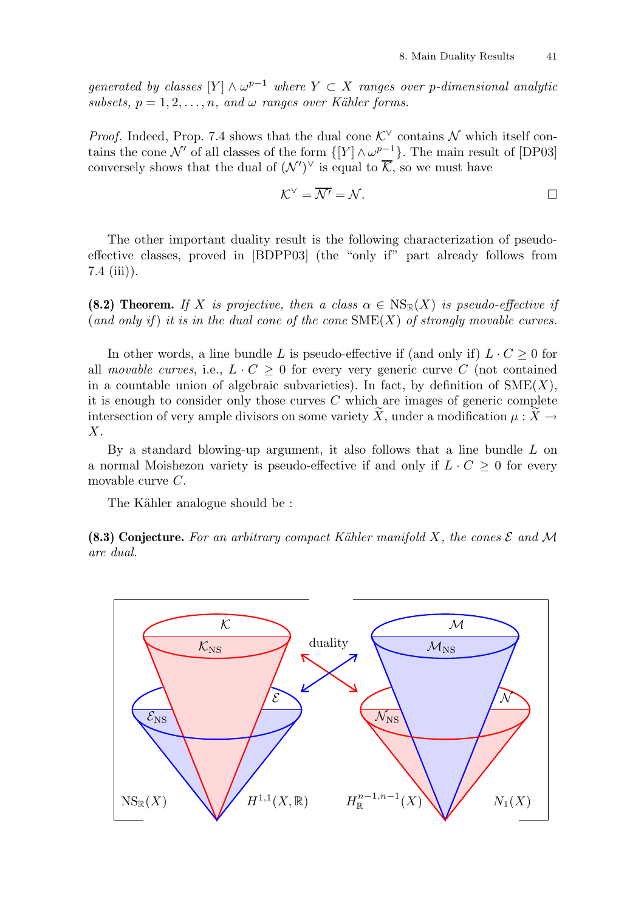generated by classes  $[Y] \wedge \omega^{p-1}$  where  $Y \subset X$  ranges over p-dimensional analytic subsets,  $p = 1, 2, \ldots, n$ , and  $\omega$  ranges over Kähler forms.

*Proof.* Indeed, Prop. 7.4 shows that the dual cone  $\mathcal{K}^{\vee}$  contains N which itself contains the cone N' of all classes of the form  $\{[Y] \wedge \omega^{p-1}\}$ . The main result of [DP03] conversely shows that the dual of  $(\mathcal{N}')^{\vee}$  is equal to  $\overline{\mathcal{K}}$ , so we must have

$$
\mathcal{K}^{\vee} = \overline{\mathcal{N}'} = \mathcal{N}.
$$

The other important duality result is the following characterization of pseudoeffective classes, proved in [BDPP03] (the "only if" part already follows from 7.4 (iii)).

(8.2) Theorem. If X is projective, then a class  $\alpha \in \text{NS}_{\mathbb{R}}(X)$  is pseudo-effective if (and only if) it is in the dual cone of the cone  $\text{SME}(X)$  of strongly movable curves.

In other words, a line bundle L is pseudo-effective if (and only if)  $L \cdot C \geq 0$  for all movable curves, i.e.,  $L \cdot C \geq 0$  for every very generic curve C (not contained in a countable union of algebraic subvarieties). In fact, by definition of  $\text{SME}(X)$ , it is enough to consider only those curves  $C$  which are images of generic complete intersection of very ample divisors on some variety  $\tilde{X}$ , under a modification  $\mu : \tilde{X} \to$ X.

By a standard blowing-up argument, it also follows that a line bundle  $L$  on a normal Moishezon variety is pseudo-effective if and only if  $L \cdot C \geq 0$  for every movable curve C.

The Kähler analogue should be:

(8.3) Conjecture. For an arbitrary compact Kähler manifold X, the cones  $\mathcal E$  and M are dual.

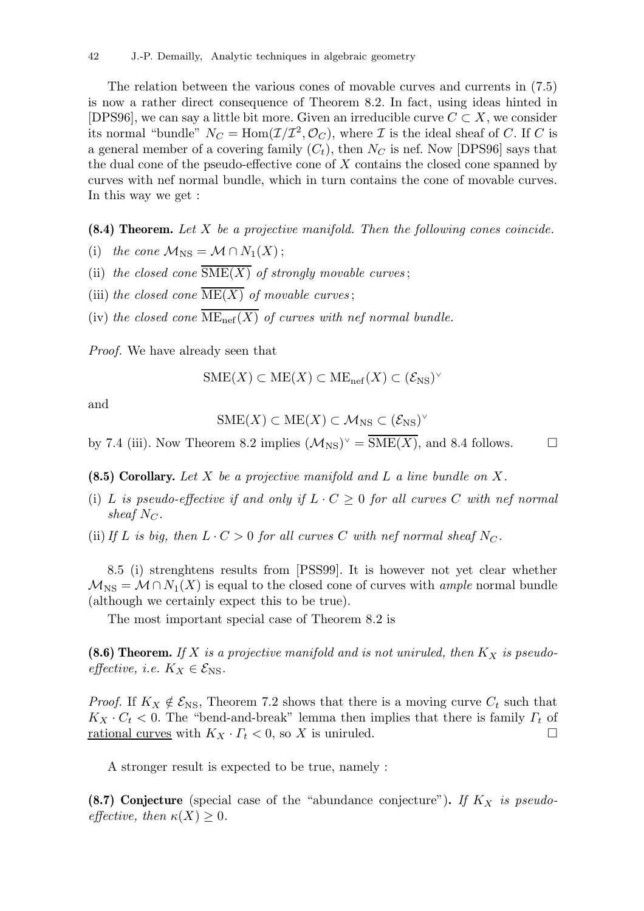The relation between the various cones of movable curves and currents in (7.5) is now a rather direct consequence of Theorem 8.2. In fact, using ideas hinted in [DPS96], we can say a little bit more. Given an irreducible curve  $C \subset X$ , we consider its normal "bundle"  $N_C = \text{Hom}(\mathcal{I}/\mathcal{I}^2, \mathcal{O}_C)$ , where  $\mathcal I$  is the ideal sheaf of C. If C is a general member of a covering family  $(C_t)$ , then  $N_C$  is nef. Now [DPS96] says that the dual cone of the pseudo-effective cone of X contains the closed cone spanned by curves with nef normal bundle, which in turn contains the cone of movable curves. In this way we get :

 $(8.4)$  Theorem. Let X be a projective manifold. Then the following cones coincide.

- (i) the cone  $\mathcal{M}_{\text{NS}} = \mathcal{M} \cap N_1(X);$
- (ii) the closed cone  $\overline{\text{SME}(X)}$  of strongly movable curves;
- (iii) the closed cone  $\overline{\text{ME}(X)}$  of movable curves;
- (iv) the closed cone  $\overline{\text{ME}_{\text{nef}}(X)}$  of curves with nef normal bundle.

Proof. We have already seen that

$$
SME(X) \subset ME(X) \subset ME_{nef}(X) \subset (\mathcal{E}_{NS})^{\vee}
$$

and

$$
SME(X) \subset ME(X) \subset \mathcal{M}_{NS} \subset (\mathcal{E}_{NS})^{\vee}
$$

by 7.4 (iii). Now Theorem 8.2 implies  $(\mathcal{M}_{NS})^{\vee} = \overline{\text{SME}(X)}$ , and 8.4 follows.

(8.5) Corollary. Let X be a projective manifold and L a line bundle on X.

- (i) L is pseudo-effective if and only if  $L \cdot C \geq 0$  for all curves C with nef normal sheaf  $N_C$ .
- (ii) If L is big, then  $L \cdot C > 0$  for all curves C with nef normal sheaf N<sub>C</sub>.

8.5 (i) strenghtens results from [PSS99]. It is however not yet clear whether  $\mathcal{M}_{\text{NS}} = \mathcal{M} \cap N_1(X)$  is equal to the closed cone of curves with ample normal bundle (although we certainly expect this to be true).

The most important special case of Theorem 8.2 is

(8.6) Theorem. If X is a projective manifold and is not uniruled, then  $K_X$  is pseudoeffective, i.e.  $K_X \in \mathcal{E}_{NS}$ .

*Proof.* If  $K_X \notin \mathcal{E}_{NS}$ , Theorem 7.2 shows that there is a moving curve  $C_t$  such that  $K_X \cdot C_t$  < 0. The "bend-and-break" lemma then implies that there is family  $\Gamma_t$  of <u>rational curves</u> with  $K_X \cdot \Gamma_t < 0$ , so X is uniruled.

A stronger result is expected to be true, namely :

(8.7) Conjecture (special case of the "abundance conjecture"). If  $K_X$  is pseudoeffective, then  $\kappa(X) > 0$ .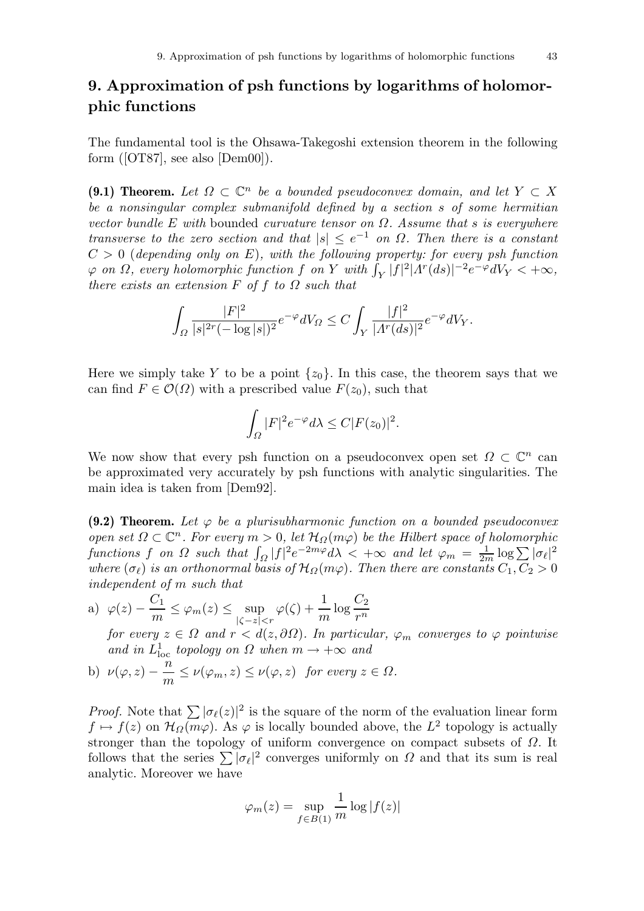# 9. Approximation of psh functions by logarithms of holomorphic functions

The fundamental tool is the Ohsawa-Takegoshi extension theorem in the following form  $(50T87)$ , see also  $[Dem 00]$ ).

(9.1) Theorem. Let  $\Omega \subset \mathbb{C}^n$  be a bounded pseudoconvex domain, and let  $Y \subset X$ be a nonsingular complex submanifold defined by a section s of some hermitian vector bundle E with bounded curvature tensor on  $\Omega$ . Assume that s is everywhere transverse to the zero section and that  $|s| \leq e^{-1}$  on  $\Omega$ . Then there is a constant  $C > 0$  (depending only on E), with the following property: for every psh function  $\varphi$  on  $\Omega$ , every holomorphic function f on Y with  $\int_Y |f|^2 |A^r(ds)|^{-2} e^{-\varphi} dV_Y < +\infty$ , there exists an extension  $F$  of  $f$  to  $\Omega$  such that

$$
\int_{\Omega} \frac{|F|^2}{|s|^{2r}(-\log|s|)^2} e^{-\varphi} dV_{\Omega} \leq C \int_{Y} \frac{|f|^2}{|A^r(ds)|^2} e^{-\varphi} dV_{Y}.
$$

Here we simply take Y to be a point  $\{z_0\}$ . In this case, the theorem says that we can find  $F \in \mathcal{O}(\Omega)$  with a prescribed value  $F(z_0)$ , such that

$$
\int_{\Omega} |F|^2 e^{-\varphi} d\lambda \leq C |F(z_0)|^2.
$$

We now show that every psh function on a pseudoconvex open set  $\Omega \subset \mathbb{C}^n$  can be approximated very accurately by psh functions with analytic singularities. The main idea is taken from [Dem92].

(9.2) Theorem. Let  $\varphi$  be a plurisubharmonic function on a bounded pseudoconvex open set  $\Omega \subset \mathbb{C}^n$ . For every  $m > 0$ , let  $\mathcal{H}_{\Omega}(m\varphi)$  be the Hilbert space of holomorphic functions f on  $\Omega$  such that  $\int_{\Omega} |f|^2 e^{-2m\varphi} d\lambda < +\infty$  and let  $\varphi_m = \frac{1}{2m} \log \sum |\sigma_{\ell}|^2$ where  $(\sigma_{\ell})$  is an orthonormal basis of  $\mathcal{H}_{\Omega}(m\varphi)$ . Then there are constants  $C_1, C_2 > 0$ independent of m such that

a) 
$$
\varphi(z) - \frac{C_1}{m} \le \varphi_m(z) \le \sup_{|\zeta - z| < r} \varphi(\zeta) + \frac{1}{m} \log \frac{C_2}{r^n}
$$

for every  $z \in \Omega$  and  $r < d(z, \partial \Omega)$ . In particular,  $\varphi_m$  converges to  $\varphi$  pointwise and in  $L^1_{loc}$  topology on  $\Omega$  when  $m \to +\infty$  and

b) 
$$
\nu(\varphi, z) - \frac{n}{m} \le \nu(\varphi_m, z) \le \nu(\varphi, z)
$$
 for every  $z \in \Omega$ .

*Proof.* Note that  $\sum |\sigma_{\ell}(z)|^2$  is the square of the norm of the evaluation linear form  $f \mapsto f(z)$  on  $\mathcal{H}_{\Omega}(m\varphi)$ . As  $\varphi$  is locally bounded above, the  $L^2$  topology is actually stronger than the topology of uniform convergence on compact subsets of  $\Omega$ . It follows that the series  $\sum |\sigma_{\ell}|^2$  converges uniformly on  $\Omega$  and that its sum is real analytic. Moreover we have

$$
\varphi_m(z) = \sup_{f \in B(1)} \frac{1}{m} \log |f(z)|
$$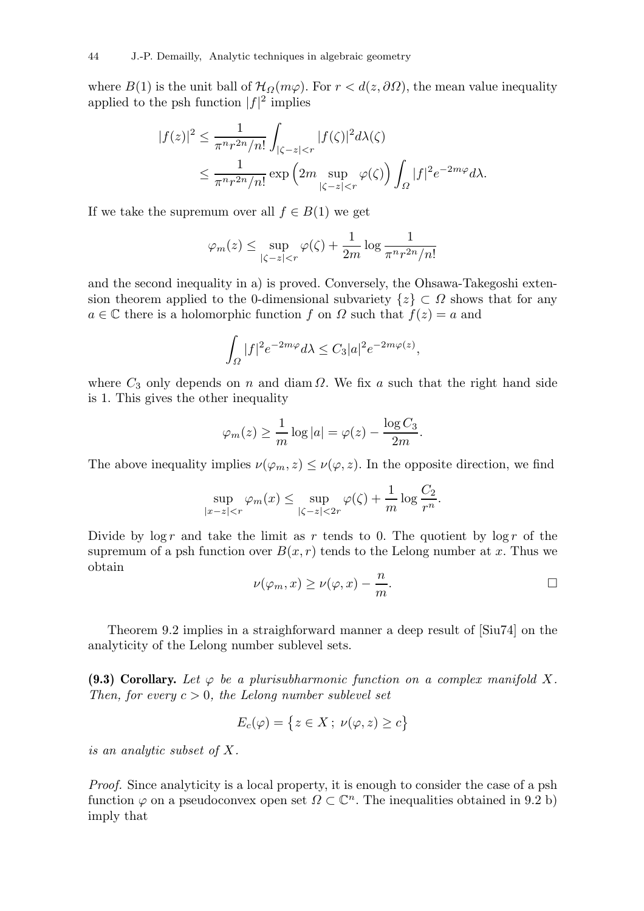where  $B(1)$  is the unit ball of  $\mathcal{H}_{\Omega}(m\varphi)$ . For  $r < d(z, \partial \Omega)$ , the mean value inequality applied to the psh function  $|f|^2$  implies

$$
\begin{aligned} |f(z)|^2 &\leq \frac{1}{\pi^n r^{2n}/n!} \int_{|\zeta-z|
$$

If we take the supremum over all  $f \in B(1)$  we get

$$
\varphi_m(z) \le \sup_{|\zeta - z| < r} \varphi(\zeta) + \frac{1}{2m} \log \frac{1}{\pi^n r^{2n}/n!}
$$

and the second inequality in a) is proved. Conversely, the Ohsawa-Takegoshi extension theorem applied to the 0-dimensional subvariety  $\{z\} \subset \Omega$  shows that for any  $a \in \mathbb{C}$  there is a holomorphic function f on  $\Omega$  such that  $f(z) = a$  and

$$
\int_{\Omega} |f|^2 e^{-2m\varphi} d\lambda \leq C_3 |a|^2 e^{-2m\varphi(z)},
$$

where  $C_3$  only depends on n and diam  $\Omega$ . We fix a such that the right hand side is 1. This gives the other inequality

$$
\varphi_m(z) \ge \frac{1}{m} \log |a| = \varphi(z) - \frac{\log C_3}{2m}.
$$

The above inequality implies  $\nu(\varphi_m, z) \leq \nu(\varphi, z)$ . In the opposite direction, we find

$$
\sup_{|x-z|< r} \varphi_m(x) \le \sup_{|\zeta-z|< 2r} \varphi(\zeta) + \frac{1}{m} \log \frac{C_2}{r^n}.
$$

Divide by  $\log r$  and take the limit as r tends to 0. The quotient by  $\log r$  of the supremum of a psh function over  $B(x, r)$  tends to the Lelong number at x. Thus we obtain

$$
\nu(\varphi_m, x) \ge \nu(\varphi, x) - \frac{n}{m}.
$$

Theorem 9.2 implies in a straighforward manner a deep result of [Siu74] on the analyticity of the Lelong number sublevel sets.

(9.3) Corollary. Let  $\varphi$  be a plurisubharmonic function on a complex manifold X. Then, for every  $c > 0$ , the Lelong number sublevel set

$$
E_c(\varphi) = \{ z \in X \, ; \, \nu(\varphi, z) \ge c \}
$$

is an analytic subset of X.

Proof. Since analyticity is a local property, it is enough to consider the case of a psh function  $\varphi$  on a pseudoconvex open set  $\Omega \subset \mathbb{C}^n$ . The inequalities obtained in 9.2 b) imply that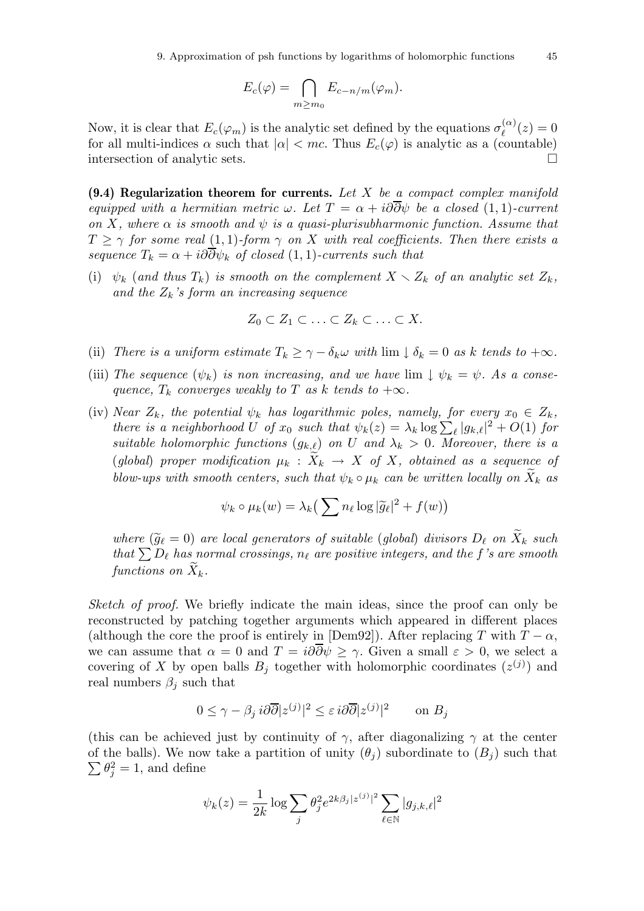$$
E_c(\varphi) = \bigcap_{m \ge m_0} E_{c-n/m}(\varphi_m).
$$

Now, it is clear that  $E_c(\varphi_m)$  is the analytic set defined by the equations  $\sigma_\ell^{(\alpha)}$  $\binom{\alpha}{\ell}(z)=0$ for all multi-indices  $\alpha$  such that  $|\alpha| < mc$ . Thus  $E_c(\varphi)$  is analytic as a (countable) intersection of analytic sets.

 $(9.4)$  Regularization theorem for currents. Let X be a compact complex manifold equipped with a hermitian metric  $\omega$ . Let  $T = \alpha + i\partial \overline{\partial} \psi$  be a closed (1, 1)-current on X, where  $\alpha$  is smooth and  $\psi$  is a quasi-plurisubharmonic function. Assume that  $T \ge \gamma$  for some real (1, 1)-form  $\gamma$  on X with real coefficients. Then there exists a sequence  $T_k = \alpha + i\partial \overline{\partial} \psi_k$  of closed (1, 1)-currents such that

(i)  $\psi_k$  (and thus  $T_k$ ) is smooth on the complement  $X \setminus Z_k$  of an analytic set  $Z_k$ , and the  $Z_k$ 's form an increasing sequence

$$
Z_0 \subset Z_1 \subset \ldots \subset Z_k \subset \ldots \subset X.
$$

- (ii) There is a uniform estimate  $T_k \geq \gamma \delta_k \omega$  with  $\lim_{k \to \infty} \delta_k = 0$  as k tends to  $+\infty$ .
- (iii) The sequence  $(\psi_k)$  is non increasing, and we have  $\lim \psi_k = \psi$ . As a consequence,  $T_k$  converges weakly to T as k tends to  $+\infty$ .
- (iv) Near  $Z_k$ , the potential  $\psi_k$  has logarithmic poles, namely, for every  $x_0 \in Z_k$ , there is a neighborhood U of  $x_0$  such that  $\psi_k(z) = \lambda_k \log \sum_{\ell} |g_{k,\ell}|^2 + O(1)$  for suitable holomorphic functions  $(g_{k,\ell})$  on U and  $\lambda_k > 0$ . Moreover, there is a (global) proper modification  $\mu_k : \tilde{X}_k \to X$  of X, obtained as a sequence of blow-ups with smooth centers, such that  $\psi_k \circ \mu_k$  can be written locally on  $X_k$  as

$$
\psi_k \circ \mu_k(w) = \lambda_k \big( \sum n_\ell \log |\widetilde{g}_\ell|^2 + f(w) \big)
$$

where  $(\widetilde{g}_{\ell} = 0)$  are local generators of suitable (global) divisors  $D_{\ell}$  on  $\widetilde{X}_k$  such that  $\sum D_{\ell}$  has normal crossings,  $n_{\ell}$  are positive integers, and the f's are smooth functions on  $\widetilde{X}_k$ .

Sketch of proof. We briefly indicate the main ideas, since the proof can only be reconstructed by patching together arguments which appeared in different places (although the core the proof is entirely in [Dem92]). After replacing T with  $T - \alpha$ , we can assume that  $\alpha = 0$  and  $T = i\partial\overline{\partial}\psi > \gamma$ . Given a small  $\varepsilon > 0$ , we select a covering of X by open balls  $B_j$  together with holomorphic coordinates  $(z^{(j)})$  and real numbers  $\beta_i$  such that

$$
0 \le \gamma - \beta_j i \partial \overline{\partial} |z^{(j)}|^2 \le \varepsilon i \partial \overline{\partial} |z^{(j)}|^2 \qquad \text{on } B_j
$$

(this can be achieved just by continuity of  $\gamma$ , after diagonalizing  $\gamma$  at the center of the balls). We now take a partition of unity  $(\theta_j)$  subordinate to  $(B_j)$  such that  $\sum \theta_j^2 = 1$ , and define

$$
\psi_k(z) = \frac{1}{2k} \log \sum_j \theta_j^2 e^{2k\beta_j |z^{(j)}|^2} \sum_{\ell \in \mathbb{N}} |g_{j,k,\ell}|^2
$$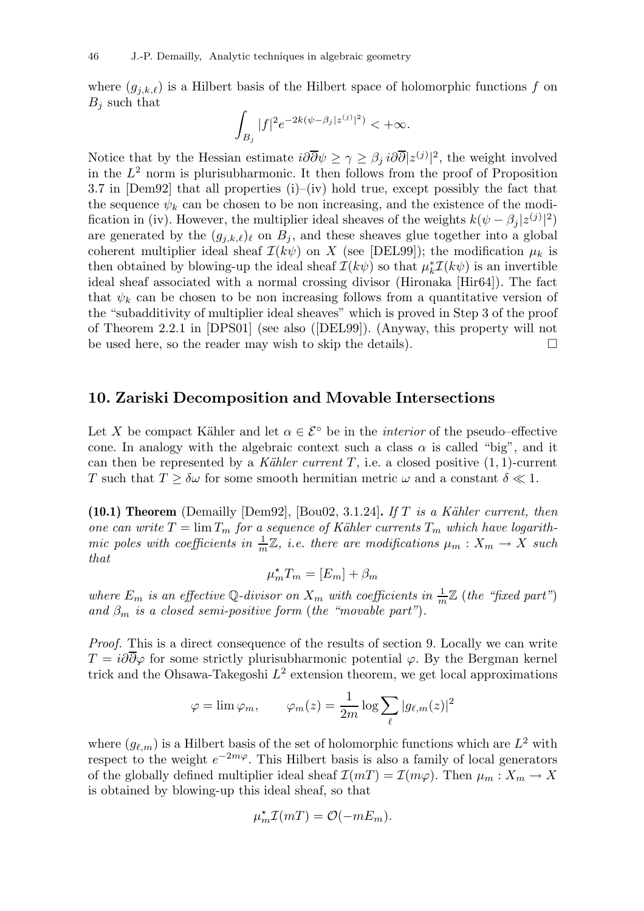where  $(g_{j,k,\ell})$  is a Hilbert basis of the Hilbert space of holomorphic functions f on  $B_j$  such that

$$
\int_{B_j}|f|^2e^{-2k(\psi-\beta_j|z^{(j)}|^2)}<+\infty.
$$

Notice that by the Hessian estimate  $i\partial\overline{\partial}\psi \geq \gamma \geq \beta_j i\partial\overline{\partial}|z^{(j)}|^2$ , the weight involved in the  $L^2$  norm is plurisubharmonic. It then follows from the proof of Proposition 3.7 in [Dem92] that all properties (i)–(iv) hold true, except possibly the fact that the sequence  $\psi_k$  can be chosen to be non increasing, and the existence of the modification in (iv). However, the multiplier ideal sheaves of the weights  $k(\psi - \beta_j |z^{(j)}|^2)$ are generated by the  $(g_{j,k,\ell})_\ell$  on  $B_j$ , and these sheaves glue together into a global coherent multiplier ideal sheaf  $\mathcal{I}(k\psi)$  on X (see [DEL99]); the modification  $\mu_k$  is then obtained by blowing-up the ideal sheaf  $\mathcal{I}(k\psi)$  so that  $\mu_k^* \mathcal{I}(k\psi)$  is an invertible ideal sheaf associated with a normal crossing divisor (Hironaka [Hir64]). The fact that  $\psi_k$  can be chosen to be non increasing follows from a quantitative version of the "subadditivity of multiplier ideal sheaves" which is proved in Step 3 of the proof of Theorem 2.2.1 in [DPS01] (see also ([DEL99]). (Anyway, this property will not be used here, so the reader may wish to skip the details).  $\Box$ 

### 10. Zariski Decomposition and Movable Intersections

Let X be compact Kähler and let  $\alpha \in \mathcal{E}^{\circ}$  be in the *interior* of the pseudo–effective cone. In analogy with the algebraic context such a class  $\alpha$  is called "big", and it can then be represented by a Kähler current T, i.e. a closed positive  $(1, 1)$ -current T such that  $T \ge \delta \omega$  for some smooth hermitian metric  $\omega$  and a constant  $\delta \ll 1$ .

(10.1) Theorem (Demailly [Dem92], [Bou02, 3.1.24]. If T is a Kähler current, then one can write  $T = \lim T_m$  for a sequence of Kähler currents  $T_m$  which have logarithmic poles with coefficients in  $\frac{1}{m}\mathbb{Z}$ , i.e. there are modifications  $\mu_m: X_m \to X$  such that

$$
\mu_m^* T_m = [E_m] + \beta_m
$$

where  $E_m$  is an effective Q-divisor on  $X_m$  with coefficients in  $\frac{1}{m}\mathbb{Z}$  (the "fixed part") and  $\beta_m$  is a closed semi-positive form (the "movable part").

Proof. This is a direct consequence of the results of section 9. Locally we can write  $T = i\partial\overline{\partial}\varphi$  for some strictly plurisubharmonic potential  $\varphi$ . By the Bergman kernel trick and the Ohsawa-Takegoshi  $L^2$  extension theorem, we get local approximations

$$
\varphi = \lim \varphi_m, \qquad \varphi_m(z) = \frac{1}{2m} \log \sum_{\ell} |g_{\ell,m}(z)|^2
$$

where  $(g_{\ell,m})$  is a Hilbert basis of the set of holomorphic functions which are  $L^2$  with respect to the weight  $e^{-2m\varphi}$ . This Hilbert basis is also a family of local generators of the globally defined multiplier ideal sheaf  $\mathcal{I}(mT) = \mathcal{I}(m\varphi)$ . Then  $\mu_m : X_m \to X$ is obtained by blowing-up this ideal sheaf, so that

$$
\mu_m^{\star}\mathcal{I}(mT)=\mathcal{O}(-mE_m).
$$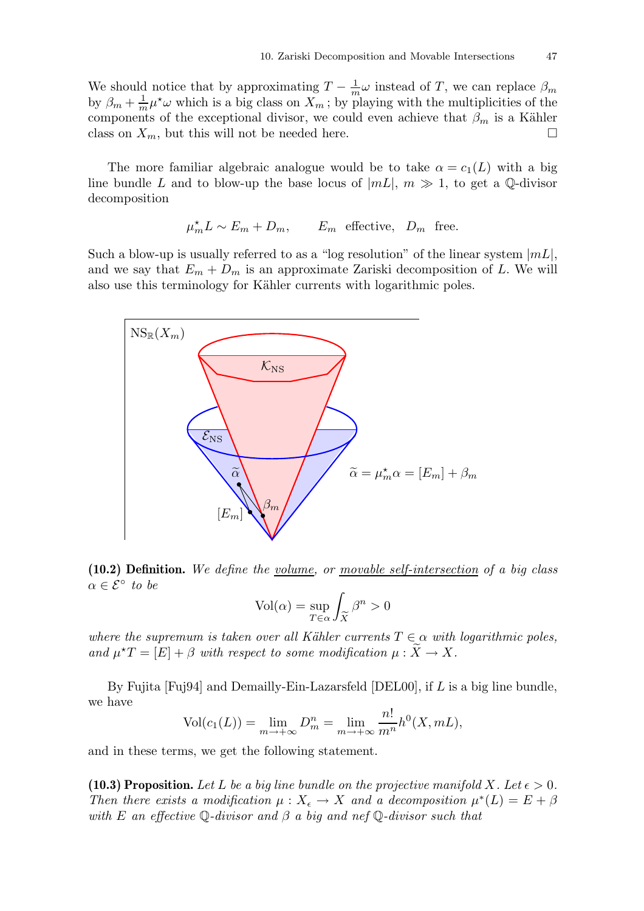We should notice that by approximating  $T - \frac{1}{m}\omega$  instead of T, we can replace  $\beta_m$ by  $\beta_m + \frac{1}{m} \mu^* \omega$  which is a big class on  $X_m$ ; by playing with the multiplicities of the components of the exceptional divisor, we could even achieve that  $\beta_m$  is a Kähler class on  $X_m$ , but this will not be needed here.

The more familiar algebraic analogue would be to take  $\alpha = c_1(L)$  with a big line bundle L and to blow-up the base locus of  $|mL|, m \gg 1$ , to get a Q-divisor decomposition

$$
\mu_m^* L \sim E_m + D_m
$$
,  $E_m$  effective,  $D_m$  free.

Such a blow-up is usually referred to as a "log resolution" of the linear system  $|mL|$ , and we say that  $E_m + D_m$  is an approximate Zariski decomposition of L. We will also use this terminology for Kähler currents with logarithmic poles.



(10.2) Definition. We define the volume, or movable self-intersection of a big class  $\alpha \in \mathcal{E}^{\circ}$  to be

$$
Vol(\alpha) = \sup_{T \in \alpha} \int_{\widetilde{X}} \beta^n > 0
$$

where the supremum is taken over all Kähler currents  $T \in \alpha$  with logarithmic poles, and  $\mu^{\star}T = [E] + \beta$  with respect to some modification  $\mu : \tilde{X} \to X$ .

By Fujita  $[Fu]$  and Demailly-Ein-Lazarsfeld  $[DEL00]$ , if L is a big line bundle, we have

$$
Vol(c_1(L)) = \lim_{m \to +\infty} D_m^n = \lim_{m \to +\infty} \frac{n!}{m^n} h^0(X, mL),
$$

and in these terms, we get the following statement.

(10.3) Proposition. Let L be a big line bundle on the projective manifold X. Let  $\epsilon > 0$ . Then there exists a modification  $\mu : X_{\epsilon} \to X$  and a decomposition  $\mu^*(L) = E + \beta$ with E an effective  $\mathbb Q$ -divisor and  $\beta$  a big and nef  $\mathbb Q$ -divisor such that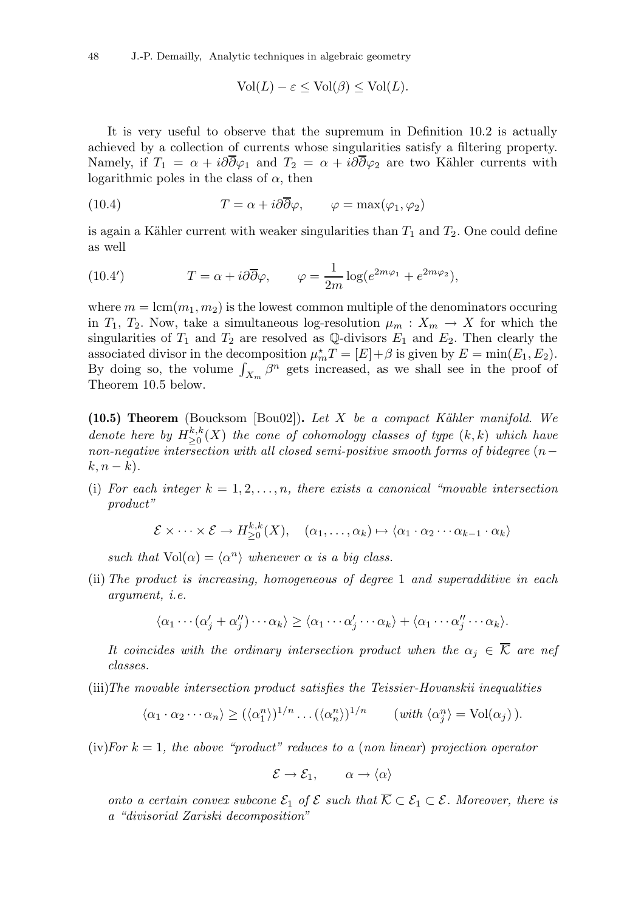48 J.-P. Demailly, Analytic techniques in algebraic geometry

$$
Vol(L) - \varepsilon \le Vol(\beta) \le Vol(L).
$$

It is very useful to observe that the supremum in Definition 10.2 is actually achieved by a collection of currents whose singularities satisfy a filtering property. Namely, if  $T_1 = \alpha + i\partial\overline{\partial}\varphi_1$  and  $T_2 = \alpha + i\partial\overline{\partial}\varphi_2$  are two Kähler currents with logarithmic poles in the class of  $\alpha$ , then

(10.4) 
$$
T = \alpha + i\partial\overline{\partial}\varphi, \qquad \varphi = \max(\varphi_1, \varphi_2)
$$

is again a Kähler current with weaker singularities than  $T_1$  and  $T_2$ . One could define as well

(10.4') 
$$
T = \alpha + i\partial\overline{\partial}\varphi, \qquad \varphi = \frac{1}{2m}\log(e^{2m\varphi_1} + e^{2m\varphi_2}),
$$

where  $m = \text{lcm}(m_1, m_2)$  is the lowest common multiple of the denominators occuring in  $T_1, T_2$ . Now, take a simultaneous log-resolution  $\mu_m : X_m \to X$  for which the singularities of  $T_1$  and  $T_2$  are resolved as Q-divisors  $E_1$  and  $E_2$ . Then clearly the associated divisor in the decomposition  $\mu_m^* T = [E] + \beta$  is given by  $E = \min(E_1, E_2)$ . By doing so, the volume  $\int_{X_m} \beta^n$  gets increased, as we shall see in the proof of Theorem 10.5 below.

(10.5) Theorem (Boucksom [Bou02]). Let X be a compact Kähler manifold. We denote here by  $H^{k,k}_{\geq 0}$  $\sum_{n=0}^{\kappa,\kappa}(X)$  the cone of cohomology classes of type  $(k,k)$  which have  $\emph{non-negative intersection with all closed semi-positive smooth forms of bidegree}$   $(n-\emph{non-negative intersection})$  $k, n - k$ ).

(i) For each integer  $k = 1, 2, \ldots, n$ , there exists a canonical "movable intersection" product"

$$
\mathcal{E} \times \cdots \times \mathcal{E} \to H_{\geq 0}^{k,k}(X), \quad (\alpha_1, \ldots, \alpha_k) \mapsto \langle \alpha_1 \cdot \alpha_2 \cdots \alpha_{k-1} \cdot \alpha_k \rangle
$$

such that  $Vol(\alpha) = \langle \alpha^n \rangle$  whenever  $\alpha$  is a big class.

(ii) The product is increasing, homogeneous of degree 1 and superadditive in each argument, i.e.

$$
\langle \alpha_1 \cdots (\alpha'_j + \alpha''_j) \cdots \alpha_k \rangle \geq \langle \alpha_1 \cdots \alpha'_j \cdots \alpha_k \rangle + \langle \alpha_1 \cdots \alpha''_j \cdots \alpha_k \rangle.
$$

It coincides with the ordinary intersection product when the  $\alpha_j \in \overline{K}$  are nef classes.

(iii)The movable intersection product satisfies the Teissier-Hovanskii inequalities

$$
\langle \alpha_1 \cdot \alpha_2 \cdots \alpha_n \rangle \geq (\langle \alpha_1^n \rangle)^{1/n} \dots (\langle \alpha_n^n \rangle)^{1/n} \qquad (\text{with } \langle \alpha_j^n \rangle = \text{Vol}(\alpha_j)).
$$

 $(iv) For k = 1$ , the above "product" reduces to a (non linear) projection operator

$$
\mathcal{E} \to \mathcal{E}_1, \qquad \alpha \to \langle \alpha \rangle
$$

onto a certain convex subcone  $\mathcal{E}_1$  of  $\mathcal{E}$  such that  $\overline{\mathcal{K}} \subset \mathcal{E}_1 \subset \mathcal{E}$ . Moreover, there is a "divisorial Zariski decomposition"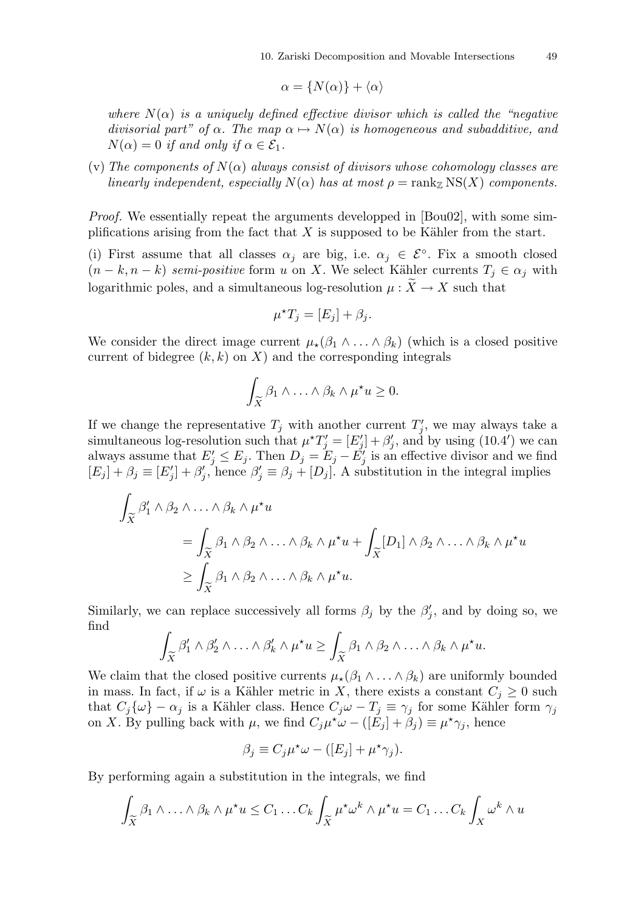$$
\alpha = \{N(\alpha)\} + \langle \alpha \rangle
$$

where  $N(\alpha)$  is a uniquely defined effective divisor which is called the "negative" divisorial part" of  $\alpha$ . The map  $\alpha \mapsto N(\alpha)$  is homogeneous and subadditive, and  $N(\alpha) = 0$  if and only if  $\alpha \in \mathcal{E}_1$ .

(v) The components of  $N(\alpha)$  always consist of divisors whose cohomology classes are linearly independent, especially  $N(\alpha)$  has at most  $\rho = \text{rank}_{\mathbb{Z}} NS(X)$  components.

Proof. We essentially repeat the arguments developped in [Bou02], with some simplifications arising from the fact that  $X$  is supposed to be Kähler from the start.

(i) First assume that all classes  $\alpha_j$  are big, i.e.  $\alpha_j \in \mathcal{E}^{\circ}$ . Fix a smooth closed  $(n - k, n - k)$  semi-positive form u on X. We select Kähler currents  $T_j \in \alpha_j$  with logarithmic poles, and a simultaneous log-resolution  $\mu : \widetilde{X} \to X$  such that

$$
\mu^{\star} T_j = [E_j] + \beta_j.
$$

We consider the direct image current  $\mu_{\star}(\beta_1 \wedge \ldots \wedge \beta_k)$  (which is a closed positive current of bidegree  $(k, k)$  on X) and the corresponding integrals

$$
\int_{\widetilde{X}} \beta_1 \wedge \ldots \wedge \beta_k \wedge \mu^{\star} u \geq 0.
$$

If we change the representative  $T_j$  with another current  $T'_j$ , we may always take a simultaneous log-resolution such that  $\mu^{\star}T_j' = [E_j'] + \beta_j'$ , and by using  $(10.4')$  we can always assume that  $E'_j \le E_j$ . Then  $D_j = E_j - E'_j$  is an effective divisor and we find  $[E_j] + \beta_j \equiv [E'_j] + \beta'_j$ , hence  $\beta'_j \equiv \beta_j + [D_j]$ . A substitution in the integral implies

$$
\int_{\widetilde{X}} \beta_1' \wedge \beta_2 \wedge \ldots \wedge \beta_k \wedge \mu^* u
$$
\n
$$
= \int_{\widetilde{X}} \beta_1 \wedge \beta_2 \wedge \ldots \wedge \beta_k \wedge \mu^* u + \int_{\widetilde{X}} [D_1] \wedge \beta_2 \wedge \ldots \wedge \beta_k \wedge \mu^* u
$$
\n
$$
\geq \int_{\widetilde{X}} \beta_1 \wedge \beta_2 \wedge \ldots \wedge \beta_k \wedge \mu^* u.
$$

Similarly, we can replace successively all forms  $\beta_j$  by the  $\beta'_j$ , and by doing so, we find

$$
\int_{\widetilde{X}} \beta'_1 \wedge \beta'_2 \wedge \ldots \wedge \beta'_k \wedge \mu^{\star} u \ge \int_{\widetilde{X}} \beta_1 \wedge \beta_2 \wedge \ldots \wedge \beta_k \wedge \mu^{\star} u.
$$

We claim that the closed positive currents  $\mu_{\star}(\beta_1 \wedge \ldots \wedge \beta_k)$  are uniformly bounded in mass. In fact, if  $\omega$  is a Kähler metric in X, there exists a constant  $C_i \geq 0$  such that  $C_j\{\omega\} - \alpha_j$  is a Kähler class. Hence  $C_j\omega - T_j \equiv \gamma_j$  for some Kähler form  $\gamma_j$ on X. By pulling back with  $\mu$ , we find  $C_j\mu^*\omega - (E_j + \beta_j) \equiv \mu^*\gamma_j$ , hence

$$
\beta_j \equiv C_j \mu^* \omega - ([E_j] + \mu^* \gamma_j).
$$

By performing again a substitution in the integrals, we find

$$
\int_{\widetilde{X}} \beta_1 \wedge \ldots \wedge \beta_k \wedge \mu^{\star} u \leq C_1 \ldots C_k \int_{\widetilde{X}} \mu^{\star} \omega^k \wedge \mu^{\star} u = C_1 \ldots C_k \int_{X} \omega^k \wedge u
$$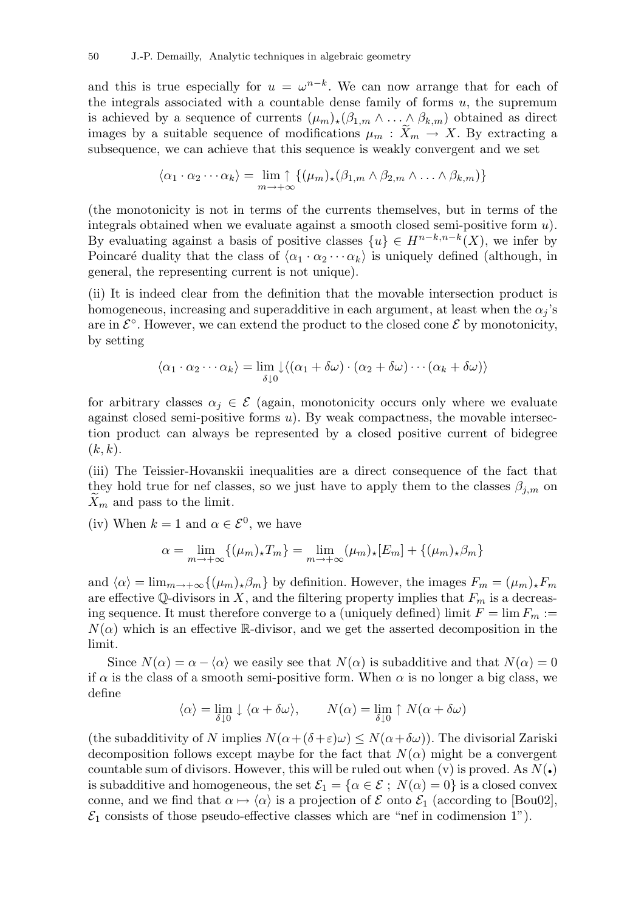and this is true especially for  $u = \omega^{n-k}$ . We can now arrange that for each of the integrals associated with a countable dense family of forms  $u$ , the supremum is achieved by a sequence of currents  $(\mu_m)_*(\beta_{1,m} \wedge \ldots \wedge \beta_{k,m})$  obtained as direct images by a suitable sequence of modifications  $\mu_m : \widetilde{X}_m \to X$ . By extracting a subsequence, we can achieve that this sequence is weakly convergent and we set

$$
\langle \alpha_1 \cdot \alpha_2 \cdots \alpha_k \rangle = \lim_{m \to +\infty} \{ (\mu_m)_* (\beta_{1,m} \wedge \beta_{2,m} \wedge \ldots \wedge \beta_{k,m}) \}
$$

(the monotonicity is not in terms of the currents themselves, but in terms of the integrals obtained when we evaluate against a smooth closed semi-positive form  $u$ ). By evaluating against a basis of positive classes  $\{u\} \in H^{n-k,n-k}(X)$ , we infer by Poincaré duality that the class of  $\langle \alpha_1 \cdot \alpha_2 \cdots \alpha_k \rangle$  is uniquely defined (although, in general, the representing current is not unique).

(ii) It is indeed clear from the definition that the movable intersection product is homogeneous, increasing and superadditive in each argument, at least when the  $\alpha_i$ 's are in  $\mathcal{E}^{\circ}$ . However, we can extend the product to the closed cone  $\mathcal{E}$  by monotonicity, by setting

$$
\langle \alpha_1 \cdot \alpha_2 \cdots \alpha_k \rangle = \lim_{\delta \downarrow 0} \downarrow \langle (\alpha_1 + \delta \omega) \cdot (\alpha_2 + \delta \omega) \cdots (\alpha_k + \delta \omega) \rangle
$$

for arbitrary classes  $\alpha_i \in \mathcal{E}$  (again, monotonicity occurs only where we evaluate against closed semi-positive forms  $u$ ). By weak compactness, the movable intersection product can always be represented by a closed positive current of bidegree  $(k, k).$ 

(iii) The Teissier-Hovanskii inequalities are a direct consequence of the fact that they hold true for nef classes, so we just have to apply them to the classes  $\beta_{j,m}$  on  $X_m$  and pass to the limit.

(iv) When  $k = 1$  and  $\alpha \in \mathcal{E}^0$ , we have

$$
\alpha = \lim_{m \to +\infty} \{ (\mu_m)_\star T_m \} = \lim_{m \to +\infty} (\mu_m)_\star [E_m] + \{ (\mu_m)_\star \beta_m \}
$$

and  $\langle \alpha \rangle = \lim_{m \to +\infty} \{(\mu_m)_\star \beta_m\}$  by definition. However, the images  $F_m = (\mu_m)_\star F_m$ are effective Q-divisors in X, and the filtering property implies that  $F_m$  is a decreasing sequence. It must therefore converge to a (uniquely defined) limit  $F = \lim F_m :=$  $N(\alpha)$  which is an effective R-divisor, and we get the asserted decomposition in the limit.

Since  $N(\alpha) = \alpha - \langle \alpha \rangle$  we easily see that  $N(\alpha)$  is subadditive and that  $N(\alpha) = 0$ if  $\alpha$  is the class of a smooth semi-positive form. When  $\alpha$  is no longer a big class, we define

$$
\langle \alpha \rangle = \lim_{\delta \downarrow 0} \downarrow \langle \alpha + \delta \omega \rangle, \qquad N(\alpha) = \lim_{\delta \downarrow 0} \uparrow N(\alpha + \delta \omega)
$$

(the subadditivity of N implies  $N(\alpha+(\delta+\varepsilon)\omega) \leq N(\alpha+\delta\omega)$ ). The divisorial Zariski decomposition follows except maybe for the fact that  $N(\alpha)$  might be a convergent countable sum of divisors. However, this will be ruled out when  $(v)$  is proved. As  $N(\cdot)$ is subadditive and homogeneous, the set  $\mathcal{E}_1 = {\alpha \in \mathcal{E}$ ;  $N(\alpha) = 0}$  is a closed convex conne, and we find that  $\alpha \mapsto \langle \alpha \rangle$  is a projection of  $\mathcal E$  onto  $\mathcal E_1$  (according to [Bou02],  $\mathcal{E}_1$  consists of those pseudo-effective classes which are "nef in codimension 1").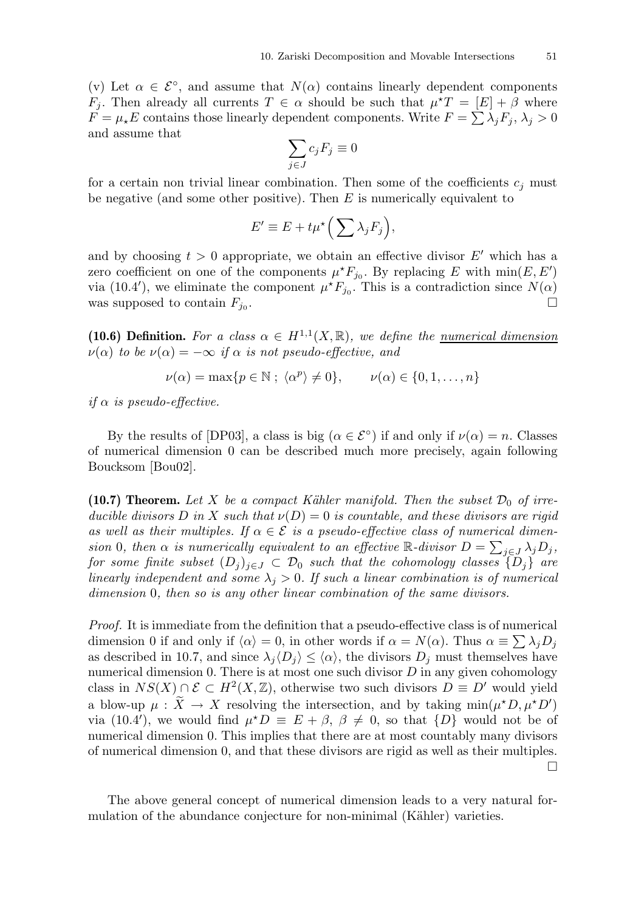(v) Let  $\alpha \in \mathcal{E}^{\circ}$ , and assume that  $N(\alpha)$  contains linearly dependent components  $F_j$ . Then already all currents  $T \in \alpha$  should be such that  $\mu^*T = [E] + \beta$  where  $\overline{F} = \mu_{\star} E$  contains those linearly dependent components. Write  $F = \sum_{i} \lambda_{i} F_{i}$ ,  $\lambda_{i} > 0$ and assume that

$$
\sum_{j\in J}c_jF_j\equiv 0
$$

for a certain non trivial linear combination. Then some of the coefficients  $c_j$  must be negative (and some other positive). Then  $E$  is numerically equivalent to

$$
E' \equiv E + t\mu^* \Big( \sum \lambda_j F_j \Big),
$$

and by choosing  $t > 0$  appropriate, we obtain an effective divisor E' which has a zero coefficient on one of the components  $\mu^* F_{j_0}$ . By replacing E with  $\min(E, E')$ via (10.4'), we eliminate the component  $\mu^* F_{j_0}$ . This is a contradiction since  $N(\alpha)$ was supposed to contain  $F_{j_0}$ . .

(10.6) Definition. For a class  $\alpha \in H^{1,1}(X,\mathbb{R})$ , we define the <u>numerical dimension</u>  $\nu(\alpha)$  to be  $\nu(\alpha) = -\infty$  if  $\alpha$  is not pseudo-effective, and

$$
\nu(\alpha) = \max\{p \in \mathbb{N} \; ; \; \langle \alpha^p \rangle \neq 0\}, \qquad \nu(\alpha) \in \{0, 1, \dots, n\}
$$

if  $\alpha$  is pseudo-effective.

By the results of [DP03], a class is big  $(\alpha \in \mathcal{E}^{\circ})$  if and only if  $\nu(\alpha) = n$ . Classes of numerical dimension 0 can be described much more precisely, again following Boucksom [Bou02].

(10.7) Theorem. Let X be a compact Kähler manifold. Then the subset  $\mathcal{D}_0$  of irreducible divisors D in X such that  $\nu(D) = 0$  is countable, and these divisors are rigid as well as their multiples. If  $\alpha \in \mathcal{E}$  is a pseudo-effective class of numerical dimension 0, then  $\alpha$  is numerically equivalent to an effective R-divisor  $D = \sum_{j \in J} \lambda_j D_j$ , for some finite subset  $(D_j)_{j\in J} \subset \mathcal{D}_0$  such that the cohomology classes  $\{D_j\}$  are linearly independent and some  $\lambda_i > 0$ . If such a linear combination is of numerical dimension 0, then so is any other linear combination of the same divisors.

Proof. It is immediate from the definition that a pseudo-effective class is of numerical dimension 0 if and only if  $\langle \alpha \rangle = 0$ , in other words if  $\alpha = N(\alpha)$ . Thus  $\alpha \equiv \sum \lambda_j D_j$ as described in 10.7, and since  $\lambda_i \langle D_i \rangle \leq \langle \alpha \rangle$ , the divisors  $D_i$  must themselves have numerical dimension 0. There is at most one such divisor  $D$  in any given cohomology class in  $NS(X) \cap \mathcal{E} \subset H^2(X,\mathbb{Z})$ , otherwise two such divisors  $D \equiv D'$  would yield a blow-up  $\mu : \tilde{X} \to X$  resolving the intersection, and by taking  $\min(\mu^* D, \mu^* D')$ via (10.4'), we would find  $\mu^*D \equiv E + \beta$ ,  $\beta \neq 0$ , so that  $\{D\}$  would not be of numerical dimension 0. This implies that there are at most countably many divisors of numerical dimension 0, and that these divisors are rigid as well as their multiples.  $\Box$ 

The above general concept of numerical dimension leads to a very natural formulation of the abundance conjecture for non-minimal (Kähler) varieties.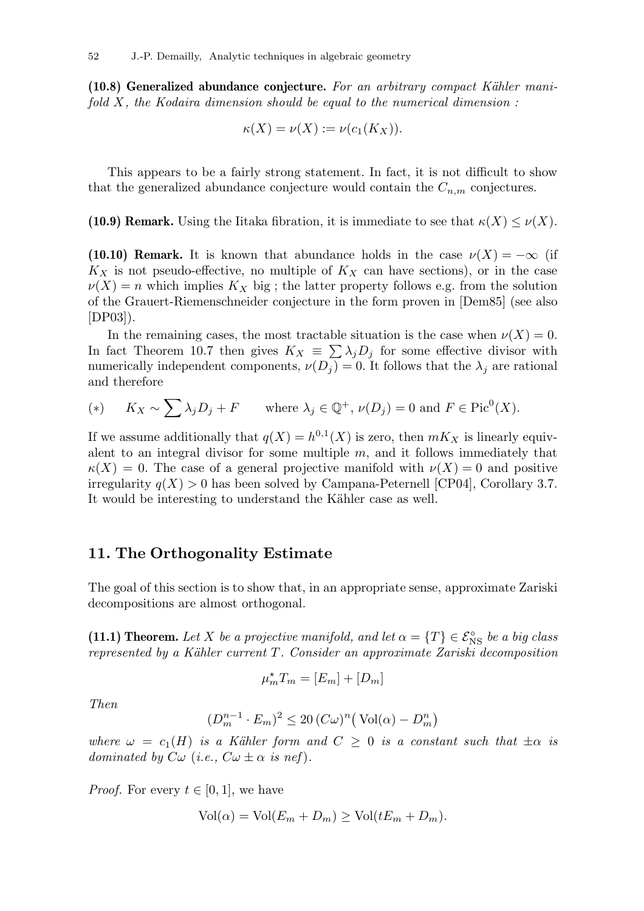$(10.8)$  Generalized abundance conjecture. For an arbitrary compact Kähler manifold  $X$ , the Kodaira dimension should be equal to the numerical dimension :

$$
\kappa(X) = \nu(X) := \nu(c_1(K_X)).
$$

This appears to be a fairly strong statement. In fact, it is not difficult to show that the generalized abundance conjecture would contain the  $C_{n,m}$  conjectures.

(10.9) Remark. Using the Iitaka fibration, it is immediate to see that  $\kappa(X) \leq \nu(X)$ .

(10.10) Remark. It is known that abundance holds in the case  $\nu(X) = -\infty$  (if  $K_X$  is not pseudo-effective, no multiple of  $K_X$  can have sections), or in the case  $\nu(X) = n$  which implies  $K_X$  big; the latter property follows e.g. from the solution of the Grauert-Riemenschneider conjecture in the form proven in [Dem85] (see also [DP03]).

In the remaining cases, the most tractable situation is the case when  $\nu(X) = 0$ . In fact Theorem 10.7 then gives  $K_X = \sum_{i} \lambda_i D_i$  for some effective divisor with numerically independent components,  $\nu(D_j) = 0$ . It follows that the  $\lambda_j$  are rational and therefore

$$
(*) \qquad K_X \sim \sum \lambda_j D_j + F \qquad \text{where } \lambda_j \in \mathbb{Q}^+, \, \nu(D_j) = 0 \text{ and } F \in \text{Pic}^0(X).
$$

If we assume additionally that  $q(X) = h^{0,1}(X)$  is zero, then  $mK_X$  is linearly equivalent to an integral divisor for some multiple  $m$ , and it follows immediately that  $\kappa(X) = 0$ . The case of a general projective manifold with  $\nu(X) = 0$  and positive irregularity  $q(X) > 0$  has been solved by Campana-Peternell [CP04], Corollary 3.7. It would be interesting to understand the Kähler case as well.

# 11. The Orthogonality Estimate

The goal of this section is to show that, in an appropriate sense, approximate Zariski decompositions are almost orthogonal.

(11.1) Theorem. Let X be a projective manifold, and let  $\alpha = \{T\} \in \mathcal{E}_{\text{NS}}^{\circ}$  be a big class represented by a Kähler current  $T$ . Consider an approximate Zariski decomposition

$$
\mu_m^{\star} T_m = [E_m] + [D_m]
$$

Then

$$
(D_m^{n-1} \cdot E_m)^2 \le 20 \left( C\omega \right)^n \left( \text{Vol}(\alpha) - D_m^n \right)
$$

where  $\omega = c_1(H)$  is a Kähler form and  $C \geq 0$  is a constant such that  $\pm \alpha$  is dominated by  $C\omega$  (i.e.,  $C\omega \pm \alpha$  is nef).

*Proof.* For every  $t \in [0, 1]$ , we have

$$
Vol(\alpha) = Vol(E_m + D_m) \ge Vol(tE_m + D_m).
$$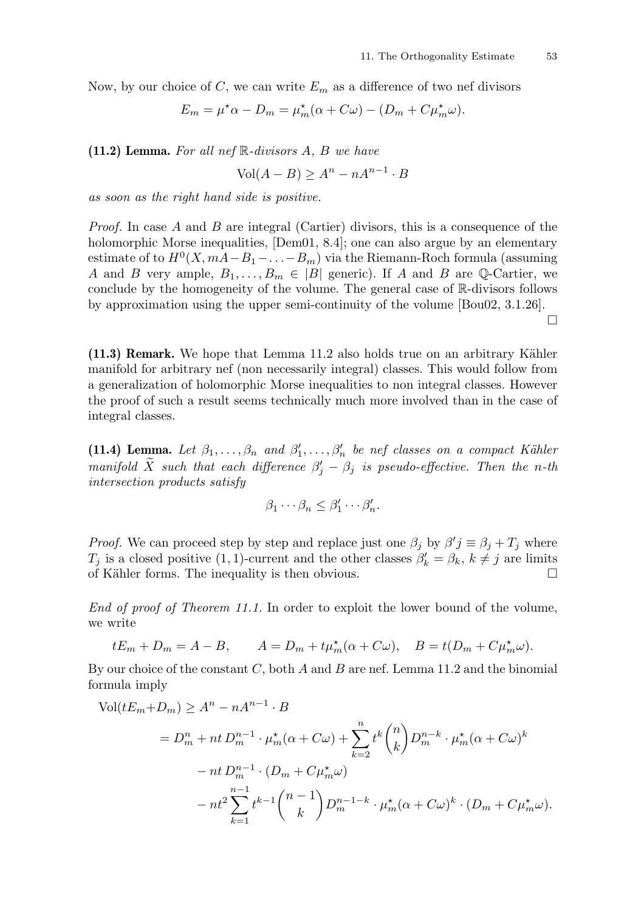Now, by our choice of C, we can write  $E_m$  as a difference of two nef divisors

$$
E_m = \mu^* \alpha - D_m = \mu_m^* (\alpha + C\omega) - (D_m + C\mu_m^* \omega).
$$

(11.2) Lemma. For all nef  $\mathbb R$ -divisors A, B we have

$$
Vol(A - B) \ge A^n - nA^{n-1} \cdot B
$$

as soon as the right hand side is positive.

Proof. In case A and B are integral (Cartier) divisors, this is a consequence of the holomorphic Morse inequalities, [Dem01, 8.4]; one can also argue by an elementary estimate of to  $H^0(X, mA - B_1 - ... - B_m)$  via the Riemann-Roch formula (assuming A and B very ample,  $B_1, \ldots, B_m \in |B|$  generic). If A and B are Q-Cartier, we conclude by the homogeneity of the volume. The general case of R-divisors follows by approximation using the upper semi-continuity of the volume [Bou02, 3.1.26].  $\Box$ 

 $(11.3)$  Remark. We hope that Lemma 11.2 also holds true on an arbitrary Kähler manifold for arbitrary nef (non necessarily integral) classes. This would follow from a generalization of holomorphic Morse inequalities to non integral classes. However the proof of such a result seems technically much more involved than in the case of integral classes.

(11.4) Lemma. Let  $\beta_1, \ldots, \beta_n$  and  $\beta'_1, \ldots, \beta'_n$  be nef classes on a compact Kähler manifold  $\widetilde{X}$  such that each difference  $\beta'_j - \beta_j$  is pseudo-effective. Then the n-th intersection products satisfy

$$
\beta_1 \cdots \beta_n \leq \beta'_1 \cdots \beta'_n.
$$

*Proof.* We can proceed step by step and replace just one  $\beta_j$  by  $\beta'j \equiv \beta_j + T_j$  where  $T_j$  is a closed positive (1, 1)-current and the other classes  $\beta'_k = \beta_k, k \neq j$  are limits of Kähler forms. The inequality is then obvious.  $\Box$ 

End of proof of Theorem 11.1. In order to exploit the lower bound of the volume, we write

$$
tE_m + D_m = A - B, \qquad A = D_m + t\mu_m^{\star}(\alpha + C\omega), \quad B = t(D_m + C\mu_m^{\star}\omega).
$$

By our choice of the constant  $C$ , both  $A$  and  $B$  are nef. Lemma 11.2 and the binomial formula imply

$$
\text{Vol}(tE_m + D_m) \ge A^n - nA^{n-1} \cdot B
$$
  
=  $D_m^n + nt D_m^{n-1} \cdot \mu_m^*(\alpha + C\omega) + \sum_{k=2}^n t^k {n \choose k} D_m^{n-k} \cdot \mu_m^*(\alpha + C\omega)^k$   

$$
- nt D_m^{n-1} \cdot (D_m + C\mu_m^*\omega)
$$
  

$$
- nt^2 \sum_{k=1}^{n-1} t^{k-1} {n-1 \choose k} D_m^{n-1-k} \cdot \mu_m^*(\alpha + C\omega)^k \cdot (D_m + C\mu_m^*\omega).
$$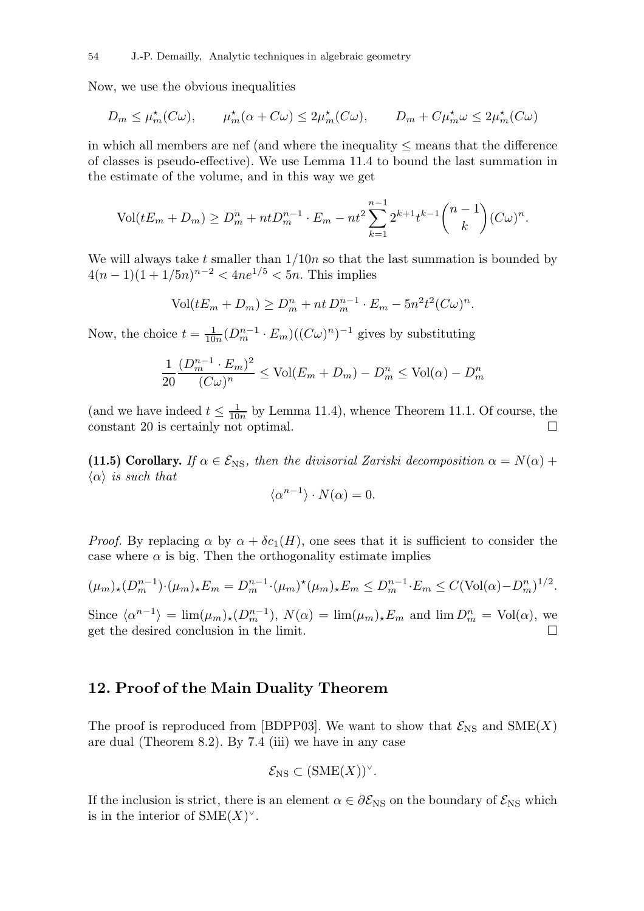Now, we use the obvious inequalities

$$
D_m \le \mu_m^{\star}(C\omega), \qquad \mu_m^{\star}(\alpha + C\omega) \le 2\mu_m^{\star}(C\omega), \qquad D_m + C\mu_m^{\star}\omega \le 2\mu_m^{\star}(C\omega)
$$

in which all members are nef (and where the inequality  $\leq$  means that the difference of classes is pseudo-effective). We use Lemma 11.4 to bound the last summation in the estimate of the volume, and in this way we get

$$
Vol(tE_m + D_m) \ge D_m^n + ntD_m^{n-1} \cdot E_m - nt^2 \sum_{k=1}^{n-1} 2^{k+1} t^{k-1} {n-1 \choose k} (C\omega)^n.
$$

We will always take t smaller than  $1/10n$  so that the last summation is bounded by  $4(n-1)(1+1/5n)^{n-2} < 4ne^{1/5} < 5n$ . This implies

$$
Vol(tE_m + D_m) \ge D_m^n + nt D_m^{n-1} \cdot E_m - 5n^2 t^2 (C\omega)^n.
$$

Now, the choice  $t = \frac{1}{10}$  $\frac{1}{10n}(D_m^{n-1} \cdot E_m)((C\omega)^n)^{-1}$  gives by substituting

$$
\frac{1}{20} \frac{(D_m^{n-1} \cdot E_m)^2}{(C\omega)^n} \le \text{Vol}(E_m + D_m) - D_m^n \le \text{Vol}(\alpha) - D_m^n
$$

(and we have indeed  $t \leq \frac{1}{10}$  $\frac{1}{10n}$  by Lemma 11.4), whence Theorem 11.1. Of course, the constant 20 is certainly not optimal.  $\square$ 

(11.5) Corollary. If  $\alpha \in \mathcal{E}_{\text{NS}}$ , then the divisorial Zariski decomposition  $\alpha = N(\alpha) +$  $\langle \alpha \rangle$  is such that

$$
\langle \alpha^{n-1} \rangle \cdot N(\alpha) = 0.
$$

*Proof.* By replacing  $\alpha$  by  $\alpha + \delta c_1(H)$ , one sees that it is sufficient to consider the case where  $\alpha$  is big. Then the orthogonality estimate implies

$$
(\mu_m)_*(D_m^{n-1})\cdot (\mu_m)_*E_m = D_m^{n-1}\cdot (\mu_m)^*(\mu_m)_*E_m \le D_m^{n-1}\cdot E_m \le C(\text{Vol}(\alpha)-D_m^n)^{1/2}.
$$

Since  $\langle \alpha^{n-1} \rangle = \lim(\mu_m)_* (D_m^{n-1}), N(\alpha) = \lim(\mu_m)_*E_m$  and  $\lim D_m^n = \text{Vol}(\alpha)$ , we get the desired conclusion in the limit.

## 12. Proof of the Main Duality Theorem

The proof is reproduced from [BDPP03]. We want to show that  $\mathcal{E}_{NS}$  and  $\text{SME}(X)$ are dual (Theorem 8.2). By 7.4 (iii) we have in any case

$$
\mathcal{E}_{\mathrm{NS}} \subset (\mathrm{SME}(X))^{\vee}.
$$

If the inclusion is strict, there is an element  $\alpha \in \partial \mathcal{E}_{NS}$  on the boundary of  $\mathcal{E}_{NS}$  which is in the interior of  $\text{SME}(X)^\vee$ .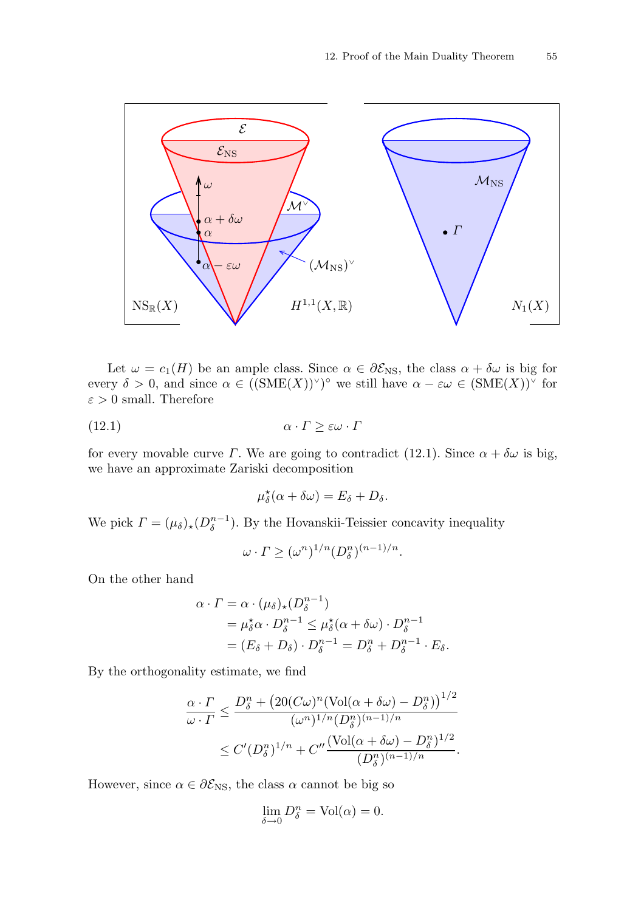

Let  $\omega = c_1(H)$  be an ample class. Since  $\alpha \in \partial \mathcal{E}_{NS}$ , the class  $\alpha + \delta \omega$  is big for every  $\delta > 0$ , and since  $\alpha \in ((\text{SME}(X))^{\vee})^{\circ}$  we still have  $\alpha - \varepsilon \omega \in (\text{SME}(X))^{\vee}$  for  $\varepsilon > 0$  small. Therefore

(12.1) α · Γ ≥ εω · Γ

for every movable curve  $\Gamma$ . We are going to contradict (12.1). Since  $\alpha + \delta \omega$  is big, we have an approximate Zariski decomposition

$$
\mu_{\delta}^{\star}(\alpha + \delta \omega) = E_{\delta} + D_{\delta}.
$$

We pick  $\Gamma = (\mu_{\delta})_{\star} (D_{\delta}^{n-1})$  $\binom{n-1}{\delta}$ . By the Hovanskii-Teissier concavity inequality

$$
\omega \cdot \Gamma \ge (\omega^n)^{1/n} (D_\delta^n)^{(n-1)/n}.
$$

On the other hand

$$
\alpha \cdot \Gamma = \alpha \cdot (\mu_{\delta})_{\star} (D_{\delta}^{n-1})
$$
  
=  $\mu_{\delta}^{\star} \alpha \cdot D_{\delta}^{n-1} \leq \mu_{\delta}^{\star} (\alpha + \delta \omega) \cdot D_{\delta}^{n-1}$   
=  $(E_{\delta} + D_{\delta}) \cdot D_{\delta}^{n-1} = D_{\delta}^{n} + D_{\delta}^{n-1} \cdot E_{\delta}.$ 

By the orthogonality estimate, we find

$$
\frac{\alpha \cdot \Gamma}{\omega \cdot \Gamma} \le \frac{D_{\delta}^n + \left(20(C\omega)^n (\text{Vol}(\alpha + \delta\omega) - D_{\delta}^n)\right)^{1/2}}{(\omega^n)^{1/n} (D_{\delta}^n)^{(n-1)/n}}
$$

$$
\le C'(D_{\delta}^n)^{1/n} + C'' \frac{(\text{Vol}(\alpha + \delta\omega) - D_{\delta}^n)^{1/2}}{(D_{\delta}^n)^{(n-1)/n}}.
$$

However, since  $\alpha \in \partial \mathcal{E}_{\text{NS}}$ , the class  $\alpha$  cannot be big so

$$
\lim_{\delta \to 0} D_{\delta}^{n} = \text{Vol}(\alpha) = 0.
$$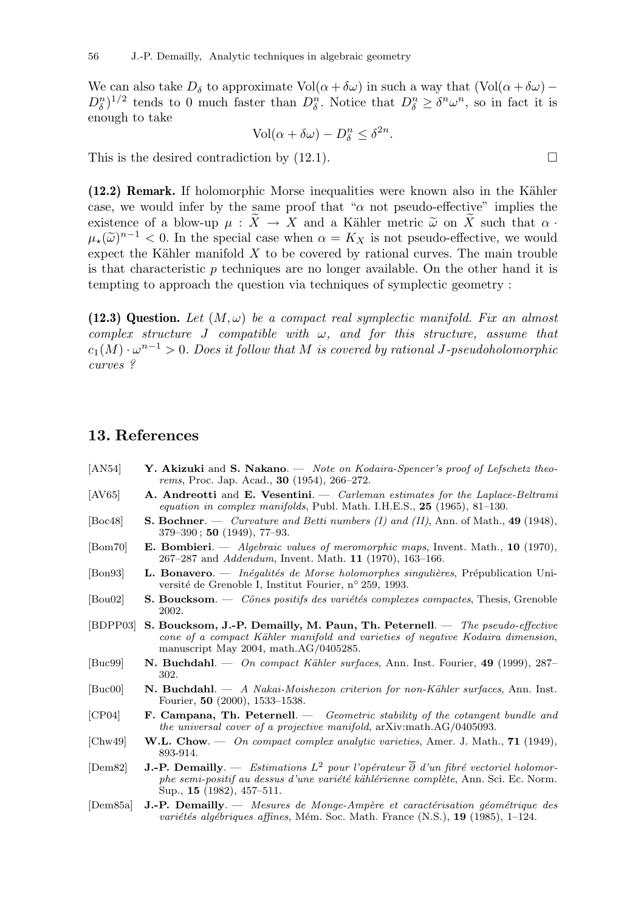We can also take  $D_{\delta}$  to approximate Vol( $\alpha + \delta \omega$ ) in such a way that (Vol( $\alpha + \delta \omega$ ) –  $D_{\delta}^{n}$ <sup>1/2</sup> tends to 0 much faster than  $D_{\delta}^{n}$ . Notice that  $D_{\delta}^{n} \geq \delta^{n} \omega^{n}$ , so in fact it is enough to take

$$
Vol(\alpha + \delta \omega) - D_{\delta}^{n} \leq \delta^{2n}.
$$

This is the desired contradiction by  $(12.1)$ .

(12.2) Remark. If holomorphic Morse inequalities were known also in the Kähler case, we would infer by the same proof that " $\alpha$  not pseudo-effective" implies the existence of a blow-up  $\mu : X \to X$  and a Kähler metric  $\tilde{\omega}$  on X such that  $\alpha$ .  $\mu_{\star}(\tilde{\omega})^{n-1} < 0$ . In the special case when  $\alpha = K_X$  is not pseudo-effective, we would expect the Kähler manifold  $X$  to be covered by rational curves. The main trouble is that characteristic  $p$  techniques are no longer available. On the other hand it is tempting to approach the question via techniques of symplectic geometry :

(12.3) Question. Let  $(M, \omega)$  be a compact real symplectic manifold. Fix an almost complex structure J compatible with  $\omega$ , and for this structure, assume that  $c_1(M) \cdot \omega^{n-1} > 0$ . Does it follow that M is covered by rational J-pseudoholomorphic curves ?

[AN54] Y. Akizuki and S. Nakano. — Note on Kodaira-Spencer's proof of Lefschetz theo-

## 13. References

rems, Proc. Jap. Acad., 30 (1954), 266–272.  $[AV65]$  A. Andreotti and E. Vesentini.  $\sim$  Carleman estimates for the Laplace-Beltrami equation in complex manifolds, Publ. Math. I.H.E.S., 25 (1965), 81–130. [Boc48] S. Bochner. — Curvature and Betti numbers (I) and (II), Ann. of Math., 49 (1948), 379–390 ; 50 (1949), 77–93. [Bom70] E. Bombieri. — Algebraic values of meromorphic maps, Invent. Math., 10 (1970), 267–287 and Addendum, Invent. Math. 11 (1970), 163–166. [Bon93] L. Bonavero. — Inégalités de Morse holomorphes singulières, Prépublication Université de Grenoble I, Institut Fourier, n° 259, 1993.  $[Bou02]$  S. Boucksom. — *Cônes positifs des variétés complexes compactes*, Thesis, Grenoble 2002. [BDPP03] S. Boucksom, J.-P. Demailly, M. Paun, Th. Peternell. — The pseudo-effective cone of a compact Kähler manifold and varieties of negative Kodaira dimension, manuscript May 2004, math.AG/0405285. [Buc99] N. Buchdahl. — On compact Kähler surfaces, Ann. Inst. Fourier, 49 (1999), 287– 302. [Buc00] N. Buchdahl. — A Nakai-Moishezon criterion for non-Kähler surfaces, Ann. Inst. Fourier, 50 (2000), 1533–1538. [CP04] F. Campana, Th. Peternell. — Geometric stability of the cotangent bundle and the universal cover of a projective manifold, arXiv:math.AG/0405093.  $[Chw49]$  W.L. Chow.  $\sim$  On compact complex analytic varieties, Amer. J. Math., 71 (1949), 893-914. [Dem82] **J.-P. Demailly**. — Estimations  $L^2$  pour l'opérateur  $\overline{\partial}$  d'un fibré vectoriel holomorphe semi-positif au dessus d'une variété kählérienne complète, Ann. Sci. Ec. Norm. Sup., 15 (1982), 457–511. [Dem85a] J.-P. Demailly. — Mesures de Monge-Ampère et caractérisation géométrique des variétés algébriques affines, Mém. Soc. Math. France  $(N.S.), 19$  (1985), 1–124.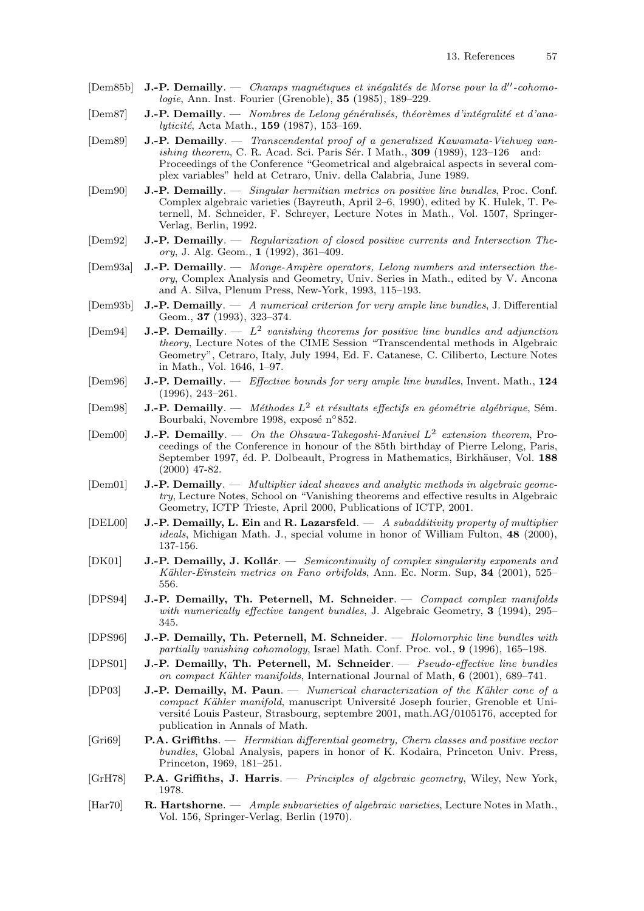- [Dem85b] J.-P. Demailly. Champs magnétiques et inégalités de Morse pour la d''-cohomologie, Ann. Inst. Fourier (Grenoble), 35 (1985), 189–229.
- $[Dem87]$  J.-P. Demailly. Nombres de Lelong généralisés, théorèmes d'intégralité et d'analyticité, Acta Math., 159 (1987), 153-169.
- [Dem89] J.-P. Demailly. Transcendental proof of a generalized Kawamata-Viehweg vanishing theorem, C. R. Acad. Sci. Paris Sér. I Math.,  $309$  (1989), 123-126 and: Proceedings of the Conference "Geometrical and algebraical aspects in several complex variables" held at Cetraro, Univ. della Calabria, June 1989.
- [Dem90] J.-P. Demailly. Singular hermitian metrics on positive line bundles, Proc. Conf. Complex algebraic varieties (Bayreuth, April 2–6, 1990), edited by K. Hulek, T. Peternell, M. Schneider, F. Schreyer, Lecture Notes in Math., Vol. 1507, Springer-Verlag, Berlin, 1992.
- [Dem92] J.-P. Demailly. Regularization of closed positive currents and Intersection Theory, J. Alg. Geom., 1 (1992), 361–409.
- [Dem93a] J.-P. Demailly. Monge-Ampère operators, Lelong numbers and intersection theory, Complex Analysis and Geometry, Univ. Series in Math., edited by V. Ancona and A. Silva, Plenum Press, New-York, 1993, 115–193.
- $[Dem93b]$  **J.-P. Demailly**. A numerical criterion for very ample line bundles, J. Differential Geom., 37 (1993), 323–374.
- [Dem94] **J.-P. Demailly**.  $L^2$  vanishing theorems for positive line bundles and adjunction theory, Lecture Notes of the CIME Session "Transcendental methods in Algebraic Geometry", Cetraro, Italy, July 1994, Ed. F. Catanese, C. Ciliberto, Lecture Notes in Math., Vol. 1646, 1–97.
- $[Dem 96]$  **J.-P. Demailly**. *Effective bounds for very ample line bundles*, Invent. Math., 124 (1996), 243–261.
- [Dem98] **J.-P. Demailly.** Méthodes  $L^2$  et résultats effectifs en géométrie algébrique, Sém. Bourbaki, Novembre 1998, exposé n°852.
- [Dem00] **J.-P. Demailly**.  $\longrightarrow$  *On the Ohsawa-Takegoshi-Manivel L<sup>2</sup> extension theorem*, Proceedings of the Conference in honour of the 85th birthday of Pierre Lelong, Paris, September 1997, éd. P. Dolbeault, Progress in Mathematics, Birkhäuser, Vol. 188 (2000) 47-82.
- [Dem01] **J.-P. Demailly**. Multiplier ideal sheaves and analytic methods in algebraic geometry, Lecture Notes, School on "Vanishing theorems and effective results in Algebraic Geometry, ICTP Trieste, April 2000, Publications of ICTP, 2001.
- $[DEL00]$  J.-P. Demailly, L. Ein and R. Lazarsfeld.  $-$  A subadditivity property of multiplier ideals, Michigan Math. J., special volume in honor of William Fulton, 48 (2000), 137-156.
- [DK01] **J.-P. Demailly, J. Kollár**. Semicontinuity of complex singularity exponents and Kähler-Einstein metrics on Fano orbifolds, Ann. Ec. Norm. Sup, 34 (2001), 525– 556.
- [DPS94] J.-P. Demailly, Th. Peternell, M. Schneider. Compact complex manifolds with numerically effective tangent bundles, J. Algebraic Geometry, 3 (1994), 295– 345.
- [DPS96] J.-P. Demailly, Th. Peternell, M. Schneider. Holomorphic line bundles with partially vanishing cohomology, Israel Math. Conf. Proc. vol., 9 (1996), 165–198.
- [DPS01] J.-P. Demailly, Th. Peternell, M. Schneider. Pseudo-effective line bundles on compact Kähler manifolds, International Journal of Math,  $6$  (2001), 689–741.
- [DP03] **J.-P. Demailly, M. Paun.** Numerical characterization of the Kähler cone of a compact Kähler manifold, manuscript Université Joseph fourier, Grenoble et Université Louis Pasteur, Strasbourg, septembre 2001, math.AG/0105176, accepted for publication in Annals of Math.
- [Gri69] P.A. Griffiths. Hermitian differential geometry, Chern classes and positive vector bundles, Global Analysis, papers in honor of K. Kodaira, Princeton Univ. Press, Princeton, 1969, 181–251.
- [GrH78] P.A. Griffiths, J. Harris. Principles of algebraic geometry, Wiley, New York, 1978.
- [Har70] R. Hartshorne. Ample subvarieties of algebraic varieties, Lecture Notes in Math., Vol. 156, Springer-Verlag, Berlin (1970).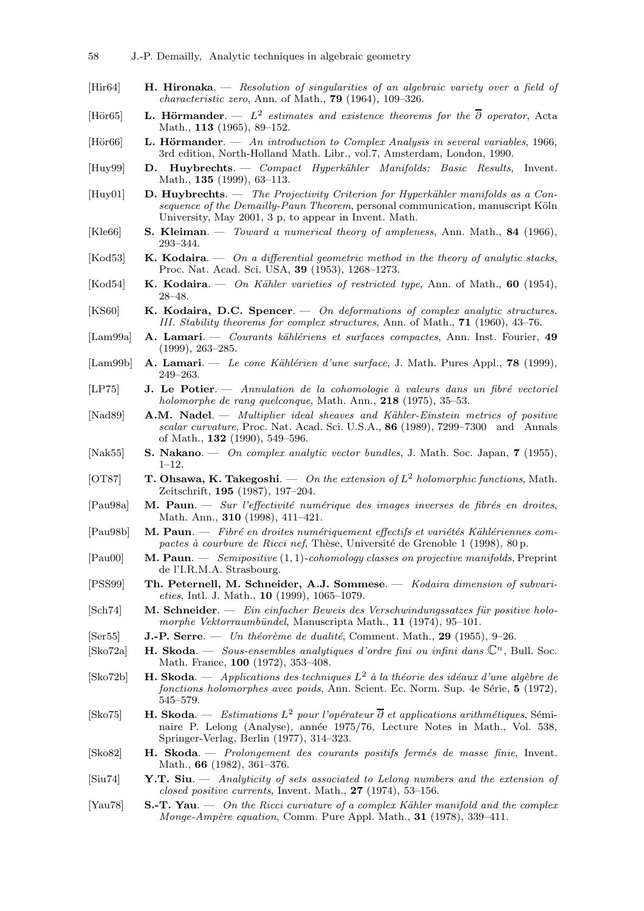- [Hir64] **H. Hironaka**. Resolution of singularities of an algebraic variety over a field of characteristic zero, Ann. of Math., 79 (1964), 109–326.
- [Hör65] **L. Hörmander**.  $L^2$  estimates and existence theorems for the  $\overline{\partial}$  operator, Acta Math., 113 (1965), 89–152.
- [Hör $66$ ] L. Hörmander. An introduction to Complex Analysis in several variables, 1966, 3rd edition, North-Holland Math. Libr., vol.7, Amsterdam, London, 1990.
- [Huy99] D. Huybrechts. Compact Hyperkähler Manifolds: Basic Results, Invent. Math., 135 (1999), 63–113.
- $[Huy01]$  D. Huybrechts. The Projectivity Criterion for Hyperkähler manifolds as a Consequence of the Demailly-Paun Theorem, personal communication, manuscript Köln University, May 2001, 3 p, to appear in Invent. Math.
- [Kle66] S. Kleiman. Toward a numerical theory of ampleness, Ann. Math., 84 (1966), 293–344.
- [Kod53] **K. Kodaira.**  $\sim$  On a differential geometric method in the theory of analytic stacks, Proc. Nat. Acad. Sci. USA, 39 (1953), 1268–1273.
- [Kod54] K. Kodaira.  $\sim$  On Kähler varieties of restricted type, Ann. of Math., 60 (1954), 28–48.
- [KS60]  $K. Kodaira, D.C. Spencer.  $-$  On deformations of complex analytic structures.$ III. Stability theorems for complex structures, Ann. of Math., 71 (1960), 43–76.
- [Lam99a] A. Lamari. Courants kählériens et surfaces compactes, Ann. Inst. Fourier, 49 (1999), 263–285.
- $\text{[Lam99b]}$  **A. Lamari.** Le cone Kählérien d'une surface, J. Math. Pures Appl., **78** (1999), 249–263.
- $[LP75]$  J. Le Potier.  $\longrightarrow$  Annulation de la cohomologie à valeurs dans un fibré vectoriel holomorphe de rang quelconque, Math. Ann., 218 (1975), 35–53.
- [Nad89] **A.M. Nadel**. Multiplier ideal sheaves and Kähler-Einstein metrics of positive scalar curvature, Proc. Nat. Acad. Sci. U.S.A., 86 (1989), 7299-7300 and Annals of Math., 132 (1990), 549–596.
- [Nak55] S. Nakano. On complex analytic vector bundles, J. Math. Soc. Japan, 7 (1955), 1–12.
- [OT87] T. Ohsawa, K. Takegoshi. On the extension of  $L^2$  holomorphic functions, Math. Zeitschrift, 195 (1987), 197–204.
- $[Pau98a]$  M. Paun. Sur l'effectivité numérique des images inverses de fibrés en droites, Math. Ann., 310 (1998), 411–421.
- $[Pau98b]$  M. Paun. Fibré en droites numériquement effectifs et variétés Kählériennes compactes à courbure de Ricci nef, Thèse, Université de Grenoble 1 (1998), 80 p.
- $[Paulo]$  M. Paun. *Semipositive*  $(1, 1)$ -cohomology classes on projective manifolds, Preprint de l'I.R.M.A. Strasbourg.
- [PSS99] Th. Peternell, M. Schneider, A.J. Sommese. Kodaira dimension of subvarieties, Intl. J. Math., 10 (1999), 1065–1079.
- $[\text{Sch}74]$  M. Schneider. Ein einfacher Beweis des Verschwindungssatzes für positive holomorphe Vektorraumbündel, Manuscripta Math., 11 (1974), 95-101.
- [Ser55] **J.-P. Serre.** Un théorème de dualité, Comment. Math., 29 (1955), 9–26.
- [Sko72a] H. Skoda. Sous-ensembles analytiques d'ordre fini ou infini dans  $\mathbb{C}^n$ , Bull. Soc. Math. France, 100 (1972), 353–408.
- [Sko72b] **H. Skoda**. Applications des techniques  $L^2$  à la théorie des idéaux d'une algèbre de  $forctions\ holomorphes\ avec\ points$ , Ann. Scient. Ec. Norm. Sup. 4e Série,  $5$  (1972), 545–579.
- [Sko75] **H. Skoda**. Estimations  $L^2$  pour l'opérateur  $\overline{\partial}$  et applications arithmétiques, Séminaire P. Lelong (Analyse), année 1975/76, Lecture Notes in Math., Vol. 538, Springer-Verlag, Berlin (1977), 314–323.
- $[Sk 82]$  H. Skoda. *Prolongement des courants positifs fermés de masse finie*, Invent. Math., 66 (1982), 361–376.
- [Siu74] Y.T. Siu.  $-$  Analyticity of sets associated to Lelong numbers and the extension of closed positive currents, Invent. Math., 27 (1974), 53–156.
- [Yau78]  $S.-T. Yau. \tOn the Ricci curvature of a complex Kähler manifold and the complex$ Monge-Ampère equation, Comm. Pure Appl. Math.,  $31$  (1978), 339–411.